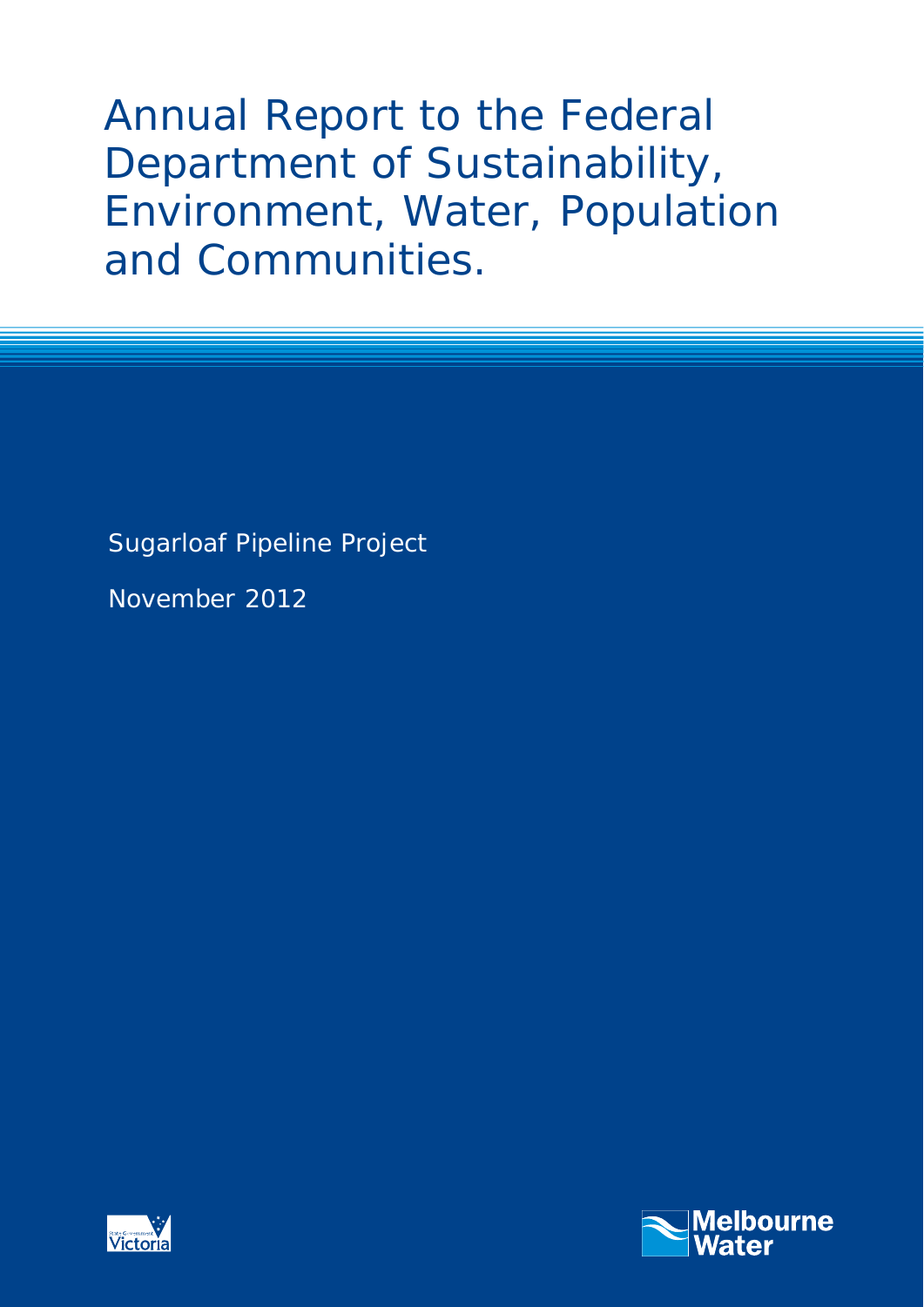Annual Report to the Federal Department of Sustainability, Environment, Water, Population and Communities.

Sugarloaf Pipeline Project

November 2012



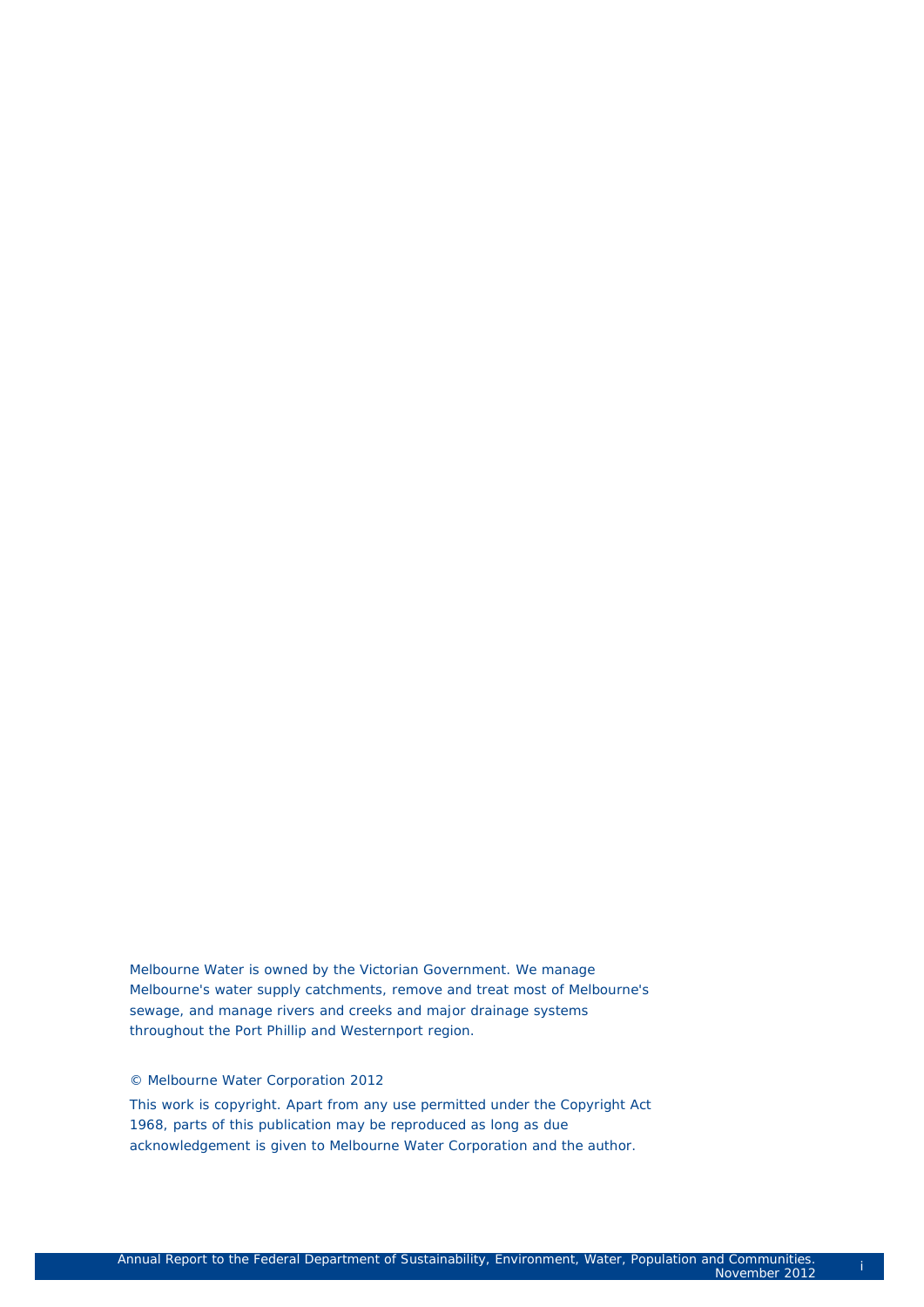Melbourne Water is owned by the Victorian Government. We manage Melbourne's water supply catchments, remove and treat most of Melbourne's sewage, and manage rivers and creeks and major drainage systems throughout the Port Phillip and Westernport region.

#### © Melbourne Water Corporation 2012

This work is copyright. Apart from any use permitted under the Copyright Act 1968, parts of this publication may be reproduced as long as due acknowledgement is given to Melbourne Water Corporation and the author.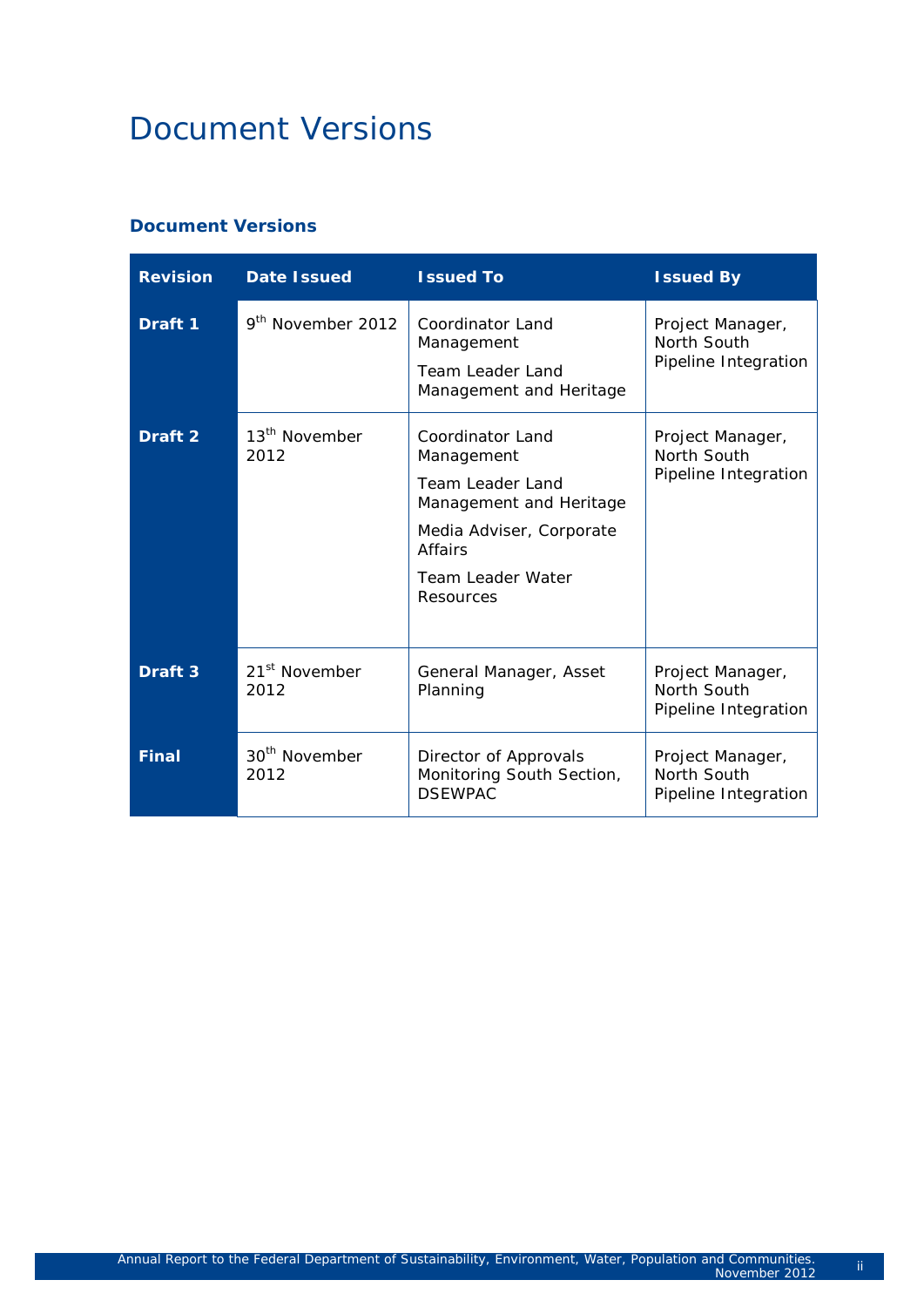# Document Versions

#### **Document Versions**

| <b>Revision</b>    | <b>Date Issued</b>                | <b>Issued To</b>                                                                                                                                                     | <b>Issued By</b>                                        |
|--------------------|-----------------------------------|----------------------------------------------------------------------------------------------------------------------------------------------------------------------|---------------------------------------------------------|
| Draft 1            | 9 <sup>th</sup> November 2012     | <b>Coordinator Land</b><br>Management<br><b>Team Leader Land</b><br>Management and Heritage                                                                          | Project Manager,<br>North South<br>Pipeline Integration |
| Draft <sub>2</sub> | 13 <sup>th</sup> November<br>2012 | Coordinator Land<br>Management<br><b>Team Leader Land</b><br>Management and Heritage<br>Media Adviser, Corporate<br><b>Affairs</b><br>Team Leader Water<br>Resources | Project Manager,<br>North South<br>Pipeline Integration |
| Draft 3            | 21 <sup>st</sup> November<br>2012 | General Manager, Asset<br>Planning                                                                                                                                   | Project Manager,<br>North South<br>Pipeline Integration |
| <b>Final</b>       | 30 <sup>th</sup> November<br>2012 | Director of Approvals<br>Monitoring South Section,<br><b>DSEWPAC</b>                                                                                                 | Project Manager,<br>North South<br>Pipeline Integration |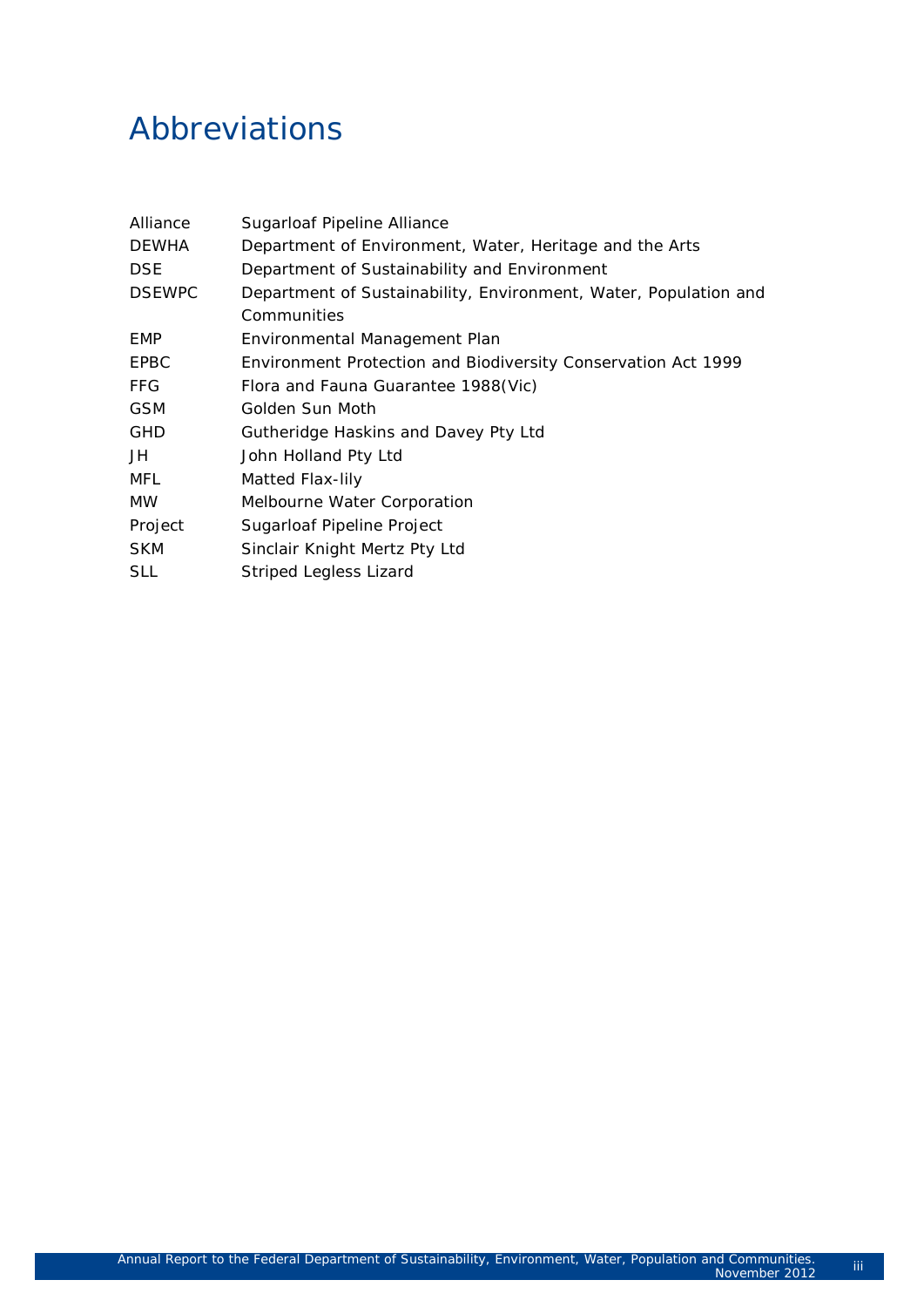# Abbreviations

| Alliance      | Sugarloaf Pipeline Alliance                                          |
|---------------|----------------------------------------------------------------------|
| <b>DEWHA</b>  | Department of Environment, Water, Heritage and the Arts              |
| <b>DSE</b>    | Department of Sustainability and Environment                         |
| <b>DSEWPC</b> | Department of Sustainability, Environment, Water, Population and     |
|               | Communities                                                          |
| <b>EMP</b>    | Environmental Management Plan                                        |
| EPBC          | <b>Environment Protection and Biodiversity Conservation Act 1999</b> |
| <b>FFG</b>    | Flora and Fauna Guarantee 1988(Vic)                                  |
| <b>GSM</b>    | Golden Sun Moth                                                      |
| <b>GHD</b>    | Gutheridge Haskins and Davey Pty Ltd                                 |
| JH            | John Holland Pty Ltd                                                 |
| MFL           | Matted Flax-lily                                                     |
| <b>MW</b>     | Melbourne Water Corporation                                          |
| Project       | Sugarloaf Pipeline Project                                           |
| <b>SKM</b>    | Sinclair Knight Mertz Pty Ltd                                        |
| <b>SLL</b>    | Striped Legless Lizard                                               |
|               |                                                                      |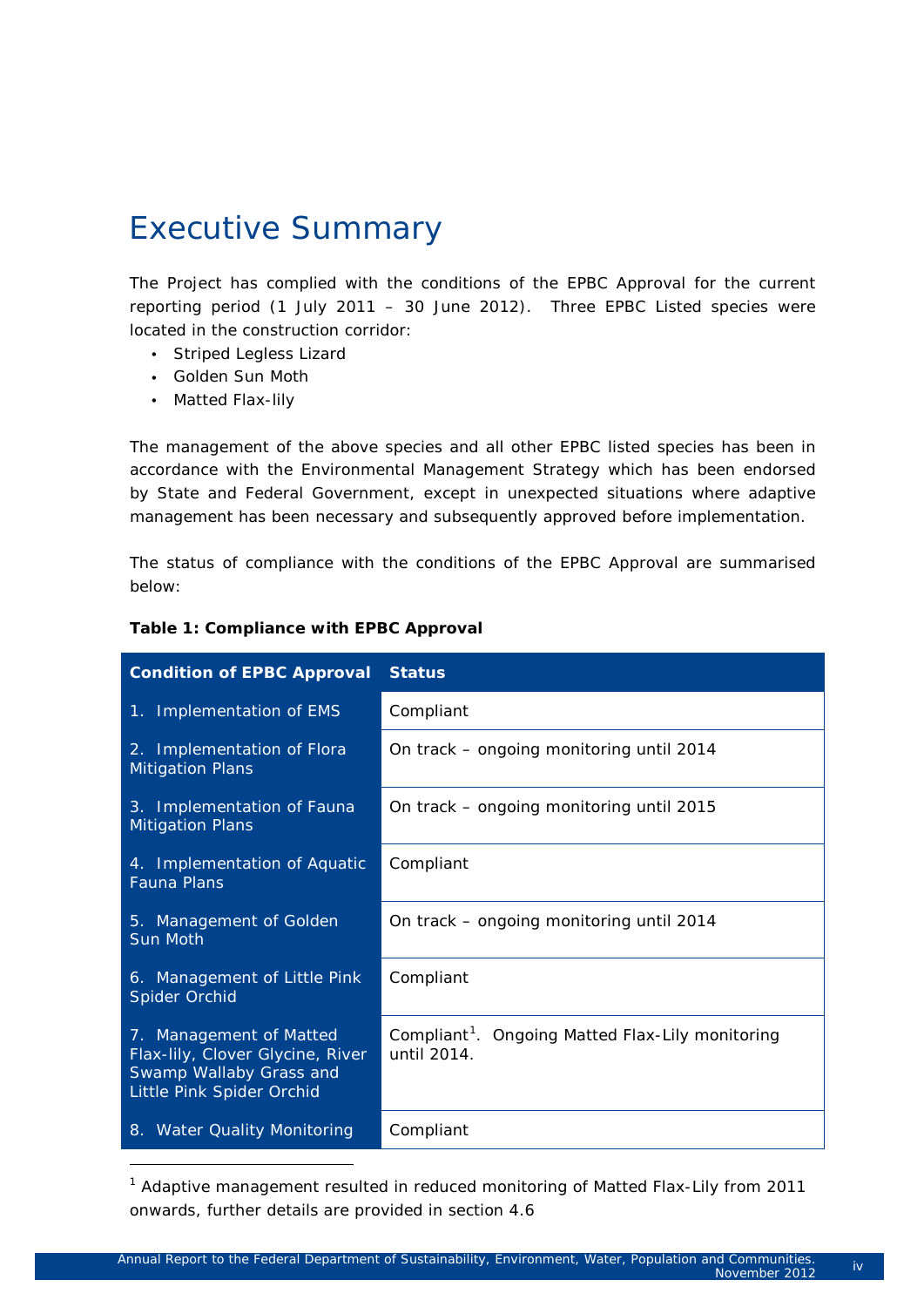# Executive Summary

The Project has complied with the conditions of the EPBC Approval for the current reporting period (1 July 2011 – 30 June 2012). Three EPBC Listed species were located in the construction corridor:

- Striped Legless Lizard
- Golden Sun Moth
- Matted Flax-lily

-

The management of the above species and all other EPBC listed species has been in accordance with the Environmental Management Strategy which has been endorsed by State and Federal Government, except in unexpected situations where adaptive management has been necessary and subsequently approved before implementation.

The status of compliance with the conditions of the EPBC Approval are summarised below:

| <b>Condition of EPBC Approval</b>                                                                                   | <b>Status</b>                                                               |
|---------------------------------------------------------------------------------------------------------------------|-----------------------------------------------------------------------------|
| 1. Implementation of EMS                                                                                            | Compliant                                                                   |
| 2. Implementation of Flora<br><b>Mitigation Plans</b>                                                               | On track - ongoing monitoring until 2014                                    |
| 3. Implementation of Fauna<br><b>Mitigation Plans</b>                                                               | On track – ongoing monitoring until 2015                                    |
| 4. Implementation of Aquatic<br><b>Fauna Plans</b>                                                                  | Compliant                                                                   |
| 5. Management of Golden<br>Sun Moth                                                                                 | On track – ongoing monitoring until 2014                                    |
| 6. Management of Little Pink<br>Spider Orchid                                                                       | Compliant                                                                   |
| 7. Management of Matted<br>Flax-lily, Clover Glycine, River<br>Swamp Wallaby Grass and<br>Little Pink Spider Orchid | Compliant <sup>1</sup> . Ongoing Matted Flax-Lily monitoring<br>until 2014. |
| 8. Water Quality Monitoring                                                                                         | Compliant                                                                   |

#### **Table 1: Compliance with EPBC Approval**

<span id="page-4-0"></span><sup>1</sup> Adaptive management resulted in reduced monitoring of Matted Flax-Lily from 2011 onwards, further details are provided in section 4.6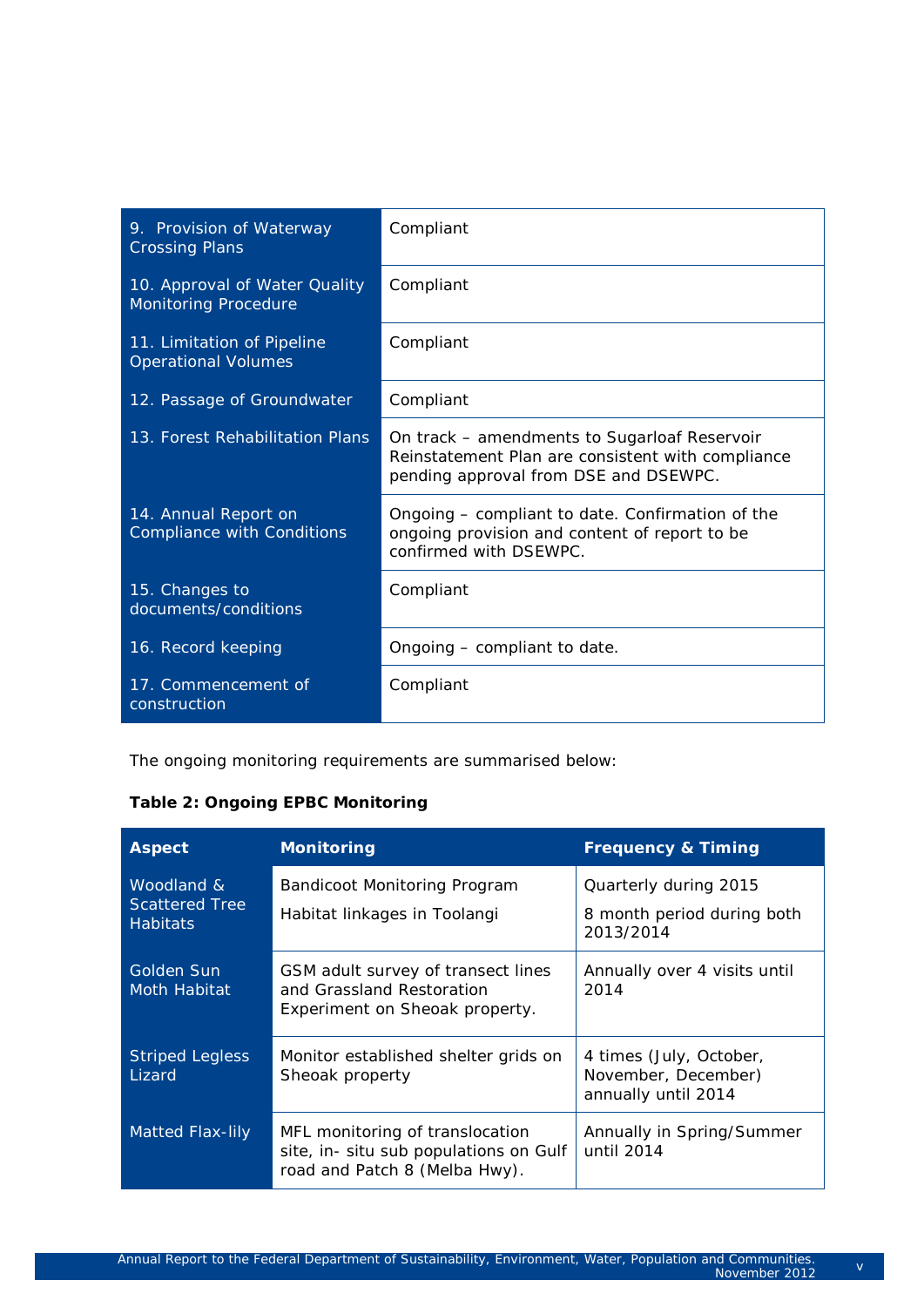| 9. Provision of Waterway<br><b>Crossing Plans</b>            | Compliant                                                                                                                                  |
|--------------------------------------------------------------|--------------------------------------------------------------------------------------------------------------------------------------------|
| 10. Approval of Water Quality<br><b>Monitoring Procedure</b> | Compliant                                                                                                                                  |
| 11. Limitation of Pipeline<br><b>Operational Volumes</b>     | Compliant                                                                                                                                  |
| 12. Passage of Groundwater                                   | Compliant                                                                                                                                  |
| 13. Forest Rehabilitation Plans                              | On track – amendments to Sugarloaf Reservoir<br>Reinstatement Plan are consistent with compliance<br>pending approval from DSE and DSEWPC. |
| 14. Annual Report on<br><b>Compliance with Conditions</b>    | Ongoing – compliant to date. Confirmation of the<br>ongoing provision and content of report to be<br>confirmed with DSEWPC.                |
| 15. Changes to<br>documents/conditions                       | Compliant                                                                                                                                  |
| 16. Record keeping                                           | Ongoing - compliant to date.                                                                                                               |
| 17. Commencement of<br>construction                          | Compliant                                                                                                                                  |

The ongoing monitoring requirements are summarised below:

#### **Table 2: Ongoing EPBC Monitoring**

| <b>Aspect</b>                                          | <b>Monitoring</b>                                                                                          | <b>Frequency &amp; Timing</b>                                         |
|--------------------------------------------------------|------------------------------------------------------------------------------------------------------------|-----------------------------------------------------------------------|
| Woodland &<br><b>Scattered Tree</b><br><b>Habitats</b> | Bandicoot Monitoring Program<br>Habitat linkages in Toolangi                                               | Quarterly during 2015<br>8 month period during both<br>2013/2014      |
| Golden Sun<br>Moth Habitat                             | GSM adult survey of transect lines<br>and Grassland Restoration<br>Experiment on Sheoak property.          | Annually over 4 visits until<br>2014                                  |
| <b>Striped Legless</b><br>Lizard                       | Monitor established shelter grids on<br>Sheoak property                                                    | 4 times (July, October,<br>November, December)<br>annually until 2014 |
| Matted Flax-lily                                       | MFL monitoring of translocation<br>site, in- situ sub populations on Gulf<br>road and Patch 8 (Melba Hwy). | Annually in Spring/Summer<br>until 2014                               |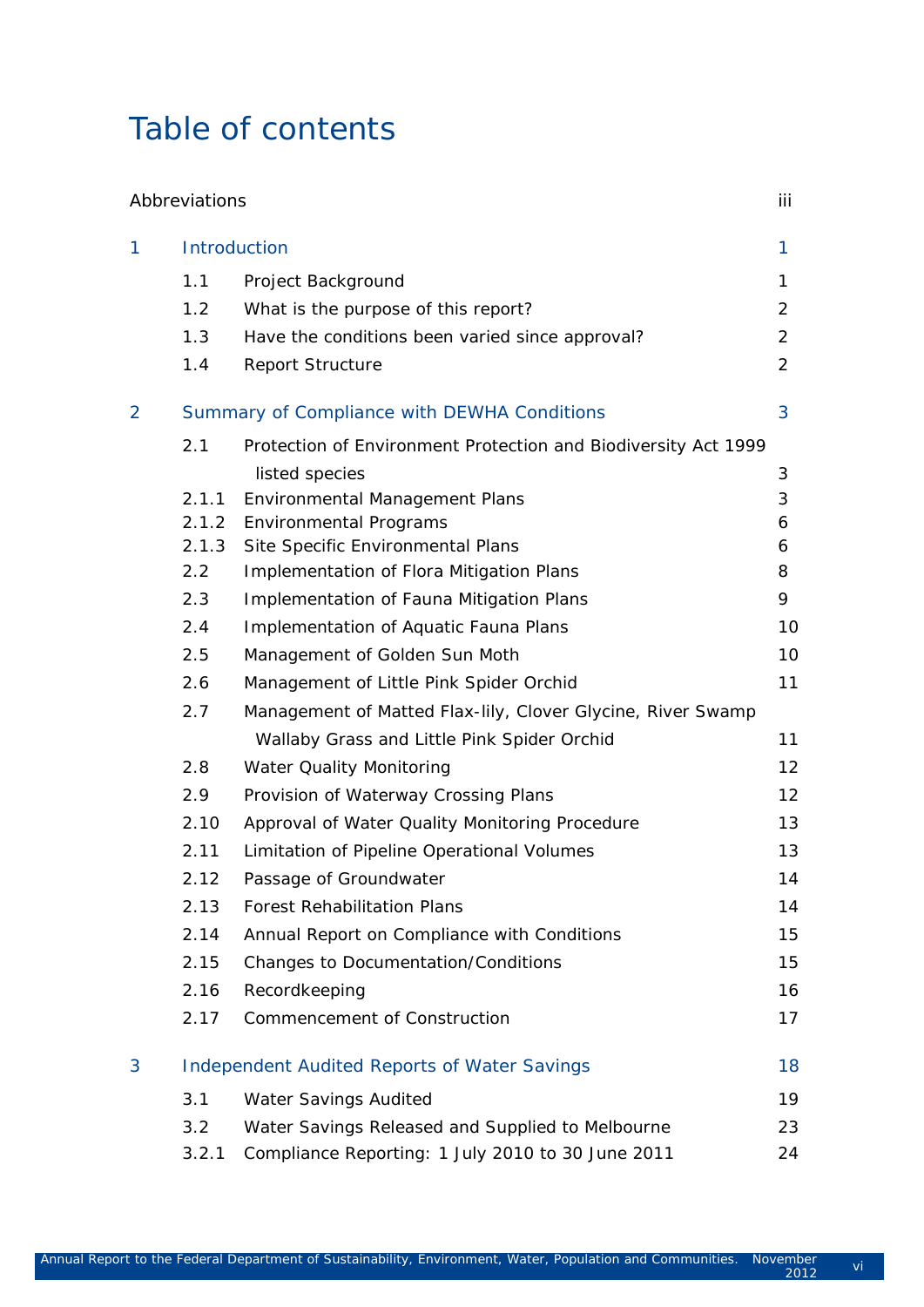# Table of contents

|                | Abbreviations |                                                                | iii |
|----------------|---------------|----------------------------------------------------------------|-----|
| 1              | Introduction  |                                                                | 1   |
|                | 1.1           | Project Background                                             | 1   |
|                | 1.2           | What is the purpose of this report?                            | 2   |
|                | 1.3           | Have the conditions been varied since approval?                | 2   |
|                | 1.4           | <b>Report Structure</b>                                        | 2   |
| $\overline{2}$ |               | Summary of Compliance with DEWHA Conditions                    | 3   |
|                | 2.1           | Protection of Environment Protection and Biodiversity Act 1999 |     |
|                |               | listed species                                                 | 3   |
|                | 2.1.1         | Environmental Management Plans                                 | 3   |
|                | 2.1.2         | <b>Environmental Programs</b>                                  | 6   |
|                | 2.1.3         | Site Specific Environmental Plans                              | 6   |
|                | 2.2           | Implementation of Flora Mitigation Plans                       | 8   |
|                | 2.3           | Implementation of Fauna Mitigation Plans                       | 9   |
|                | 2.4           | Implementation of Aquatic Fauna Plans                          | 10  |
|                | 2.5           | Management of Golden Sun Moth                                  | 10  |
|                | 2.6           | Management of Little Pink Spider Orchid                        | 11  |
|                | 2.7           | Management of Matted Flax-lily, Clover Glycine, River Swamp    |     |
|                |               | Wallaby Grass and Little Pink Spider Orchid                    | 11  |
|                | 2.8           | <b>Water Quality Monitoring</b>                                | 12  |
|                | 2.9           | Provision of Waterway Crossing Plans                           | 12  |
|                | 2.10          | Approval of Water Quality Monitoring Procedure                 | 13  |
|                | 2.11          | Limitation of Pipeline Operational Volumes                     | 13  |
|                | 2.12          | Passage of Groundwater                                         | 14  |
|                | 2.13          | <b>Forest Rehabilitation Plans</b>                             | 14  |
|                | 2.14          | Annual Report on Compliance with Conditions                    | 15  |
|                | 2.15          | Changes to Documentation/Conditions                            | 15  |
|                | 2.16          | Recordkeeping                                                  | 16  |
|                | 2.17          | <b>Commencement of Construction</b>                            | 17  |
| 3              |               | <b>Independent Audited Reports of Water Savings</b>            | 18  |
|                | 3.1           | Water Savings Audited                                          | 19  |
|                | 3.2           | Water Savings Released and Supplied to Melbourne               | 23  |
|                | 3.2.1         | Compliance Reporting: 1 July 2010 to 30 June 2011              | 24  |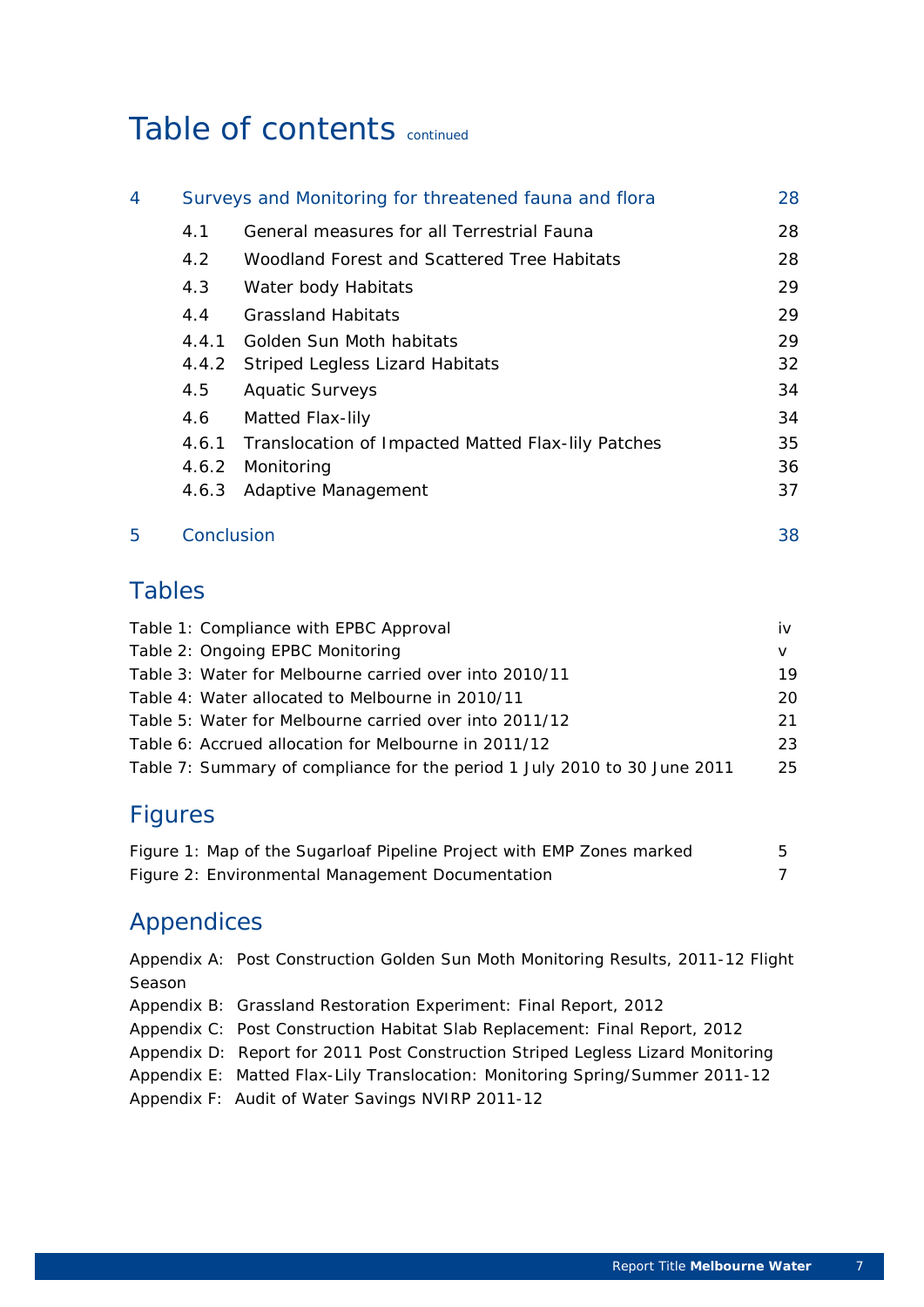# Table of contents continued

| 4 |       | Surveys and Monitoring for threatened fauna and flora | 28  |
|---|-------|-------------------------------------------------------|-----|
|   | 4.1   | General measures for all Terrestrial Fauna            | 28  |
|   | 4.2   | Woodland Forest and Scattered Tree Habitats           | 28  |
|   | 4.3   | Water body Habitats                                   | 29  |
|   | 4.4   | <b>Grassland Habitats</b>                             | 29  |
|   | 4.4.1 | Golden Sun Moth habitats                              | 29. |
|   | 4.4.2 | <b>Striped Legless Lizard Habitats</b>                | 32  |
|   | 4.5   | <b>Aquatic Surveys</b>                                | 34  |
|   | 4.6   | Matted Flax-lily                                      | 34  |
|   | 4.6.1 | Translocation of Impacted Matted Flax-lily Patches    | 35  |
|   | 4.6.2 | Monitoring                                            | 36  |
|   | 4.6.3 | Adaptive Management                                   | 37  |
|   |       |                                                       |     |

## 5 Conclusion 38

### Tables

| Table 1: Compliance with EPBC Approval                                    | iv |
|---------------------------------------------------------------------------|----|
| Table 2: Ongoing EPBC Monitoring                                          |    |
| Table 3: Water for Melbourne carried over into 2010/11                    | 19 |
| Table 4: Water allocated to Melbourne in 2010/11                          | 20 |
| Table 5: Water for Melbourne carried over into 2011/12                    | 21 |
| Table 6: Accrued allocation for Melbourne in 2011/12                      | 23 |
| Table 7: Summary of compliance for the period 1 July 2010 to 30 June 2011 | 25 |

## Figures

| Figure 1: Map of the Sugarloaf Pipeline Project with EMP Zones marked |  |
|-----------------------------------------------------------------------|--|
| Figure 2: Environmental Management Documentation                      |  |

### Appendices

Appendix A: Post Construction Golden Sun Moth Monitoring Results, 2011-12 Flight Season

- Appendix B: Grassland Restoration Experiment: Final Report, 2012
- Appendix C: Post Construction Habitat Slab Replacement: Final Report, 2012
- Appendix D: Report for 2011 Post Construction Striped Legless Lizard Monitoring
- Appendix E: Matted Flax-Lily Translocation: Monitoring Spring/Summer 2011-12

Appendix F: Audit of Water Savings NVIRP 2011-12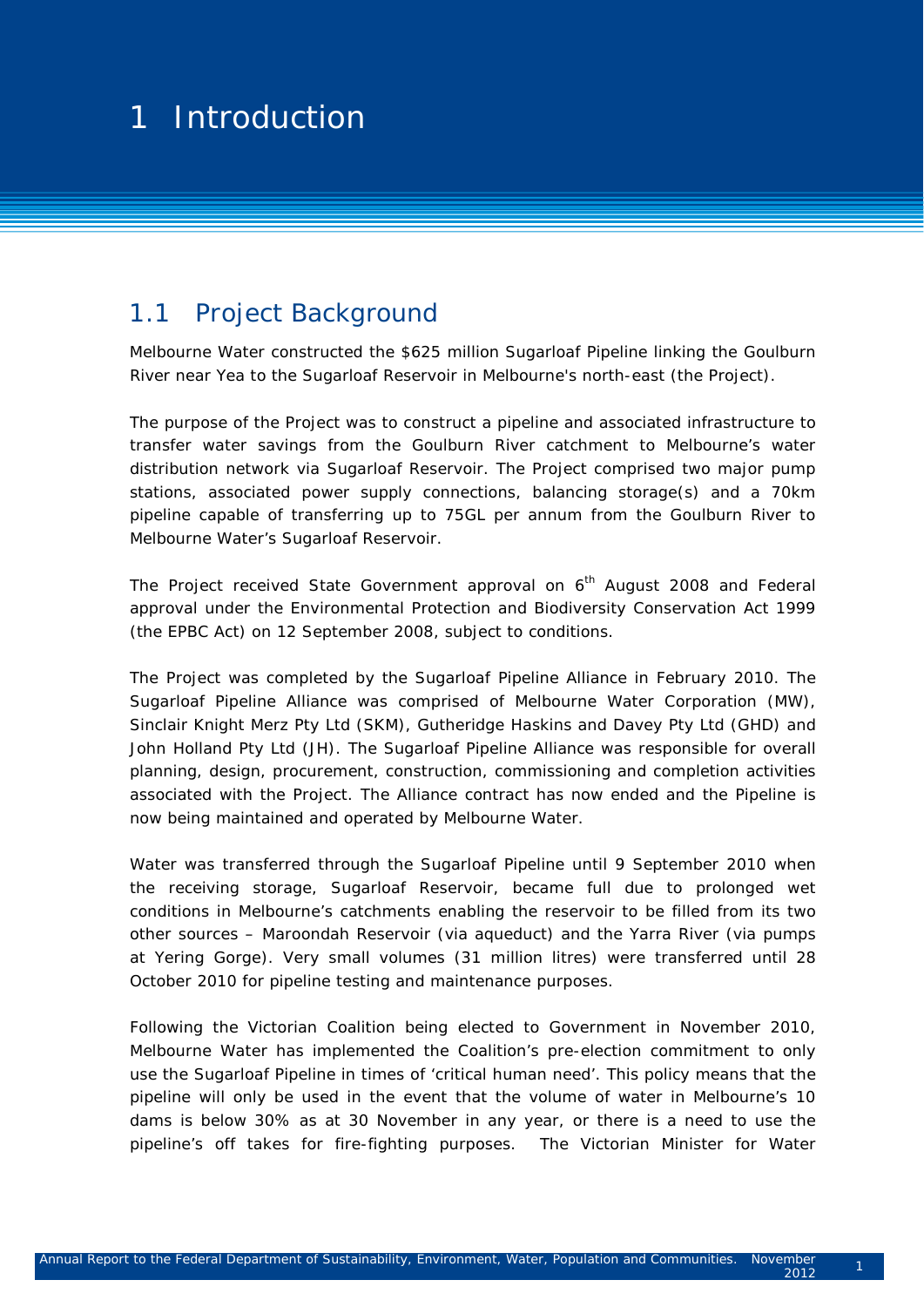#### $1 - 1$  stready setting  $\alpha$ 1 1 Introduction

### 1.1 Project Background

Melbourne Water constructed the \$625 million Sugarloaf Pipeline linking the Goulburn River near Yea to the Sugarloaf Reservoir in Melbourne's north-east (*the Project*).

The purpose of the Project was to construct a pipeline and associated infrastructure to transfer water savings from the Goulburn River catchment to Melbourne's water distribution network via Sugarloaf Reservoir. The Project comprised two major pump stations, associated power supply connections, balancing storage(s) and a 70km pipeline capable of transferring up to 75GL per annum from the Goulburn River to Melbourne Water's Sugarloaf Reservoir.

The Project received State Government approval on 6<sup>th</sup> August 2008 and Federal approval under the Environmental Protection and Biodiversity Conservation Act 1999 (*the EPBC Act*) on 12 September 2008, subject to conditions.

The Project was completed by the Sugarloaf Pipeline Alliance in February 2010. The Sugarloaf Pipeline Alliance was comprised of Melbourne Water Corporation (MW), Sinclair Knight Merz Pty Ltd (SKM), Gutheridge Haskins and Davey Pty Ltd (GHD) and John Holland Pty Ltd (JH). The Sugarloaf Pipeline Alliance was responsible for overall planning, design, procurement, construction, commissioning and completion activities associated with the Project. The Alliance contract has now ended and the Pipeline is now being maintained and operated by Melbourne Water.

Water was transferred through the Sugarloaf Pipeline until 9 September 2010 when the receiving storage, Sugarloaf Reservoir, became full due to prolonged wet conditions in Melbourne's catchments enabling the reservoir to be filled from its two other sources – Maroondah Reservoir (via aqueduct) and the Yarra River (via pumps at Yering Gorge). Very small volumes (31 million litres) were transferred until 28 October 2010 for pipeline testing and maintenance purposes.

Following the Victorian Coalition being elected to Government in November 2010, Melbourne Water has implemented the Coalition's pre-election commitment to only use the Sugarloaf Pipeline in times of 'critical human need'. This policy means that the pipeline will only be used in the event that the volume of water in Melbourne's 10 dams is below 30% as at 30 November in any year, or there is a need to use the pipeline's off takes for fire-fighting purposes. The Victorian Minister for Water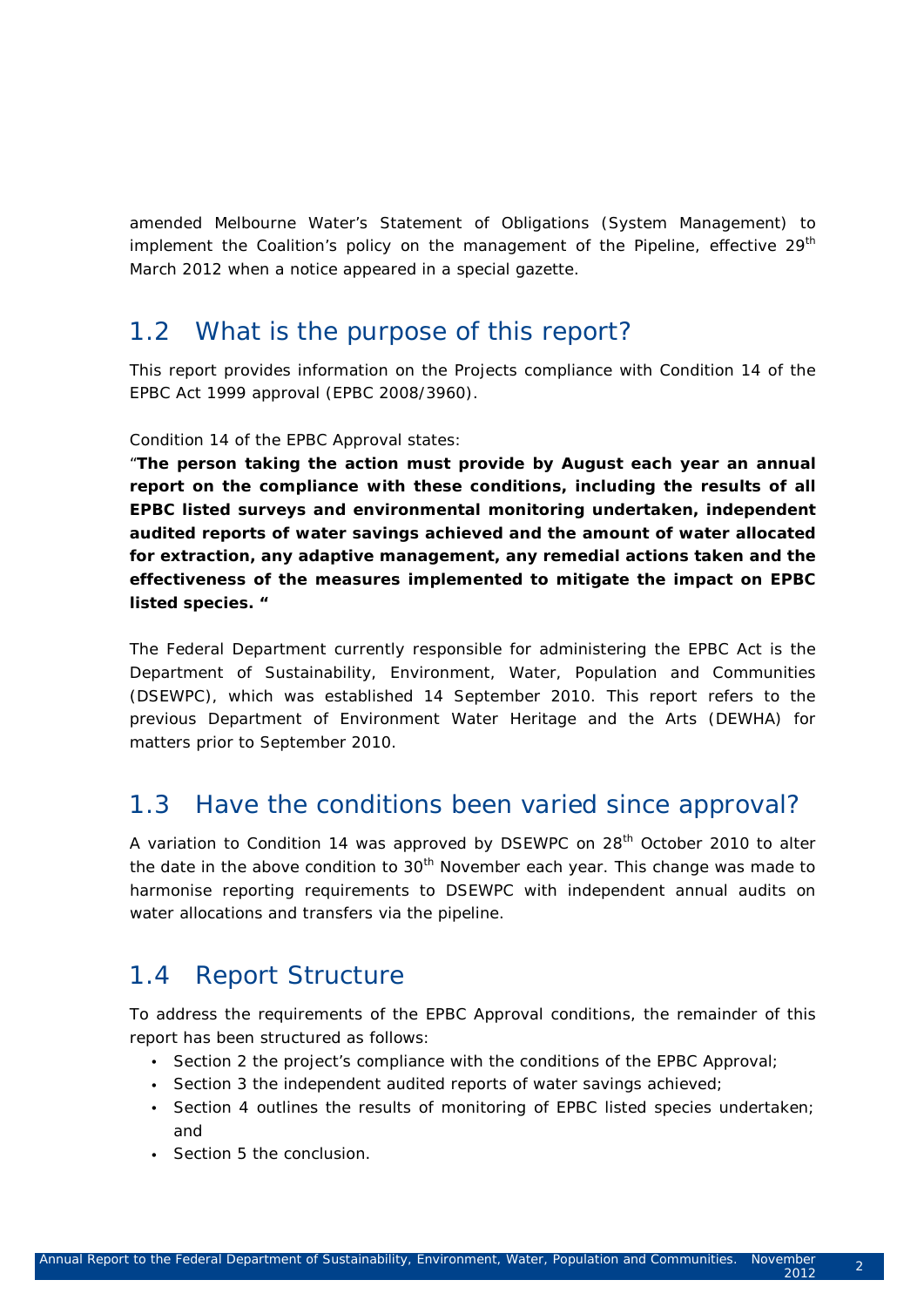amended Melbourne Water's *Statement of Obligations (System Management)* to implement the Coalition's policy on the management of the Pipeline, effective 29<sup>th</sup> March 2012 when a notice appeared in a special gazette.

### 1.2 What is the purpose of this report?

This report provides information on the Projects compliance with Condition 14 of the *EPBC Act 1999* approval (EPBC 2008/3960).

#### Condition 14 of the EPBC Approval states:

"*The person taking the action must provide by August each year an annual report on the compliance with these conditions, including the results of all EPBC listed surveys and environmental monitoring undertaken, independent audited reports of water savings achieved and the amount of water allocated for extraction, any adaptive management, any remedial actions taken and the effectiveness of the measures implemented to mitigate the impact on EPBC listed species. "*

The Federal Department currently responsible for administering the EPBC Act is the Department of Sustainability, Environment, Water, Population and Communities (DSEWPC), which was established 14 September 2010. This report refers to the previous Department of Environment Water Heritage and the Arts (DEWHA) for matters prior to September 2010.

### 1.3 Have the conditions been varied since approval?

A variation to Condition 14 was approved by DSEWPC on 28<sup>th</sup> October 2010 to alter the date in the above condition to  $30<sup>th</sup>$  November each year. This change was made to harmonise reporting requirements to DSEWPC with independent annual audits on water allocations and transfers via the pipeline.

### 1.4 Report Structure

To address the requirements of the EPBC Approval conditions, the remainder of this report has been structured as follows:

- Section 2 the project's compliance with the conditions of the EPBC Approval;
- Section 3 the independent audited reports of water savings achieved;
- Section 4 outlines the results of monitoring of EPBC listed species undertaken; and
- Section 5 the conclusion.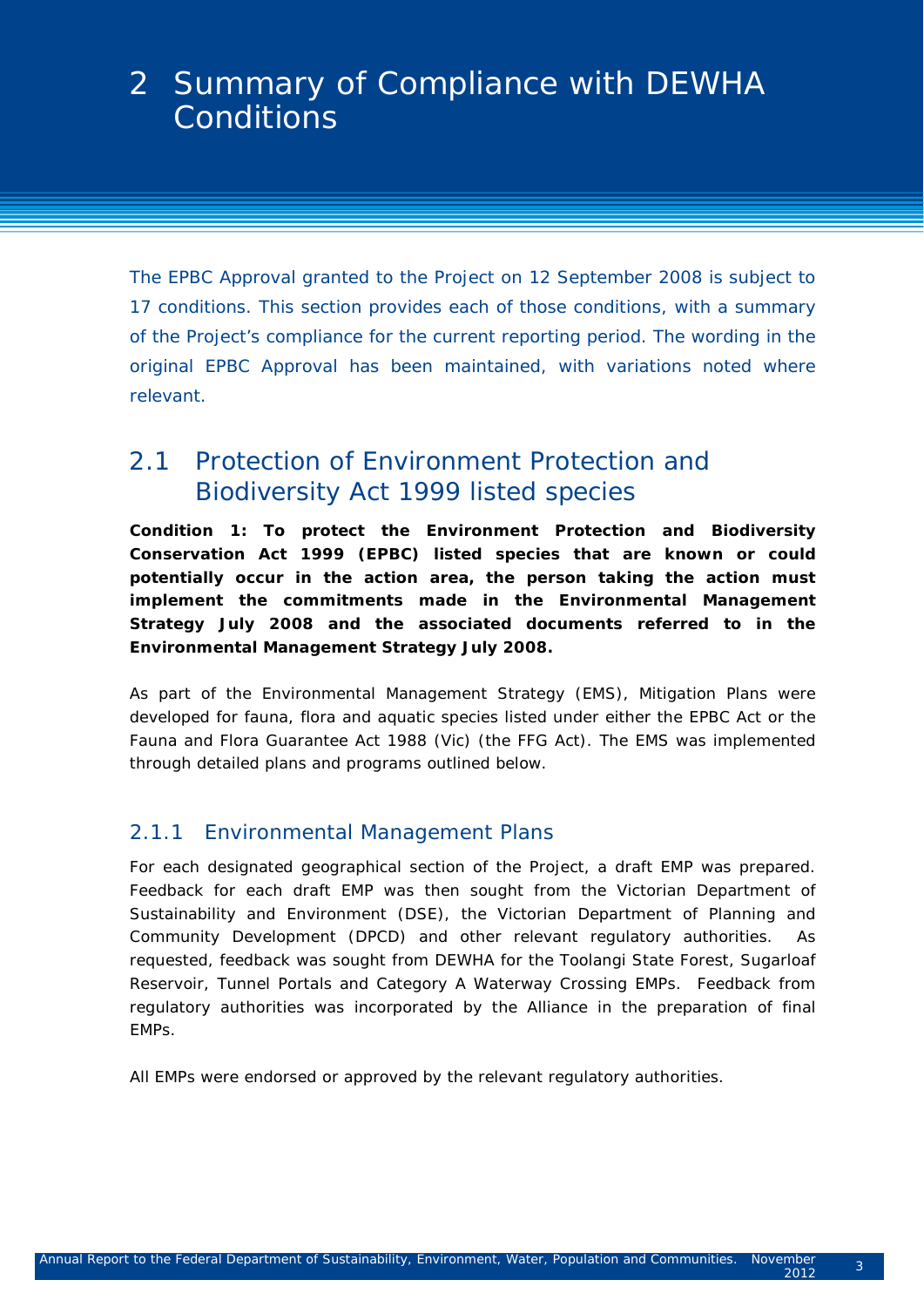The EPBC Approval granted to the Project on 12 September 2008 is subject to 17 conditions. This section provides each of those conditions, with a summary of the Project's compliance for the current reporting period. The wording in the original EPBC Approval has been maintained, with variations noted where relevant.

### 2.1 Protection of *Environment Protection and Biodiversity Act* 1999 listed species

*Condition 1: To protect the Environment Protection and Biodiversity Conservation Act 1999 (EPBC) listed species that are known or could potentially occur in the action area, the person taking the action must implement the commitments made in the Environmental Management Strategy July 2008 and the associated documents referred to in the Environmental Management Strategy July 2008.* 

As part of the Environmental Management Strategy (EMS), Mitigation Plans were developed for fauna, flora and aquatic species listed under either the EPBC Act or the Fauna and Flora Guarantee Act 1988 (Vic) (the FFG Act). The EMS was implemented through detailed plans and programs outlined below.

#### 2.1.1 Environmental Management Plans

For each designated geographical section of the Project, a draft EMP was prepared. Feedback for each draft EMP was then sought from the Victorian Department of Sustainability and Environment (DSE), the Victorian Department of Planning and Community Development (DPCD) and other relevant regulatory authorities. As requested, feedback was sought from DEWHA for the Toolangi State Forest, Sugarloaf Reservoir, Tunnel Portals and Category A Waterway Crossing EMPs. Feedback from regulatory authorities was incorporated by the Alliance in the preparation of final EMPs.

All EMPs were endorsed or approved by the relevant regulatory authorities.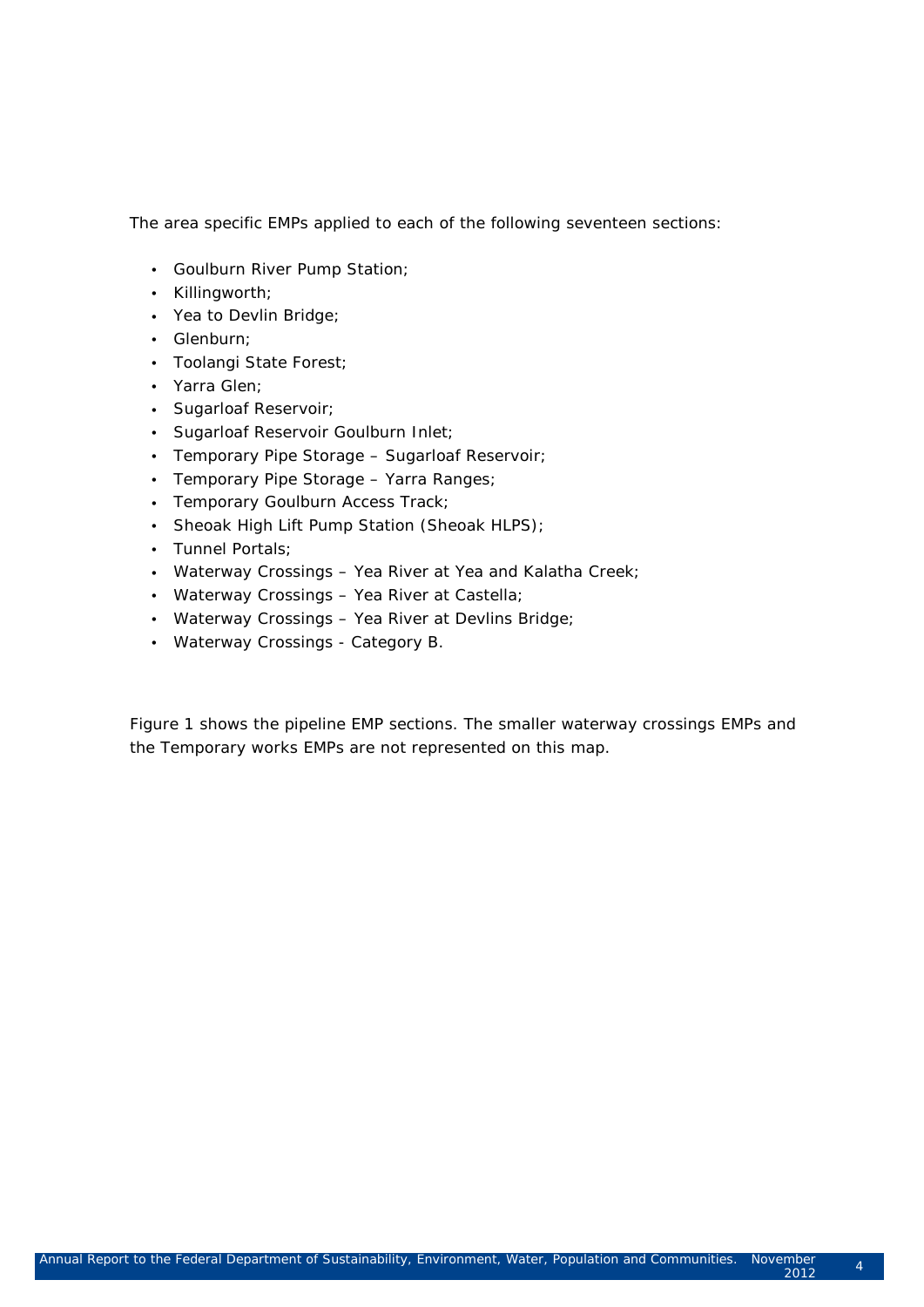The area specific EMPs applied to each of the following seventeen sections:

- Goulburn River Pump Station;
- Killingworth;
- Yea to Devlin Bridge;
- Glenburn;
- Toolangi State Forest;
- Yarra Glen;
- Sugarloaf Reservoir;
- Sugarloaf Reservoir Goulburn Inlet;
- Temporary Pipe Storage Sugarloaf Reservoir;
- Temporary Pipe Storage Yarra Ranges;
- Temporary Goulburn Access Track;
- Sheoak High Lift Pump Station (Sheoak HLPS);
- Tunnel Portals;
- Waterway Crossings Yea River at Yea and Kalatha Creek;
- Waterway Crossings Yea River at Castella;
- Waterway Crossings Yea River at Devlins Bridge;
- Waterway Crossings Category B.

Figure 1 shows the pipeline EMP sections. The smaller waterway crossings EMPs and the Temporary works EMPs are not represented on this map.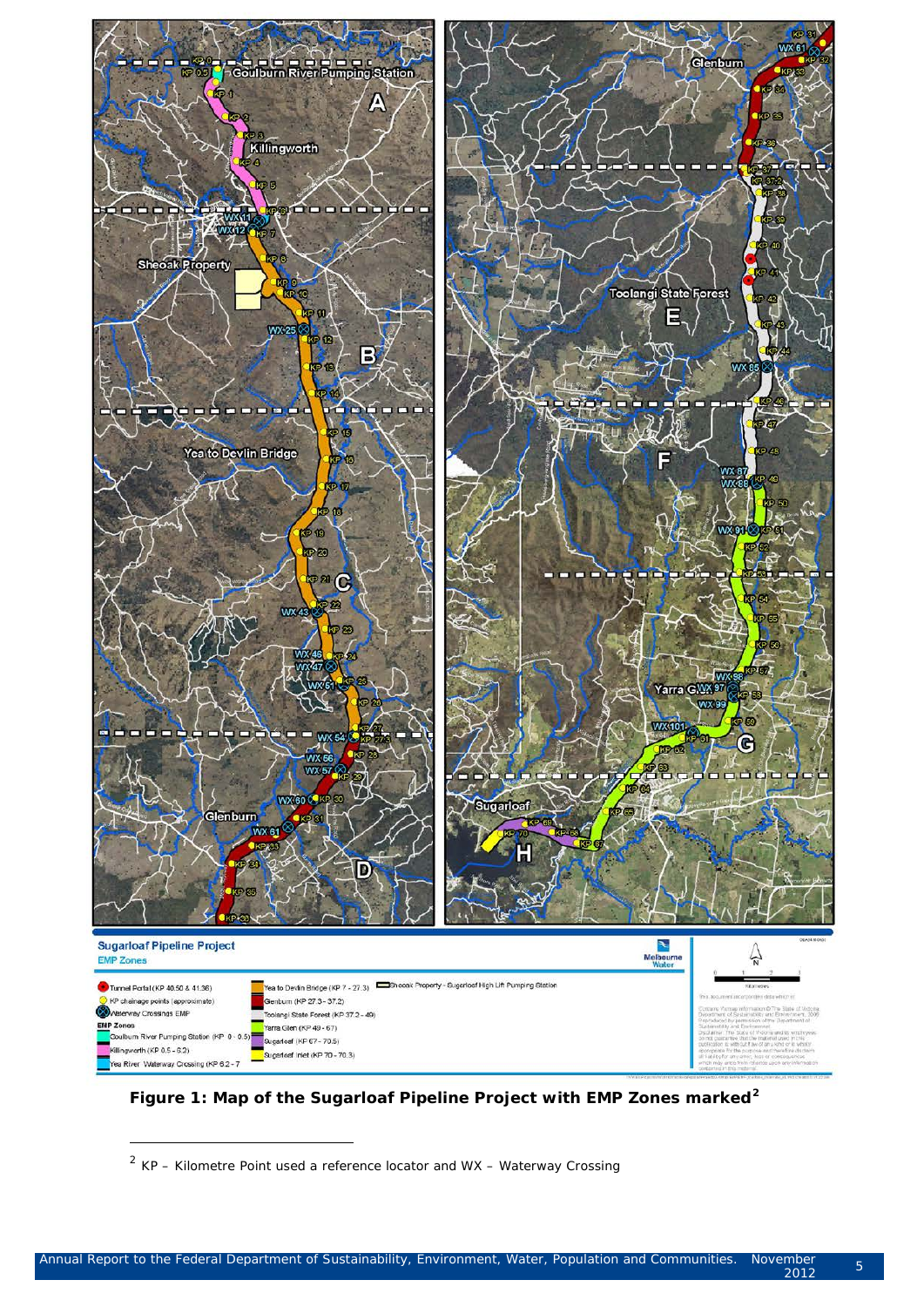

**Figure 1: Map of the Sugarloaf Pipeline Project with EMP Zones marked[2](#page-12-0)**

-

<span id="page-12-0"></span> $2$  KP – Kilometre Point used a reference locator and WX – Waterway Crossing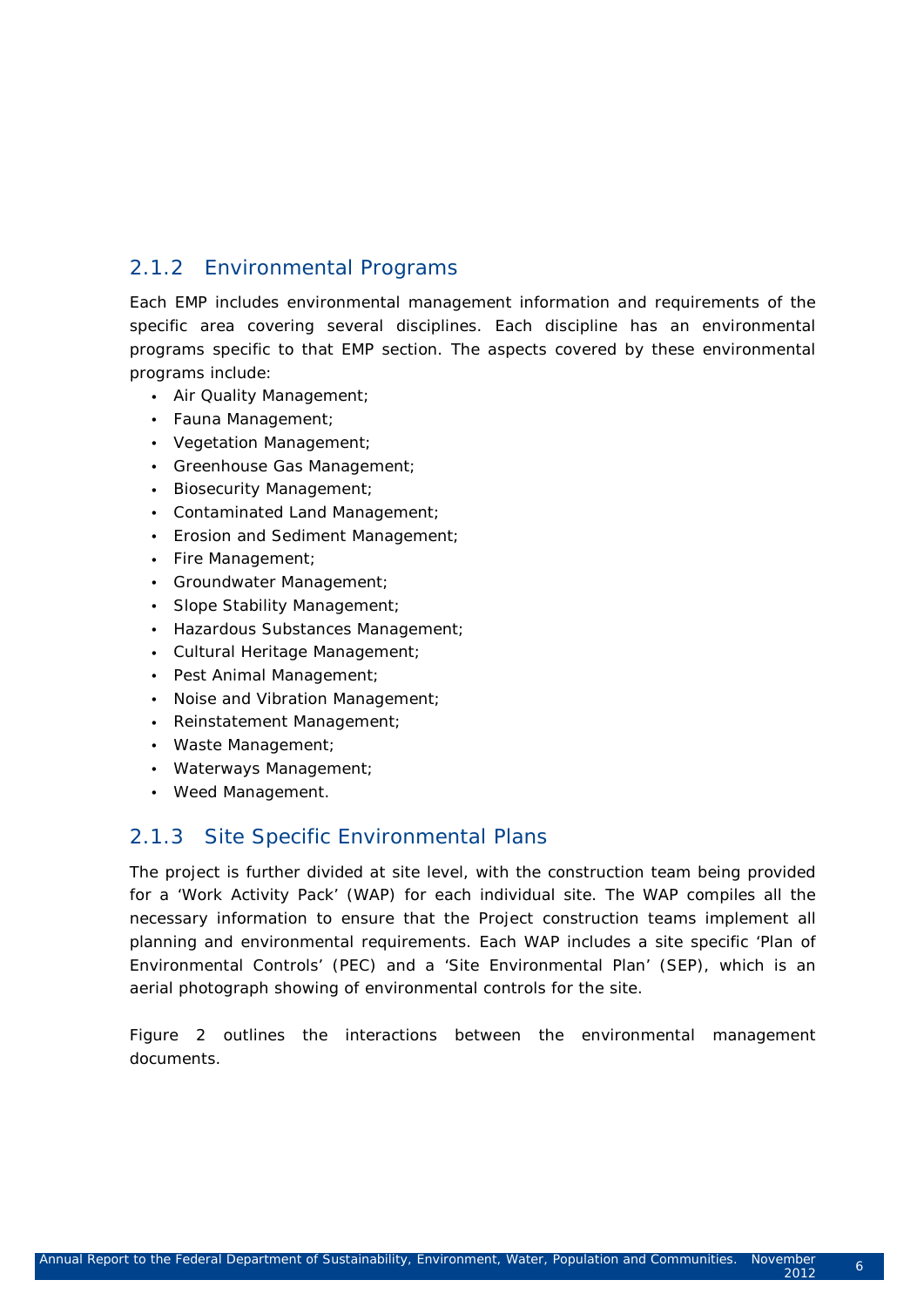### 2.1.2 Environmental Programs

Each EMP includes environmental management information and requirements of the specific area covering several disciplines. Each discipline has an environmental programs specific to that EMP section. The aspects covered by these environmental programs include:

- Air Quality Management;
- Fauna Management;
- Vegetation Management;
- Greenhouse Gas Management;
- Biosecurity Management;
- Contaminated Land Management;
- Erosion and Sediment Management;
- Fire Management;
- Groundwater Management;
- Slope Stability Management;
- Hazardous Substances Management;
- Cultural Heritage Management;
- Pest Animal Management;
- Noise and Vibration Management;
- Reinstatement Management;
- Waste Management;
- Waterways Management;
- Weed Management.

#### 2.1.3 Site Specific Environmental Plans

The project is further divided at site level, with the construction team being provided for a 'Work Activity Pack' (WAP) for each individual site. The WAP compiles all the necessary information to ensure that the Project construction teams implement all planning and environmental requirements. Each WAP includes a site specific 'Plan of Environmental Controls' (PEC) and a 'Site Environmental Plan' (SEP), which is an aerial photograph showing of environmental controls for the site.

Figure 2 outlines the interactions between the environmental management documents.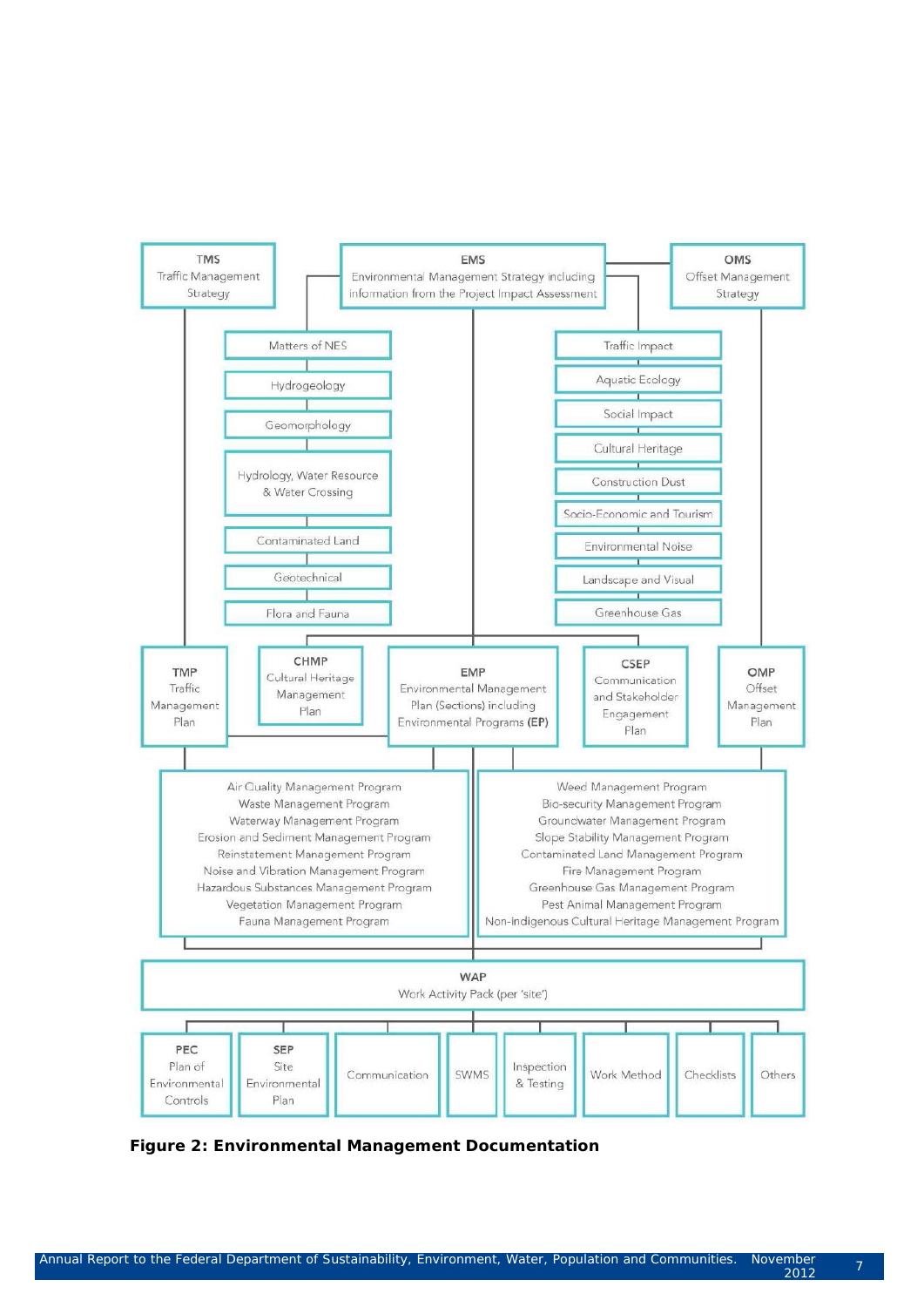

**Figure 2: Environmental Management Documentation**

mper – 7<br>2012 – 7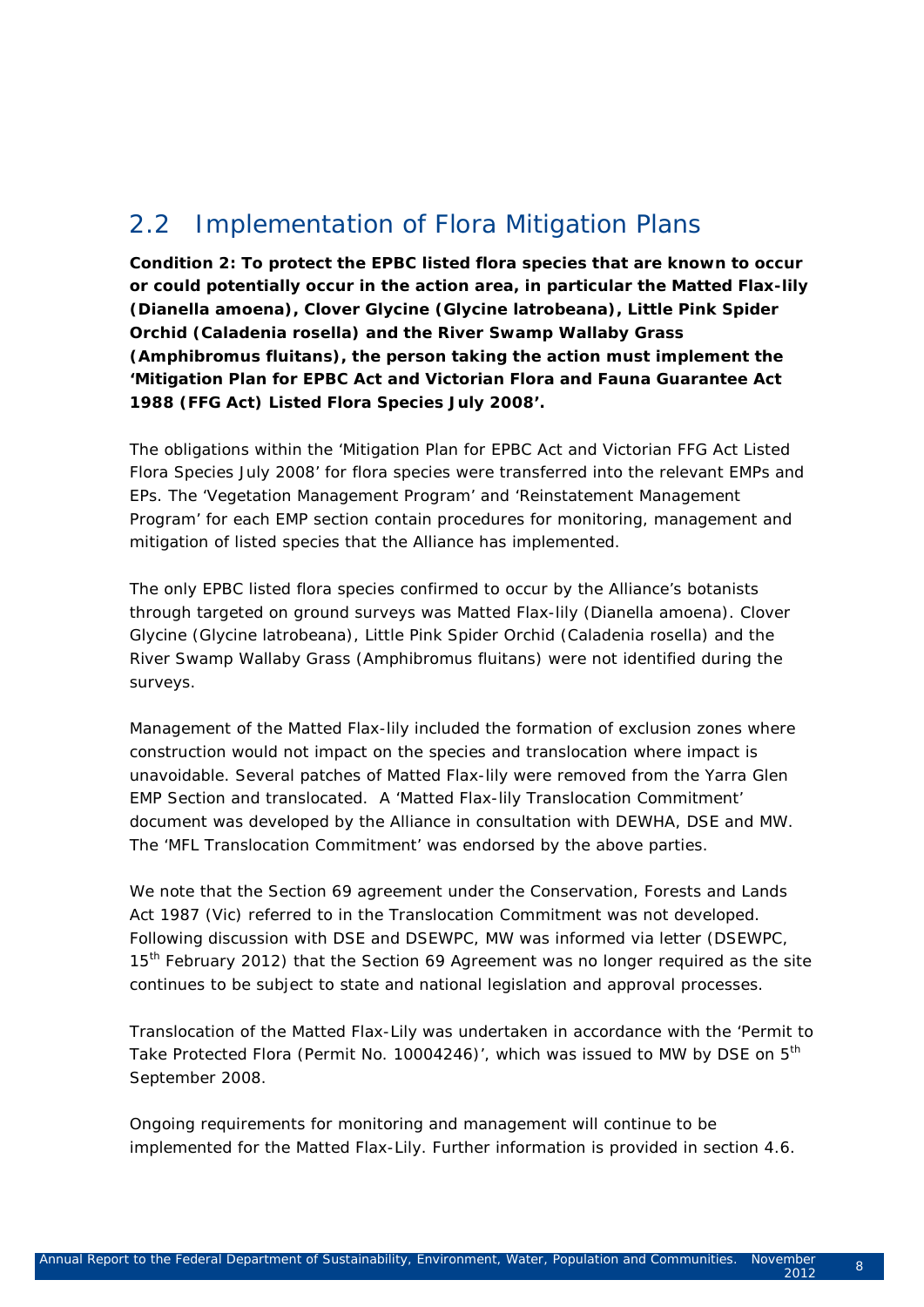## 2.2 Implementation of Flora Mitigation Plans

*Condition 2: To protect the EPBC listed flora species that are known to occur or could potentially occur in the action area, in particular the Matted Flax-lily (Dianella amoena), Clover Glycine (Glycine latrobeana), Little Pink Spider Orchid (Caladenia rosella) and the River Swamp Wallaby Grass (Amphibromus fluitans), the person taking the action must implement the 'Mitigation Plan for EPBC Act and Victorian Flora and Fauna Guarantee Act 1988 (FFG Act) Listed Flora Species July 2008'.*

The obligations within the 'Mitigation Plan for EPBC Act and Victorian FFG Act Listed Flora Species July 2008' for flora species were transferred into the relevant EMPs and EPs. The 'Vegetation Management Program' and 'Reinstatement Management Program' for each EMP section contain procedures for monitoring, management and mitigation of listed species that the Alliance has implemented.

The only EPBC listed flora species confirmed to occur by the Alliance's botanists through targeted on ground surveys was Matted Flax-lily (*Dianella amoena*). *Clover Glycine (Glycine latrobeana), Little Pink Spider Orchid (Caladenia rosella) and the River Swamp Wallaby Grass (Amphibromus fluitans)* were not identified during the surveys.

Management of the Matted Flax-lily included the formation of exclusion zones where construction would not impact on the species and translocation where impact is unavoidable. Several patches of Matted Flax-lily were removed from the Yarra Glen EMP Section and translocated. A 'Matted Flax-lily Translocation Commitment' document was developed by the Alliance in consultation with DEWHA, DSE and MW. The 'MFL Translocation Commitment' was endorsed by the above parties.

We note that the Section 69 agreement under the *Conservation, Forests and Lands Act 1987* (Vic) referred to in the Translocation Commitment was not developed. Following discussion with DSE and DSEWPC, MW was informed via letter (DSEWPC, 15<sup>th</sup> February 2012) that the Section 69 Agreement was no longer required as the site continues to be subject to state and national legislation and approval processes.

Translocation of the Matted Flax-Lily was undertaken in accordance with the 'Permit to Take Protected Flora (Permit No. 10004246)', which was issued to MW by DSE on 5<sup>th</sup> September 2008.

Ongoing requirements for monitoring and management will continue to be implemented for the Matted Flax-Lily. Further information is provided in section 4.6.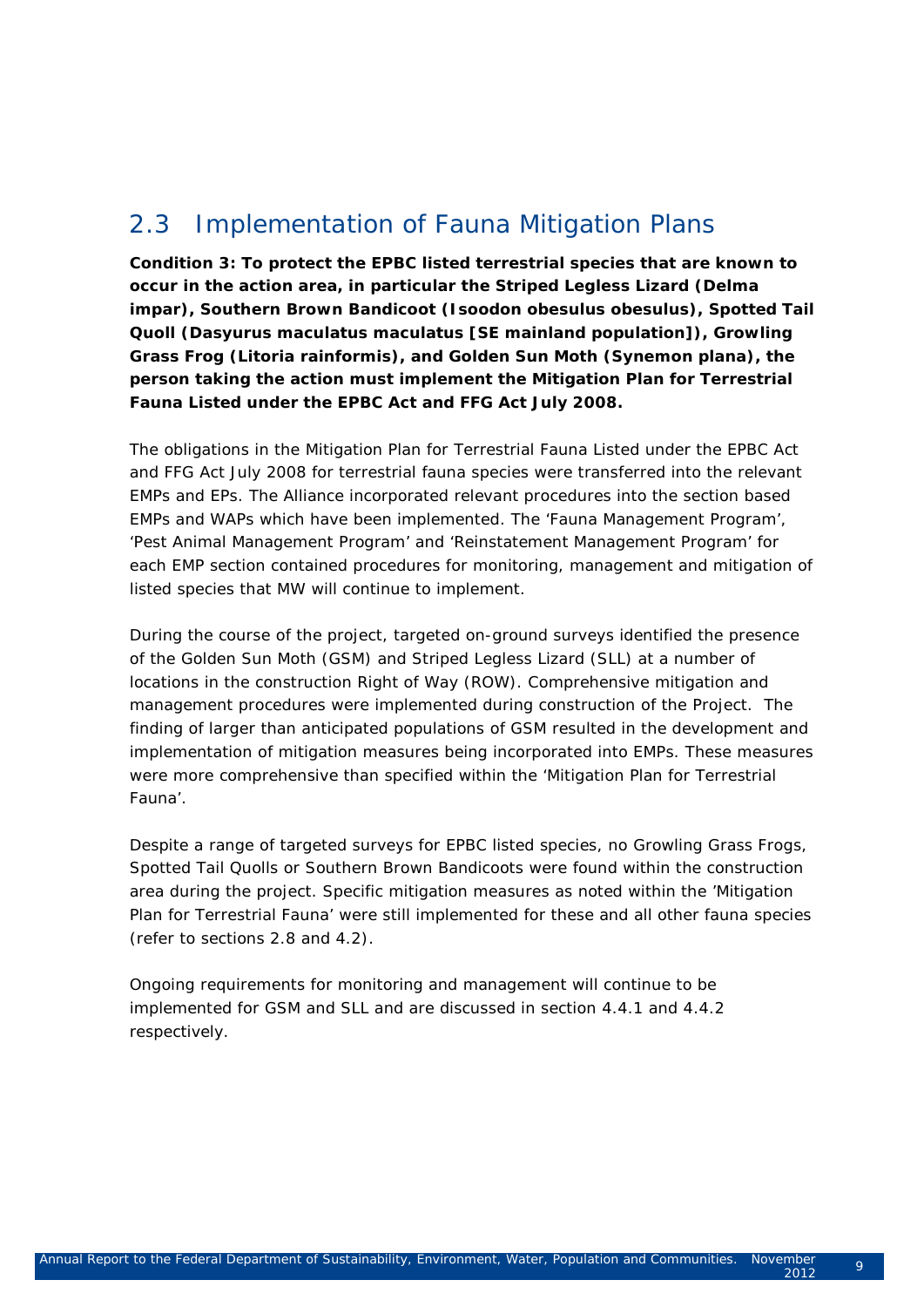## 2.3 Implementation of Fauna Mitigation Plans

*Condition 3: To protect the EPBC listed terrestrial species that are known to occur in the action area, in particular the Striped Legless Lizard (Delma impar), Southern Brown Bandicoot (Isoodon obesulus obesulus), Spotted Tail Quoll (Dasyurus maculatus maculatus [SE mainland population]), Growling Grass Frog (Litoria rainformis), and Golden Sun Moth (Synemon plana), the person taking the action must implement the Mitigation Plan for Terrestrial Fauna Listed under the EPBC Act and FFG Act July 2008.* 

The obligations in the Mitigation Plan for Terrestrial Fauna Listed under the EPBC Act and FFG Act July 2008 for terrestrial fauna species were transferred into the relevant EMPs and EPs. The Alliance incorporated relevant procedures into the section based EMPs and WAPs which have been implemented. The 'Fauna Management Program', 'Pest Animal Management Program' and 'Reinstatement Management Program' for each EMP section contained procedures for monitoring, management and mitigation of listed species that MW will continue to implement.

During the course of the project, targeted on-ground surveys identified the presence of the Golden Sun Moth (GSM) and Striped Legless Lizard (SLL) at a number of locations in the construction Right of Way (ROW). Comprehensive mitigation and management procedures were implemented during construction of the Project. The finding of larger than anticipated populations of GSM resulted in the development and implementation of mitigation measures being incorporated into EMPs. These measures were more comprehensive than specified within the 'Mitigation Plan for Terrestrial Fauna'.

Despite a range of targeted surveys for EPBC listed species, no Growling Grass Frogs, Spotted Tail Quolls or Southern Brown Bandicoots were found within the construction area during the project. Specific mitigation measures as noted within the 'Mitigation Plan for Terrestrial Fauna' were still implemented for these and all other fauna species (refer to sections 2.8 and 4.2).

Ongoing requirements for monitoring and management will continue to be implemented for GSM and SLL and are discussed in section 4.4.1 and 4.4.2 respectively.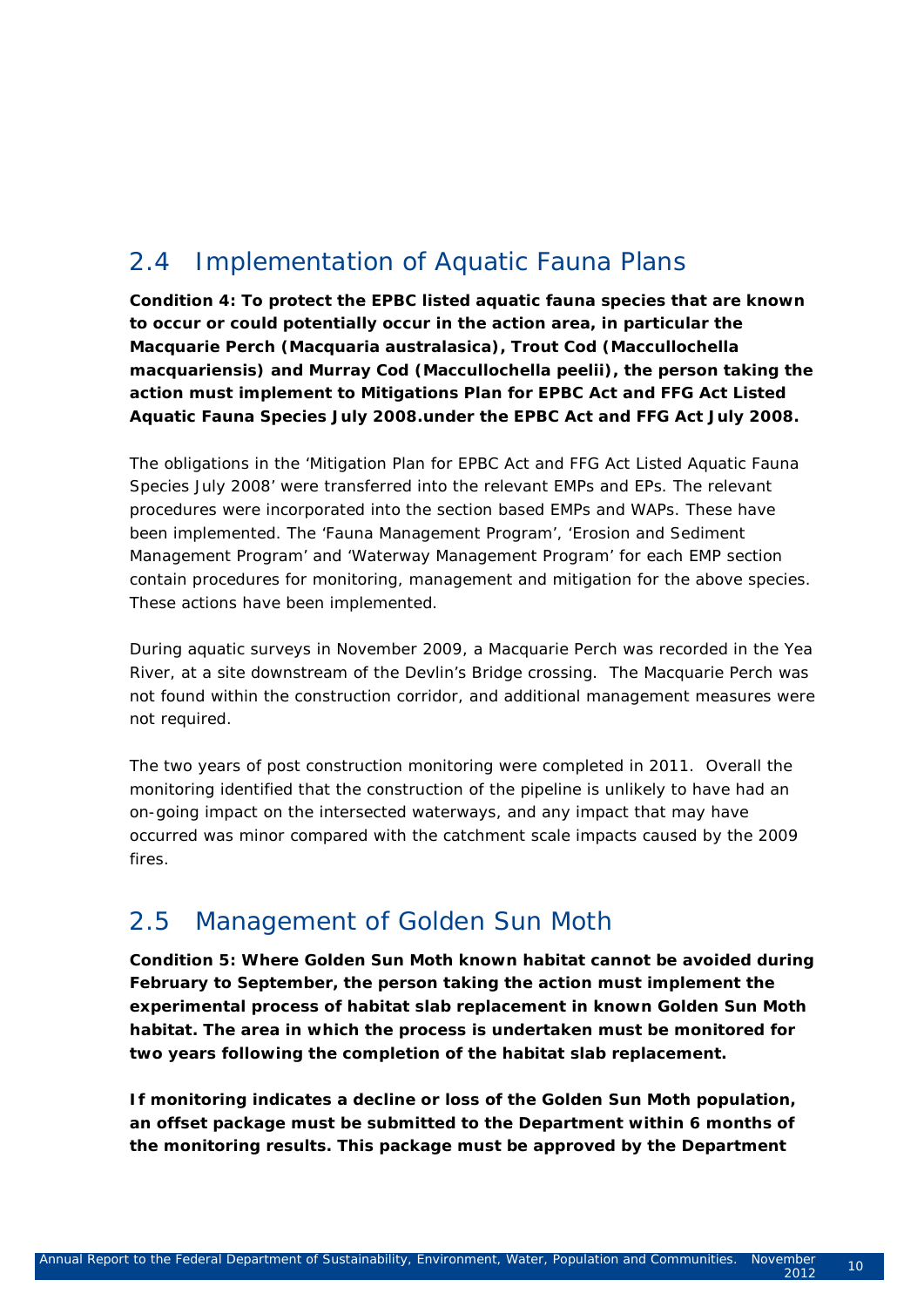## 2.4 Implementation of Aquatic Fauna Plans

*Condition 4: To protect the EPBC listed aquatic fauna species that are known to occur or could potentially occur in the action area, in particular the Macquarie Perch (Macquaria australasica), Trout Cod (Maccullochella macquariensis) and Murray Cod (Maccullochella peelii), the person taking the action must implement to Mitigations Plan for EPBC Act and FFG Act Listed Aquatic Fauna Species July 2008.under the EPBC Act and FFG Act July 2008.*

The obligations in the 'Mitigation Plan for EPBC Act and FFG Act Listed Aquatic Fauna Species July 2008' were transferred into the relevant EMPs and EPs. The relevant procedures were incorporated into the section based EMPs and WAPs. These have been implemented. The 'Fauna Management Program', 'Erosion and Sediment Management Program' and 'Waterway Management Program' for each EMP section contain procedures for monitoring, management and mitigation for the above species. These actions have been implemented.

During aquatic surveys in November 2009, a Macquarie Perch was recorded in the Yea River, at a site downstream of the Devlin's Bridge crossing. The Macquarie Perch was not found within the construction corridor, and additional management measures were not required.

The two years of post construction monitoring were completed in 2011. Overall the monitoring identified that the construction of the pipeline is unlikely to have had an on-going impact on the intersected waterways, and any impact that may have occurred was minor compared with the catchment scale impacts caused by the 2009 fires.

### 2.5 Management of Golden Sun Moth

*Condition 5: Where Golden Sun Moth known habitat cannot be avoided during February to September, the person taking the action must implement the experimental process of habitat slab replacement in known Golden Sun Moth habitat. The area in which the process is undertaken must be monitored for two years following the completion of the habitat slab replacement.*

*If monitoring indicates a decline or loss of the Golden Sun Moth population, an offset package must be submitted to the Department within 6 months of the monitoring results. This package must be approved by the Department*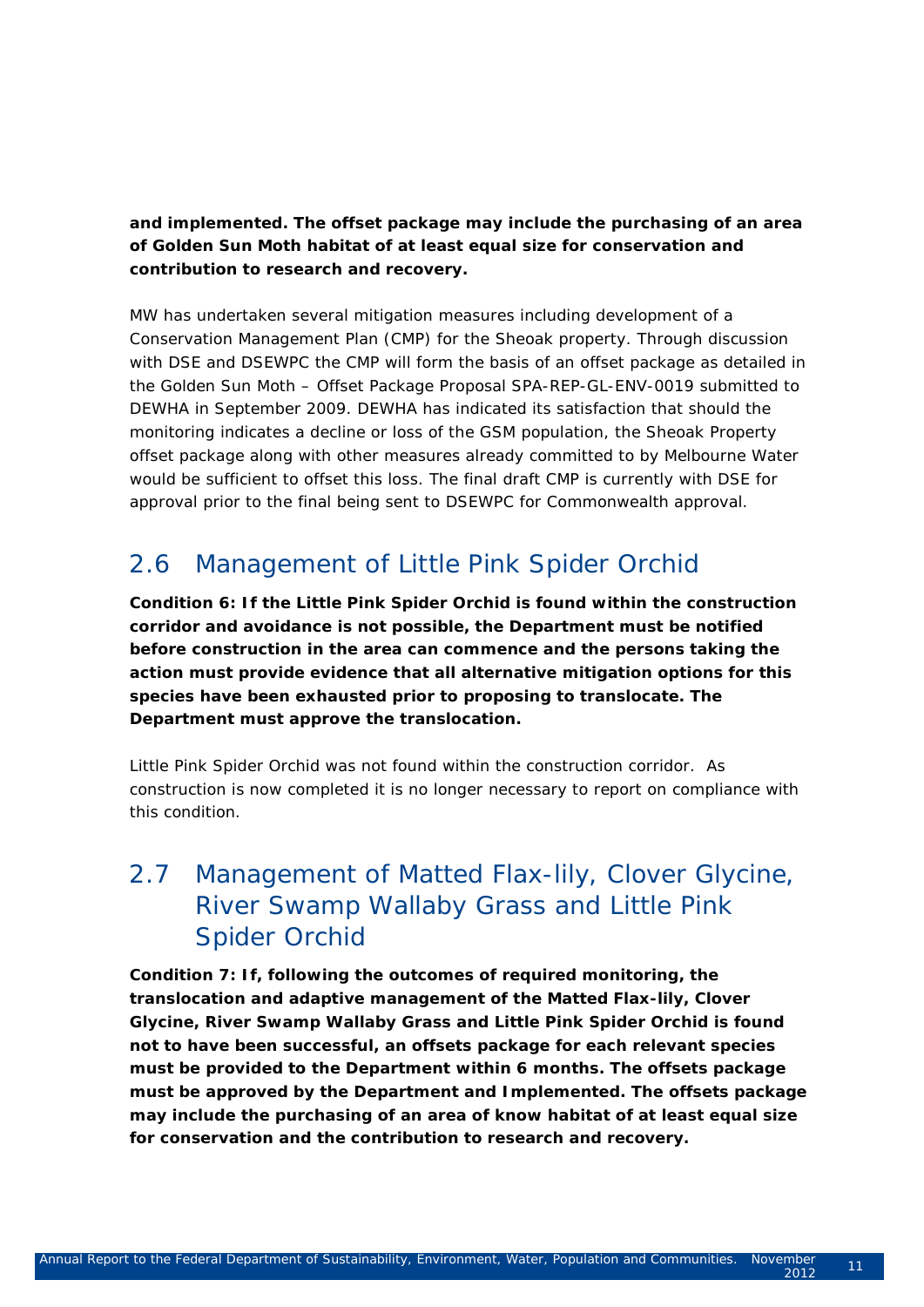*and implemented. The offset package may include the purchasing of an area of Golden Sun Moth habitat of at least equal size for conservation and contribution to research and recovery.* 

MW has undertaken several mitigation measures including development of a Conservation Management Plan (CMP) for the Sheoak property. Through discussion with DSE and DSEWPC the CMP will form the basis of an offset package as detailed in the Golden Sun Moth – Offset Package Proposal SPA-REP-GL-ENV-0019 submitted to DEWHA in September 2009. DEWHA has indicated its satisfaction that should the monitoring indicates a decline or loss of the GSM population, the Sheoak Property offset package along with other measures already committed to by Melbourne Water would be sufficient to offset this loss. The final draft CMP is currently with DSE for approval prior to the final being sent to DSEWPC for Commonwealth approval.

## 2.6 Management of Little Pink Spider Orchid

*Condition 6: If the Little Pink Spider Orchid is found within the construction corridor and avoidance is not possible, the Department must be notified before construction in the area can commence and the persons taking the action must provide evidence that all alternative mitigation options for this species have been exhausted prior to proposing to translocate. The Department must approve the translocation.*

Little Pink Spider Orchid was not found within the construction corridor. As construction is now completed it is no longer necessary to report on compliance with this condition.

## 2.7 Management of Matted Flax-lily, Clover Glycine, River Swamp Wallaby Grass and Little Pink Spider Orchid

*Condition 7: If, following the outcomes of required monitoring, the translocation and adaptive management of the Matted Flax-lily, Clover Glycine, River Swamp Wallaby Grass and Little Pink Spider Orchid is found not to have been successful, an offsets package for each relevant species must be provided to the Department within 6 months. The offsets package must be approved by the Department and Implemented. The offsets package may include the purchasing of an area of know habitat of at least equal size for conservation and the contribution to research and recovery.*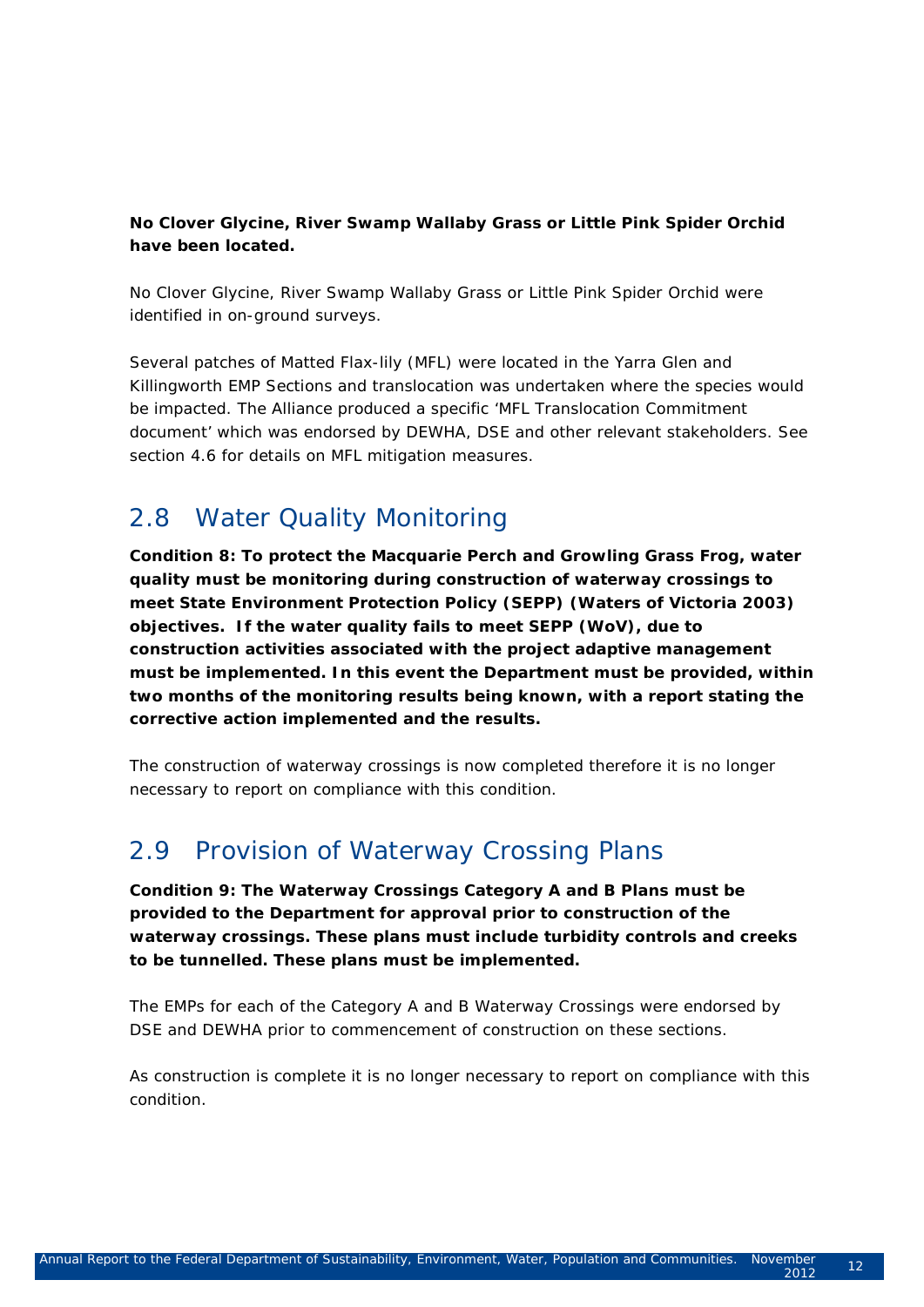#### *No Clover Glycine, River Swamp Wallaby Grass or Little Pink Spider Orchid have been located.*

No Clover Glycine, River Swamp Wallaby Grass or Little Pink Spider Orchid were identified in on-ground surveys.

Several patches of Matted Flax-lily (MFL) were located in the Yarra Glen and Killingworth EMP Sections and translocation was undertaken where the species would be impacted. The Alliance produced a specific 'MFL Translocation Commitment document' which was endorsed by DEWHA, DSE and other relevant stakeholders. See section 4.6 for details on MFL mitigation measures.

## 2.8 Water Quality Monitoring

*Condition 8: To protect the Macquarie Perch and Growling Grass Frog, water quality must be monitoring during construction of waterway crossings to meet State Environment Protection Policy (SEPP) (Waters of Victoria 2003) objectives. If the water quality fails to meet SEPP (WoV), due to construction activities associated with the project adaptive management must be implemented. In this event the Department must be provided, within two months of the monitoring results being known, with a report stating the corrective action implemented and the results.*

The construction of waterway crossings is now completed therefore it is no longer necessary to report on compliance with this condition.

## 2.9 Provision of Waterway Crossing Plans

*Condition 9: The Waterway Crossings Category A and B Plans must be provided to the Department for approval prior to construction of the waterway crossings. These plans must include turbidity controls and creeks to be tunnelled. These plans must be implemented.*

The EMPs for each of the Category A and B Waterway Crossings were endorsed by DSE and DEWHA prior to commencement of construction on these sections.

As construction is complete it is no longer necessary to report on compliance with this condition.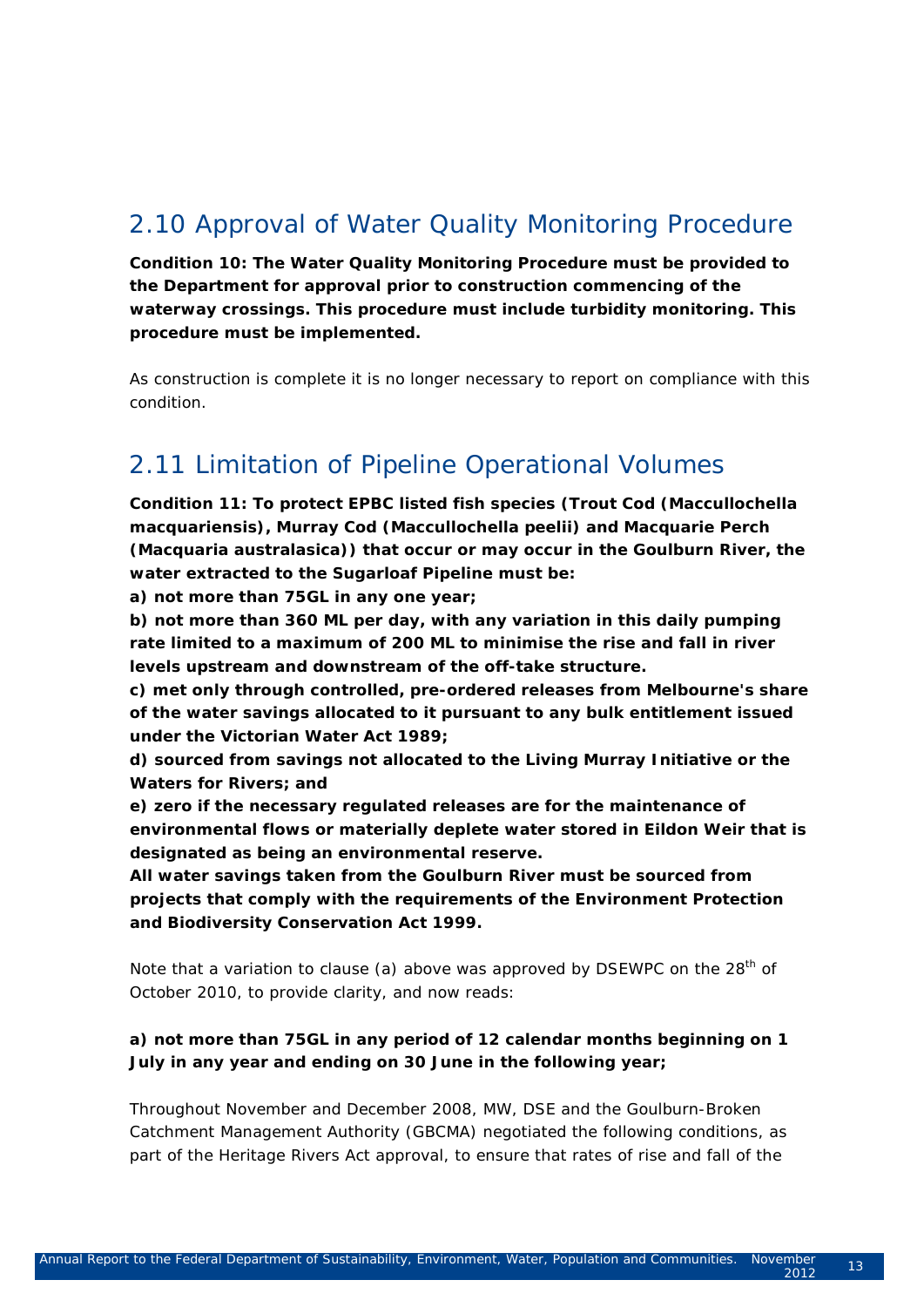## 2.10 Approval of Water Quality Monitoring Procedure

*Condition 10: The Water Quality Monitoring Procedure must be provided to the Department for approval prior to construction commencing of the waterway crossings. This procedure must include turbidity monitoring. This procedure must be implemented.*

As construction is complete it is no longer necessary to report on compliance with this condition.

### 2.11 Limitation of Pipeline Operational Volumes

*Condition 11: To protect EPBC listed fish species (Trout Cod (Maccullochella macquariensis), Murray Cod (Maccullochella peelii) and Macquarie Perch (Macquaria australasica)) that occur or may occur in the Goulburn River, the water extracted to the Sugarloaf Pipeline must be:*

*a) not more than 75GL in any one year;*

*b) not more than 360 ML per day, with any variation in this daily pumping rate limited to a maximum of 200 ML to minimise the rise and fall in river levels upstream and downstream of the off-take structure.*

*c) met only through controlled, pre-ordered releases from Melbourne's share of the water savings allocated to it pursuant to any bulk entitlement issued under the Victorian Water Act 1989;* 

*d) sourced from savings not allocated to the Living Murray Initiative or the Waters for Rivers; and* 

*e) zero if the necessary regulated releases are for the maintenance of environmental flows or materially deplete water stored in Eildon Weir that is designated as being an environmental reserve.*

*All water savings taken from the Goulburn River must be sourced from projects that comply with the requirements of the Environment Protection and Biodiversity Conservation Act 1999.*

Note that a variation to clause (a) above was approved by DSEWPC on the  $28<sup>th</sup>$  of October 2010, to provide clarity, and now reads:

#### *a) not more than 75GL in any period of 12 calendar months beginning on 1 July in any year and ending on 30 June in the following year;*

Throughout November and December 2008, MW, DSE and the Goulburn-Broken Catchment Management Authority (GBCMA) negotiated the following conditions, as part of the Heritage Rivers Act approval, to ensure that rates of rise and fall of the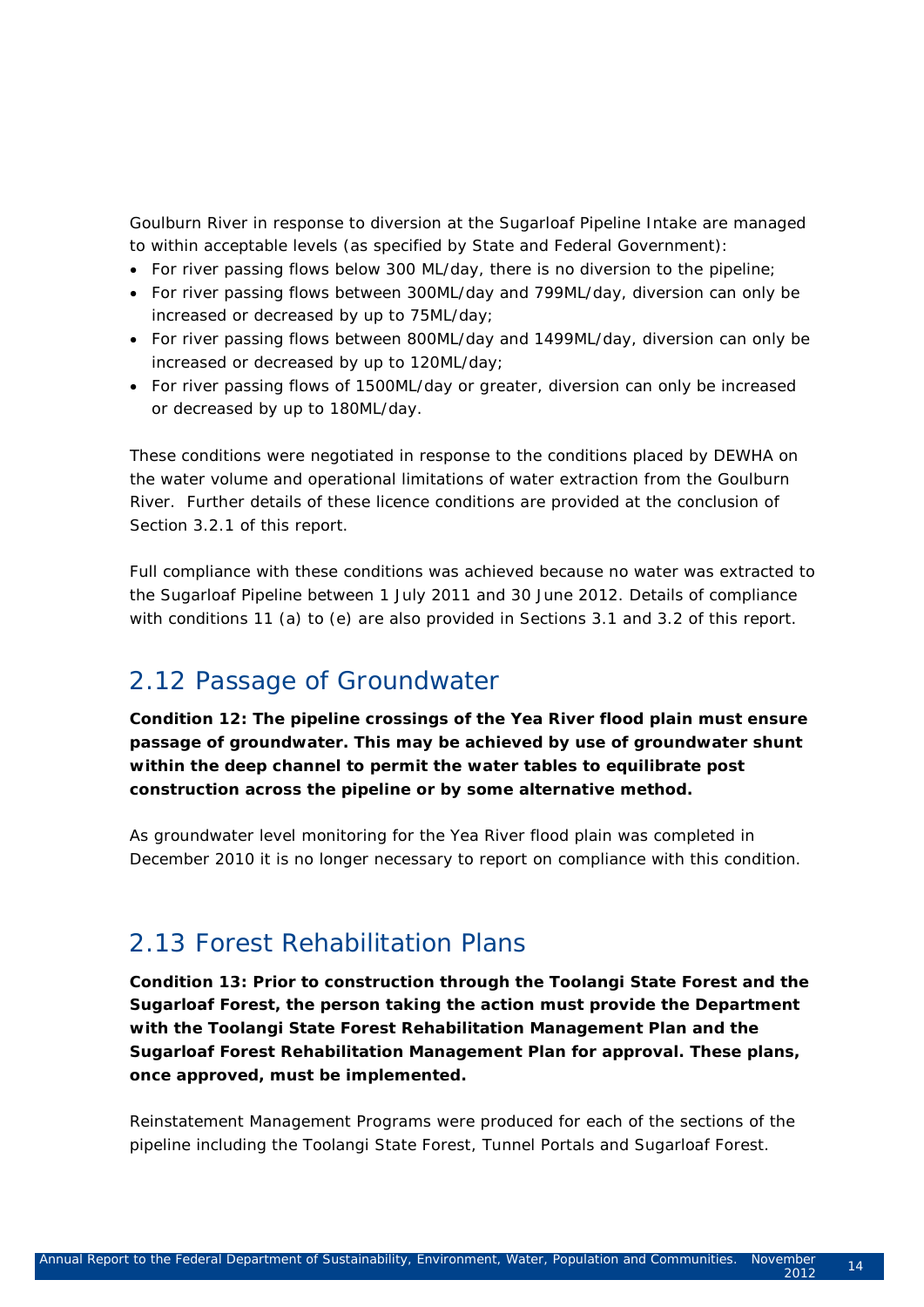Goulburn River in response to diversion at the Sugarloaf Pipeline Intake are managed to within acceptable levels (as specified by State and Federal Government):

- For river passing flows below 300 ML/day, there is no diversion to the pipeline;
- For river passing flows between 300ML/day and 799ML/day, diversion can only be increased or decreased by up to 75ML/day;
- For river passing flows between 800ML/day and 1499ML/day, diversion can only be increased or decreased by up to 120ML/day;
- For river passing flows of 1500ML/day or greater, diversion can only be increased or decreased by up to 180ML/day.

These conditions were negotiated in response to the conditions placed by DEWHA on the water volume and operational limitations of water extraction from the Goulburn River. Further details of these licence conditions are provided at the conclusion of Section 3.2.1 of this report.

Full compliance with these conditions was achieved because no water was extracted to the Sugarloaf Pipeline between 1 July 2011 and 30 June 2012. Details of compliance with conditions 11 (a) to (e) are also provided in Sections 3.1 and 3.2 of this report.

### 2.12 Passage of Groundwater

*Condition 12: The pipeline crossings of the Yea River flood plain must ensure passage of groundwater. This may be achieved by use of groundwater shunt within the deep channel to permit the water tables to equilibrate post construction across the pipeline or by some alternative method.*

As groundwater level monitoring for the Yea River flood plain was completed in December 2010 it is no longer necessary to report on compliance with this condition.

### 2.13 Forest Rehabilitation Plans

*Condition 13: Prior to construction through the Toolangi State Forest and the Sugarloaf Forest, the person taking the action must provide the Department with the Toolangi State Forest Rehabilitation Management Plan and the Sugarloaf Forest Rehabilitation Management Plan for approval. These plans, once approved, must be implemented.*

Reinstatement Management Programs were produced for each of the sections of the pipeline including the Toolangi State Forest, Tunnel Portals and Sugarloaf Forest.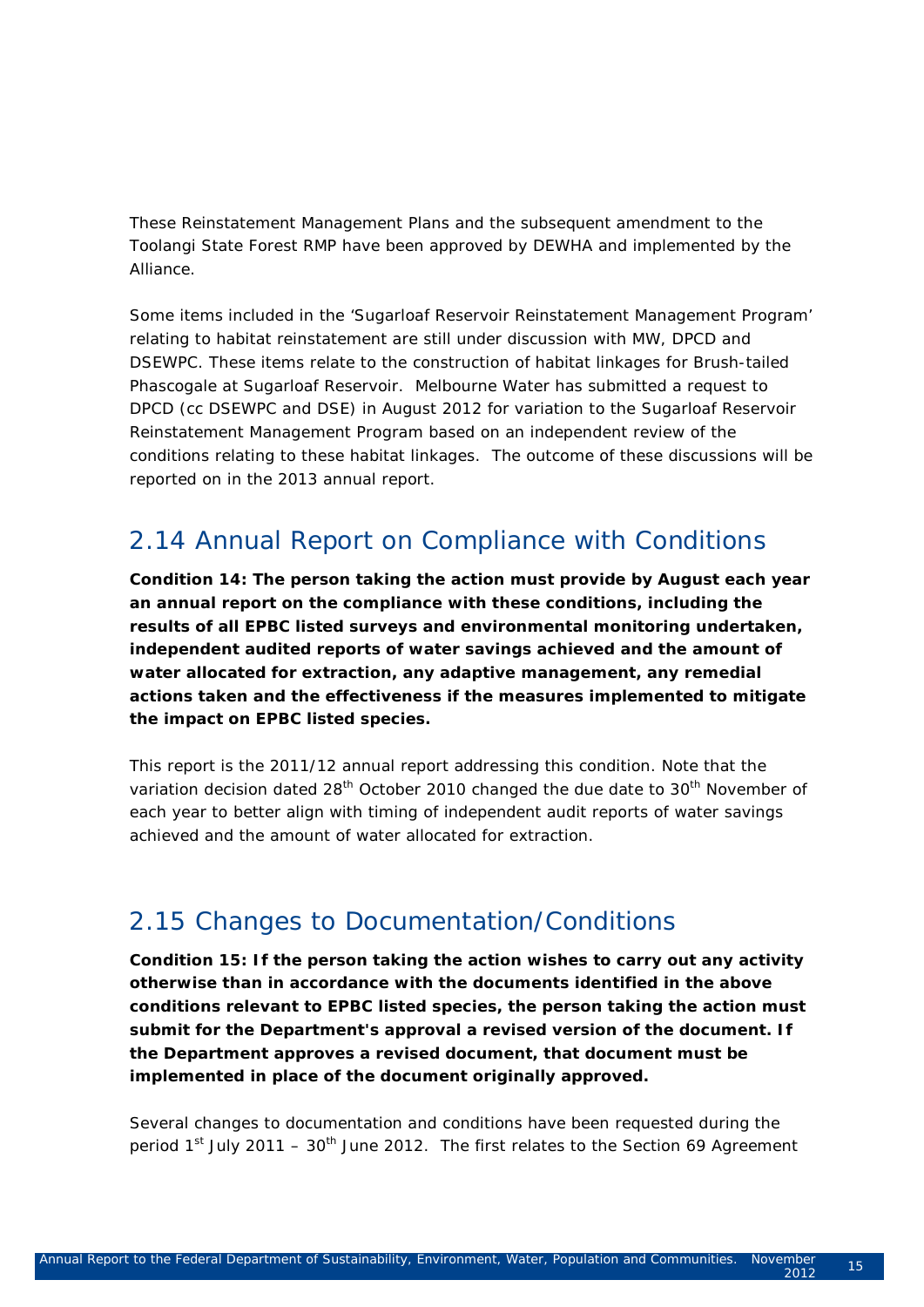These Reinstatement Management Plans and the subsequent amendment to the Toolangi State Forest RMP have been approved by DEWHA and implemented by the Alliance.

Some items included in the 'Sugarloaf Reservoir Reinstatement Management Program' relating to habitat reinstatement are still under discussion with MW, DPCD and DSEWPC. These items relate to the construction of habitat linkages for Brush-tailed Phascogale at Sugarloaf Reservoir. Melbourne Water has submitted a request to DPCD (cc DSEWPC and DSE) in August 2012 for variation to the Sugarloaf Reservoir Reinstatement Management Program based on an independent review of the conditions relating to these habitat linkages. The outcome of these discussions will be reported on in the 2013 annual report.

### 2.14 Annual Report on Compliance with Conditions

*Condition 14: The person taking the action must provide by August each year an annual report on the compliance with these conditions, including the results of all EPBC listed surveys and environmental monitoring undertaken, independent audited reports of water savings achieved and the amount of water allocated for extraction, any adaptive management, any remedial actions taken and the effectiveness if the measures implemented to mitigate the impact on EPBC listed species.* 

This report is the 2011/12 annual report addressing this condition. Note that the variation decision dated 28<sup>th</sup> October 2010 changed the due date to 30<sup>th</sup> November of each year to better align with timing of independent audit reports of water savings achieved and the amount of water allocated for extraction.

### 2.15 Changes to Documentation/Conditions

*Condition 15: If the person taking the action wishes to carry out any activity otherwise than in accordance with the documents identified in the above conditions relevant to EPBC listed species, the person taking the action must submit for the Department's approval a revised version of the document. If the Department approves a revised document, that document must be implemented in place of the document originally approved.*

Several changes to documentation and conditions have been requested during the period  $1<sup>st</sup>$  July 2011 – 30<sup>th</sup> June 2012. The first relates to the Section 69 Agreement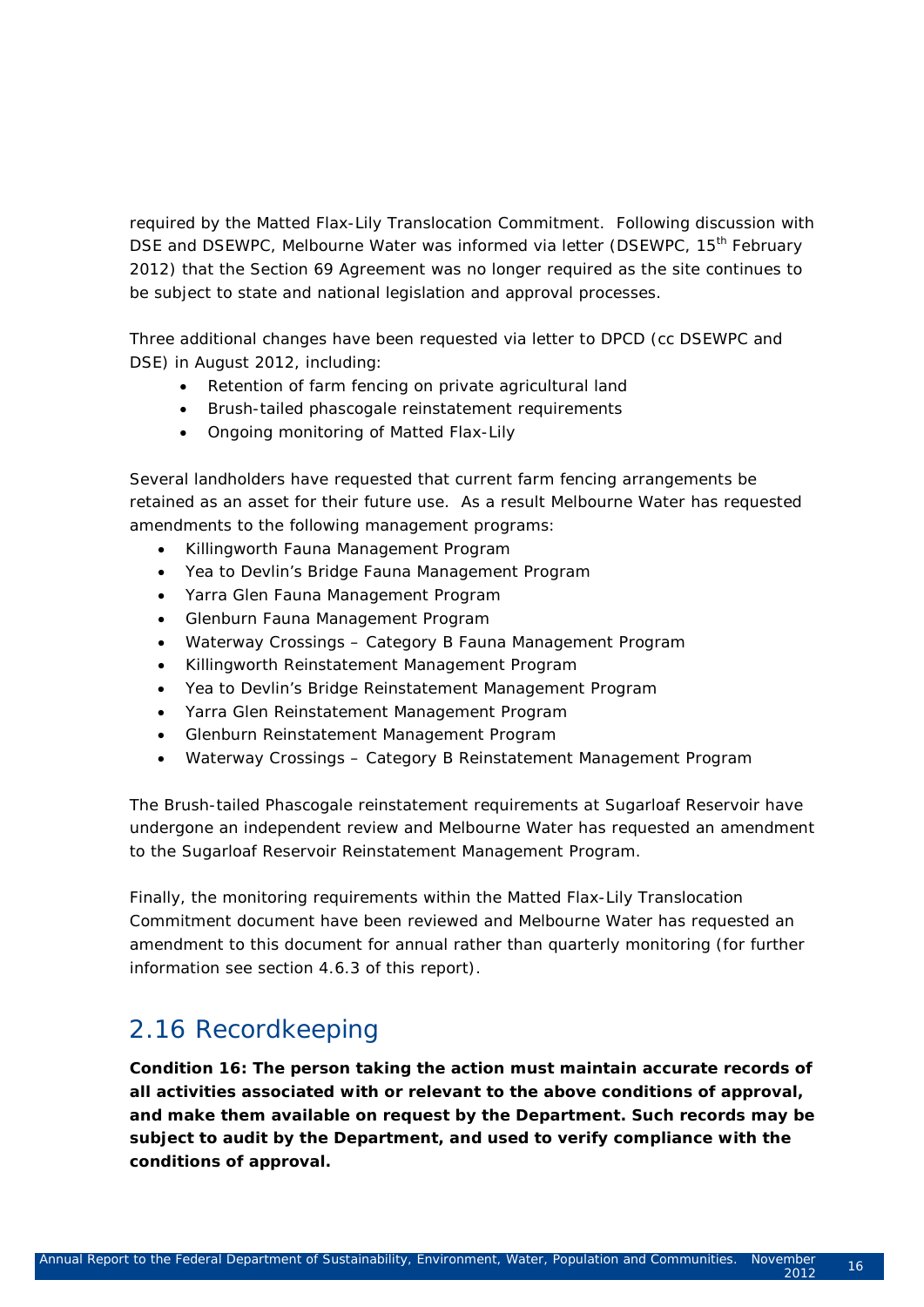required by the Matted Flax-Lily Translocation Commitment. Following discussion with DSE and DSEWPC, Melbourne Water was informed via letter (DSEWPC, 15<sup>th</sup> February 2012) that the Section 69 Agreement was no longer required as the site continues to be subject to state and national legislation and approval processes.

Three additional changes have been requested via letter to DPCD (cc DSEWPC and DSE) in August 2012, including:

- Retention of farm fencing on private agricultural land
- Brush-tailed phascogale reinstatement requirements
- Ongoing monitoring of Matted Flax-Lily

Several landholders have requested that current farm fencing arrangements be retained as an asset for their future use. As a result Melbourne Water has requested amendments to the following management programs:

- Killingworth Fauna Management Program
- Yea to Devlin's Bridge Fauna Management Program
- Yarra Glen Fauna Management Program
- Glenburn Fauna Management Program
- Waterway Crossings Category B Fauna Management Program
- Killingworth Reinstatement Management Program
- Yea to Devlin's Bridge Reinstatement Management Program
- Yarra Glen Reinstatement Management Program
- Glenburn Reinstatement Management Program
- Waterway Crossings Category B Reinstatement Management Program

The Brush-tailed Phascogale reinstatement requirements at Sugarloaf Reservoir have undergone an independent review and Melbourne Water has requested an amendment to the Sugarloaf Reservoir Reinstatement Management Program.

Finally, the monitoring requirements within the Matted Flax-Lily Translocation Commitment document have been reviewed and Melbourne Water has requested an amendment to this document for annual rather than quarterly monitoring (for further information see section 4.6.3 of this report).

### 2.16 Recordkeeping

*Condition 16: The person taking the action must maintain accurate records of all activities associated with or relevant to the above conditions of approval, and make them available on request by the Department. Such records may be subject to audit by the Department, and used to verify compliance with the conditions of approval.*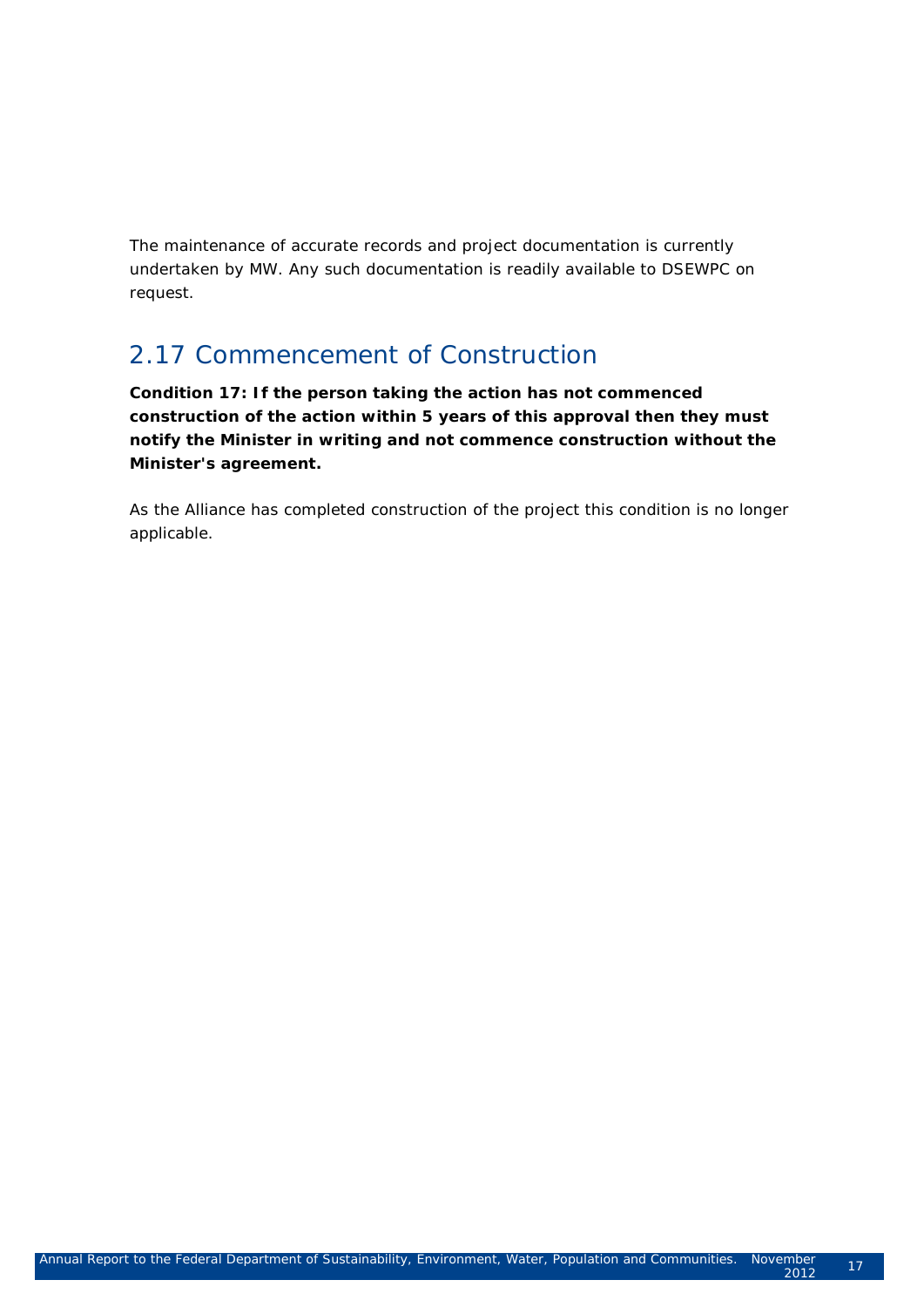The maintenance of accurate records and project documentation is currently undertaken by MW. Any such documentation is readily available to DSEWPC on request.

## 2.17 Commencement of Construction

*Condition 17: If the person taking the action has not commenced construction of the action within 5 years of this approval then they must notify the Minister in writing and not commence construction without the Minister's agreement.*

As the Alliance has completed construction of the project this condition is no longer applicable.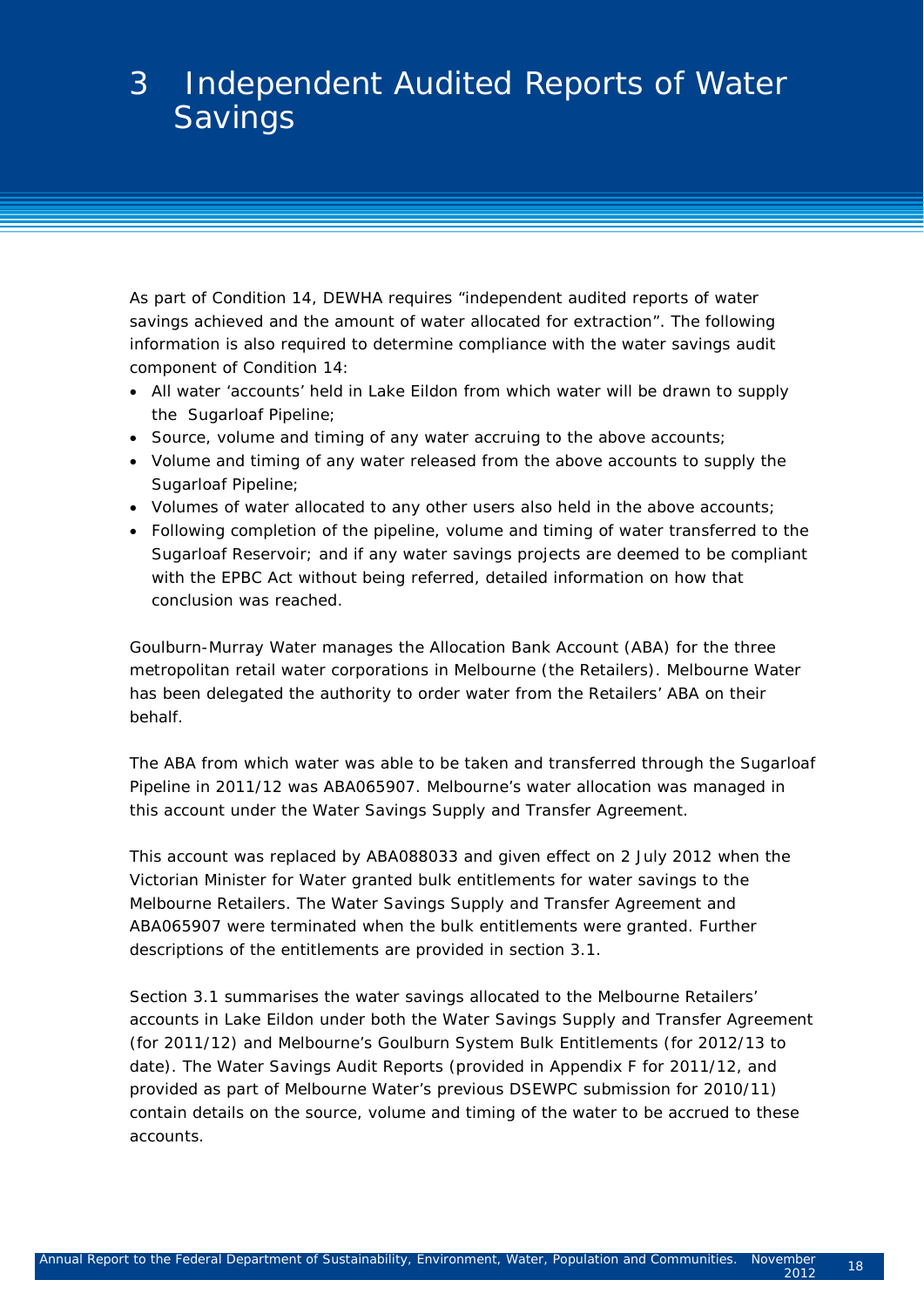# 3 Independent Audited Reports of Water **Savings**

As part of Condition 14, DEWHA requires "independent audited reports of water savings achieved and the amount of water allocated for extraction". The following information is also required to determine compliance with the water savings audit component of Condition 14:

- All water 'accounts' held in Lake Eildon from which water will be drawn to supply the Sugarloaf Pipeline;
- Source, volume and timing of any water accruing to the above accounts;
- Volume and timing of any water released from the above accounts to supply the Sugarloaf Pipeline;
- Volumes of water allocated to any other users also held in the above accounts;
- Following completion of the pipeline, volume and timing of water transferred to the Sugarloaf Reservoir; and if any water savings projects are deemed to be compliant with the EPBC Act without being referred, detailed information on how that conclusion was reached.

Goulburn-Murray Water manages the Allocation Bank Account (ABA) for the three metropolitan retail water corporations in Melbourne (the Retailers). Melbourne Water has been delegated the authority to order water from the Retailers' ABA on their behalf.

The ABA from which water was able to be taken and transferred through the Sugarloaf Pipeline in 2011/12 was ABA065907. Melbourne's water allocation was managed in this account under the Water Savings Supply and Transfer Agreement.

This account was replaced by ABA088033 and given effect on 2 July 2012 when the Victorian Minister for Water granted bulk entitlements for water savings to the Melbourne Retailers. The Water Savings Supply and Transfer Agreement and ABA065907 were terminated when the bulk entitlements were granted. Further descriptions of the entitlements are provided in section 3.1.

Section 3.1 summarises the water savings allocated to the Melbourne Retailers' accounts in Lake Eildon under both the Water Savings Supply and Transfer Agreement (for 2011/12) and Melbourne's Goulburn System Bulk Entitlements (for 2012/13 to date). The Water Savings Audit Reports (provided in Appendix F for 2011/12, and provided as part of Melbourne Water's previous DSEWPC submission for 2010/11) contain details on the source, volume and timing of the water to be accrued to these accounts.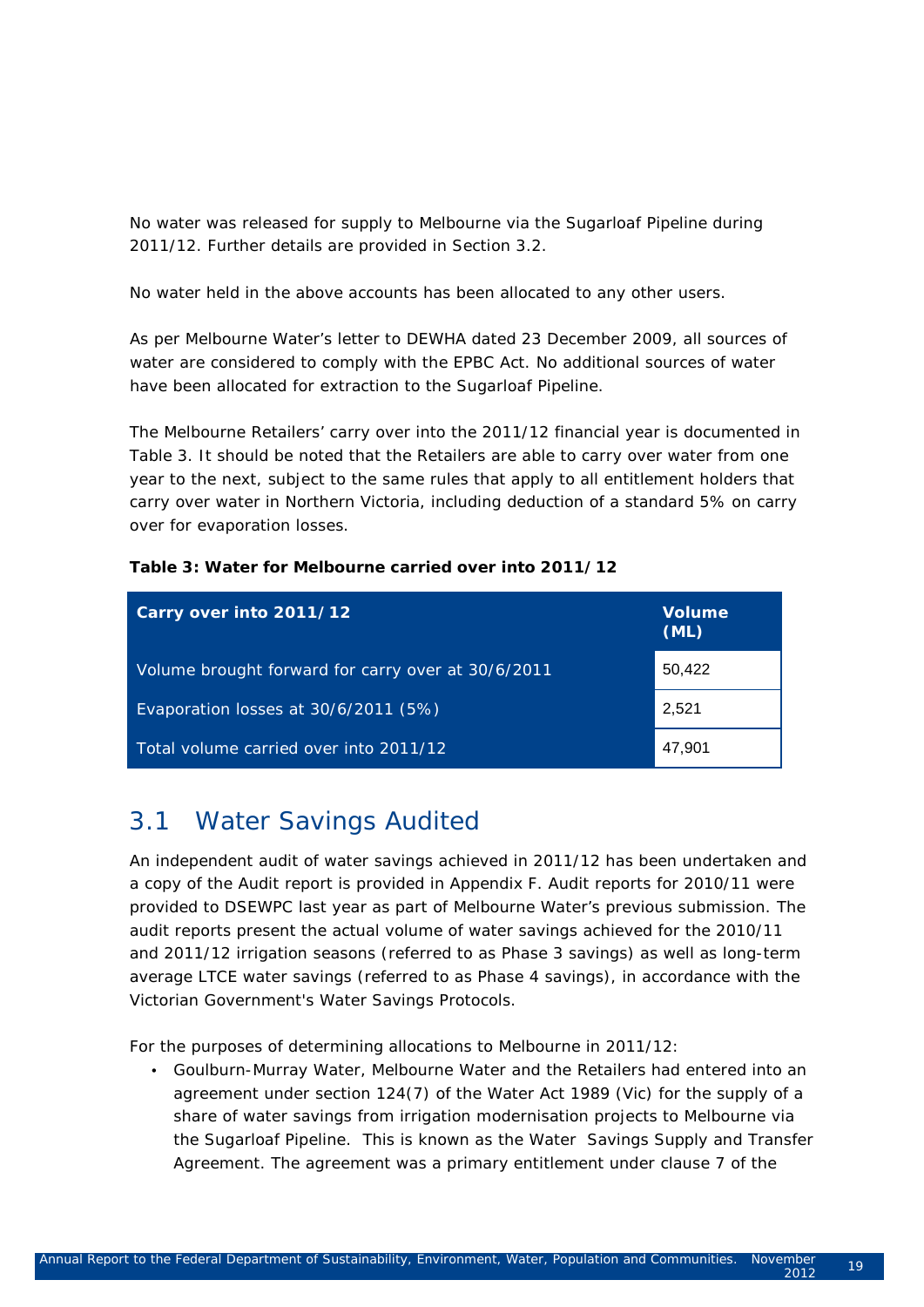No water was released for supply to Melbourne via the Sugarloaf Pipeline during 2011/12. Further details are provided in Section 3.2.

No water held in the above accounts has been allocated to any other users.

As per Melbourne Water's letter to DEWHA dated 23 December 2009, all sources of water are considered to comply with the EPBC Act. No additional sources of water have been allocated for extraction to the Sugarloaf Pipeline.

The Melbourne Retailers' carry over into the 2011/12 financial year is documented in [Table 3.](#page-26-0) It should be noted that the Retailers are able to carry over water from one year to the next, subject to the same rules that apply to all entitlement holders that carry over water in Northern Victoria, including deduction of a standard 5% on carry over for evaporation losses.

#### <span id="page-26-0"></span>**Table 3: Water for Melbourne carried over into 2011/12**

| Carry over into 2011/12                            | <b>Volume</b><br>(ML) |
|----------------------------------------------------|-----------------------|
| Volume brought forward for carry over at 30/6/2011 | 50,422                |
| Evaporation losses at 30/6/2011 (5%)               | 2,521                 |
| Total volume carried over into 2011/12             | 47,901                |

### 3.1 Water Savings Audited

An independent audit of water savings achieved in 2011/12 has been undertaken and a copy of the Audit report is provided in Appendix F. Audit reports for 2010/11 were provided to DSEWPC last year as part of Melbourne Water's previous submission. The audit reports present the *actual* volume of water savings achieved for the 2010/11 and 2011/12 irrigation seasons (referred to as Phase 3 savings) as well as *long-term average LTCE* water savings (referred to as Phase 4 savings), in accordance with the Victorian Government's Water Savings Protocols.

For the purposes of determining allocations to Melbourne in 2011/12:

• Goulburn-Murray Water, Melbourne Water and the Retailers had entered into an agreement under section 124(7) of the Water Act 1989 (Vic) for the supply of a share of water savings from irrigation modernisation projects to Melbourne via the Sugarloaf Pipeline. This is known as the Water Savings Supply and Transfer Agreement. The agreement was a primary entitlement under clause 7 of the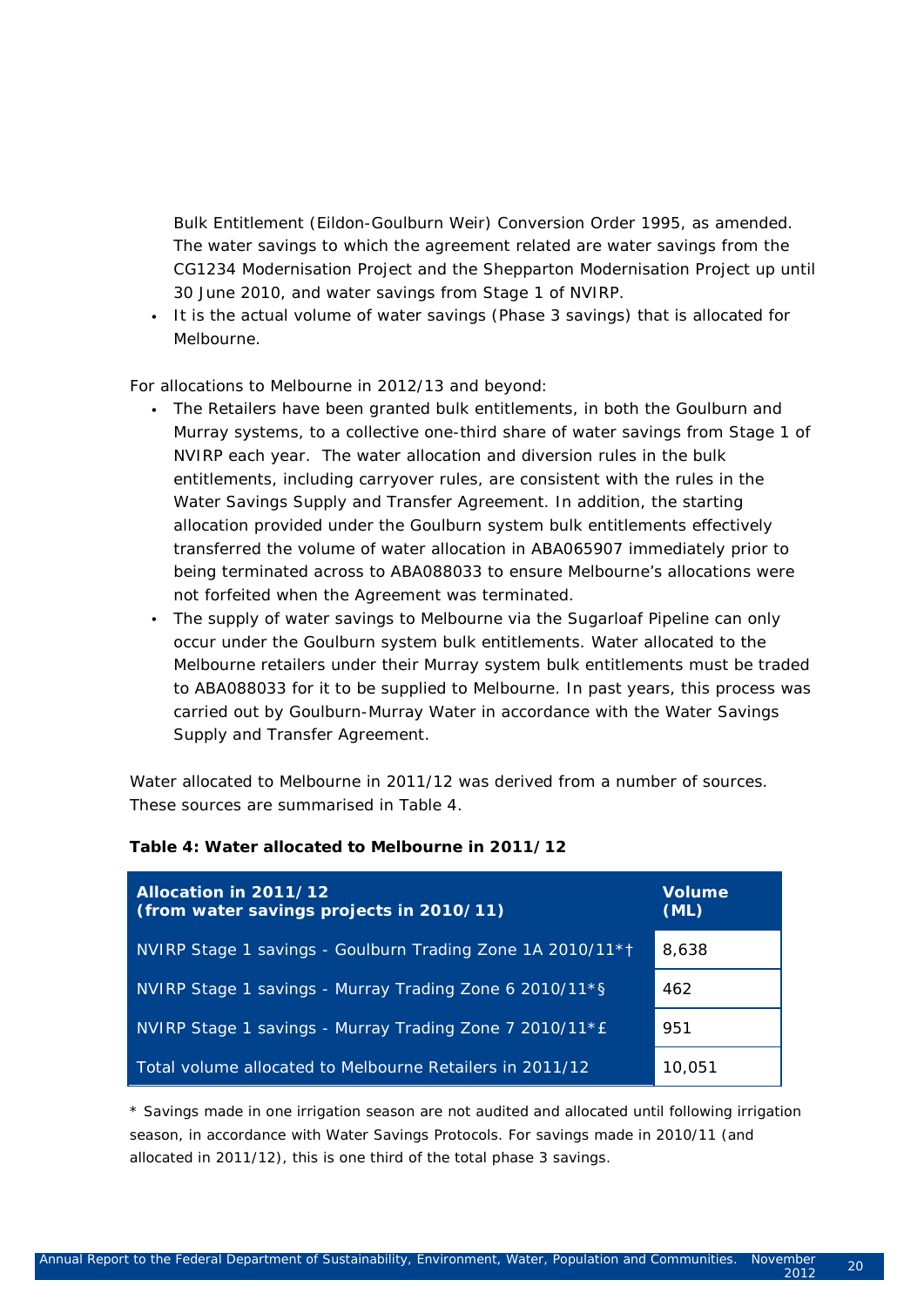Bulk Entitlement (Eildon-Goulburn Weir) Conversion Order 1995, as amended. The water savings to which the agreement related are water savings from the CG1234 Modernisation Project and the Shepparton Modernisation Project up until 30 June 2010, and water savings from Stage 1 of NVIRP.

• It is the actual volume of water savings (Phase 3 savings) that is allocated for Melbourne.

For allocations to Melbourne in 2012/13 and beyond:

- The Retailers have been granted bulk entitlements, in both the Goulburn and Murray systems, to a collective one-third share of water savings from Stage 1 of NVIRP each year. The water allocation and diversion rules in the bulk entitlements, including carryover rules, are consistent with the rules in the Water Savings Supply and Transfer Agreement. In addition, the starting allocation provided under the Goulburn system bulk entitlements effectively transferred the volume of water allocation in ABA065907 immediately prior to being terminated across to ABA088033 to ensure Melbourne's allocations were not forfeited when the Agreement was terminated.
- The supply of water savings to Melbourne via the Sugarloaf Pipeline can only occur under the Goulburn system bulk entitlements. Water allocated to the Melbourne retailers under their Murray system bulk entitlements must be traded to ABA088033 for it to be supplied to Melbourne. In past years, this process was carried out by Goulburn-Murray Water in accordance with the Water Savings Supply and Transfer Agreement.

Water allocated to Melbourne in 2011/12 was derived from a number of sources. These sources are summarised in [Table 4.](#page-27-0)

<span id="page-27-0"></span>

| Allocation in 2011/12<br>(from water savings projects in 2010/11) | <b>Volume</b><br>(ML) |
|-------------------------------------------------------------------|-----------------------|
| NVIRP Stage 1 savings - Goulburn Trading Zone 1A 2010/11*1        | 8.638                 |
| NVIRP Stage 1 savings - Murray Trading Zone 6 2010/11*§           | 462                   |
| NVIRP Stage 1 savings - Murray Trading Zone 7 2010/11*E           | 951                   |
| Total volume allocated to Melbourne Retailers in 2011/12          | 10.051                |

\* Savings made in one irrigation season are not audited and allocated until following irrigation season, in accordance with Water Savings Protocols. For savings made in 2010/11 (and allocated in 2011/12), this is one third of the total phase 3 savings.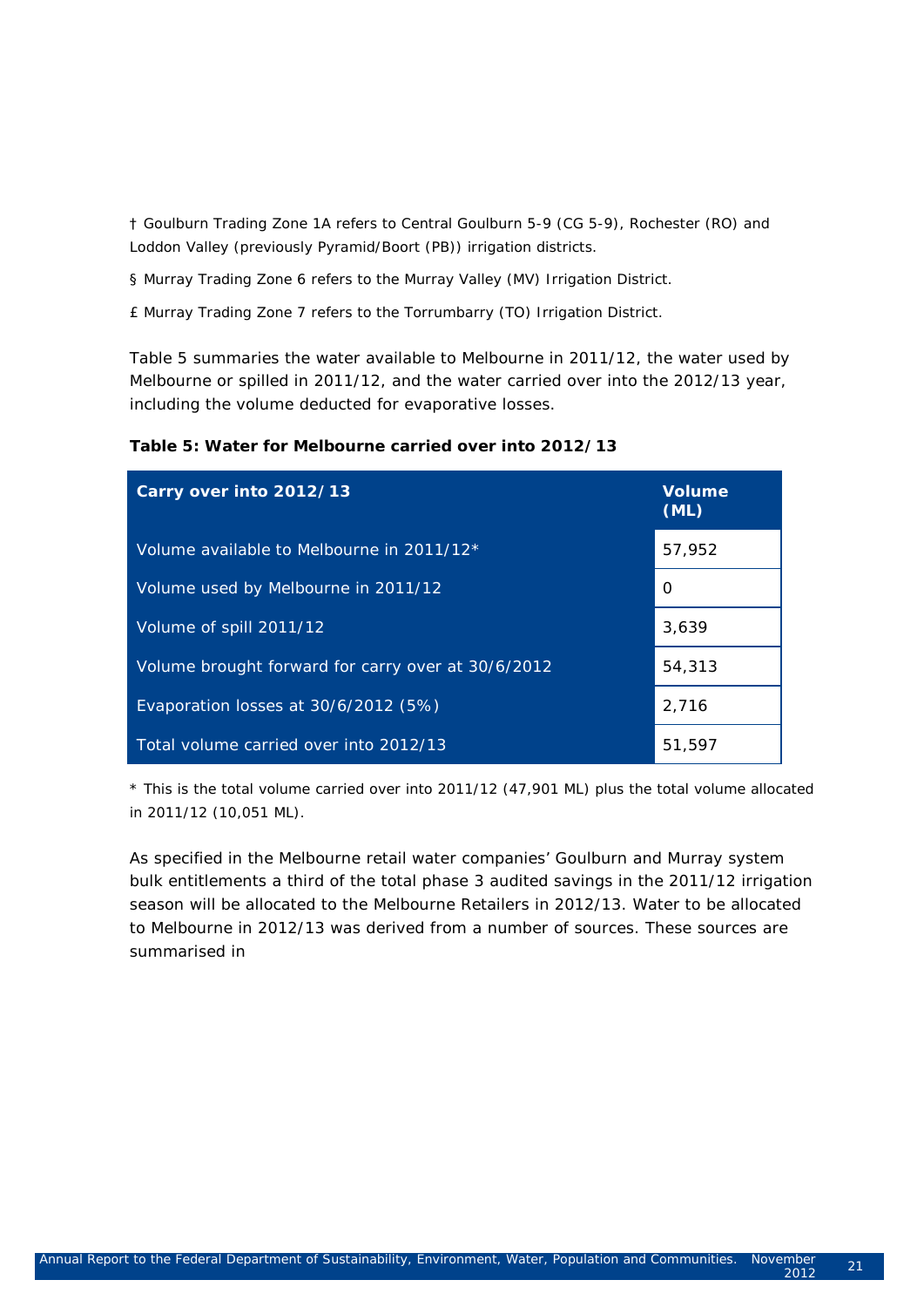† Goulburn Trading Zone 1A refers to Central Goulburn 5-9 (CG 5-9), Rochester (RO) and Loddon Valley (previously Pyramid/Boort (PB)) irrigation districts.

§ Murray Trading Zone 6 refers to the Murray Valley (MV) Irrigation District.

£ Murray Trading Zone 7 refers to the Torrumbarry (TO) Irrigation District.

[Table 5](#page-28-0) summaries the water available to Melbourne in 2011/12, the water used by Melbourne or spilled in 2011/12, and the water carried over into the 2012/13 year, including the volume deducted for evaporative losses.

<span id="page-28-0"></span>

| Carry over into 2012/13                            | <b>Volume</b><br>(ML) |
|----------------------------------------------------|-----------------------|
| Volume available to Melbourne in 2011/12*          | 57,952                |
| Volume used by Melbourne in 2011/12                | 0                     |
| Volume of spill 2011/12                            | 3,639                 |
| Volume brought forward for carry over at 30/6/2012 | 54,313                |
| Evaporation losses at 30/6/2012 (5%)               | 2,716                 |
| Total volume carried over into 2012/13             | 51.597                |

\* This is the total volume carried over into 2011/12 (47,901 ML) plus the total volume allocated in 2011/12 (10,051 ML).

As specified in the Melbourne retail water companies' Goulburn and Murray system bulk entitlements a third of the total phase 3 audited savings in the 2011/12 irrigation season will be allocated to the Melbourne Retailers in 2012/13. Water to be allocated to Melbourne in 2012/13 was derived from a number of sources. These sources are summarised in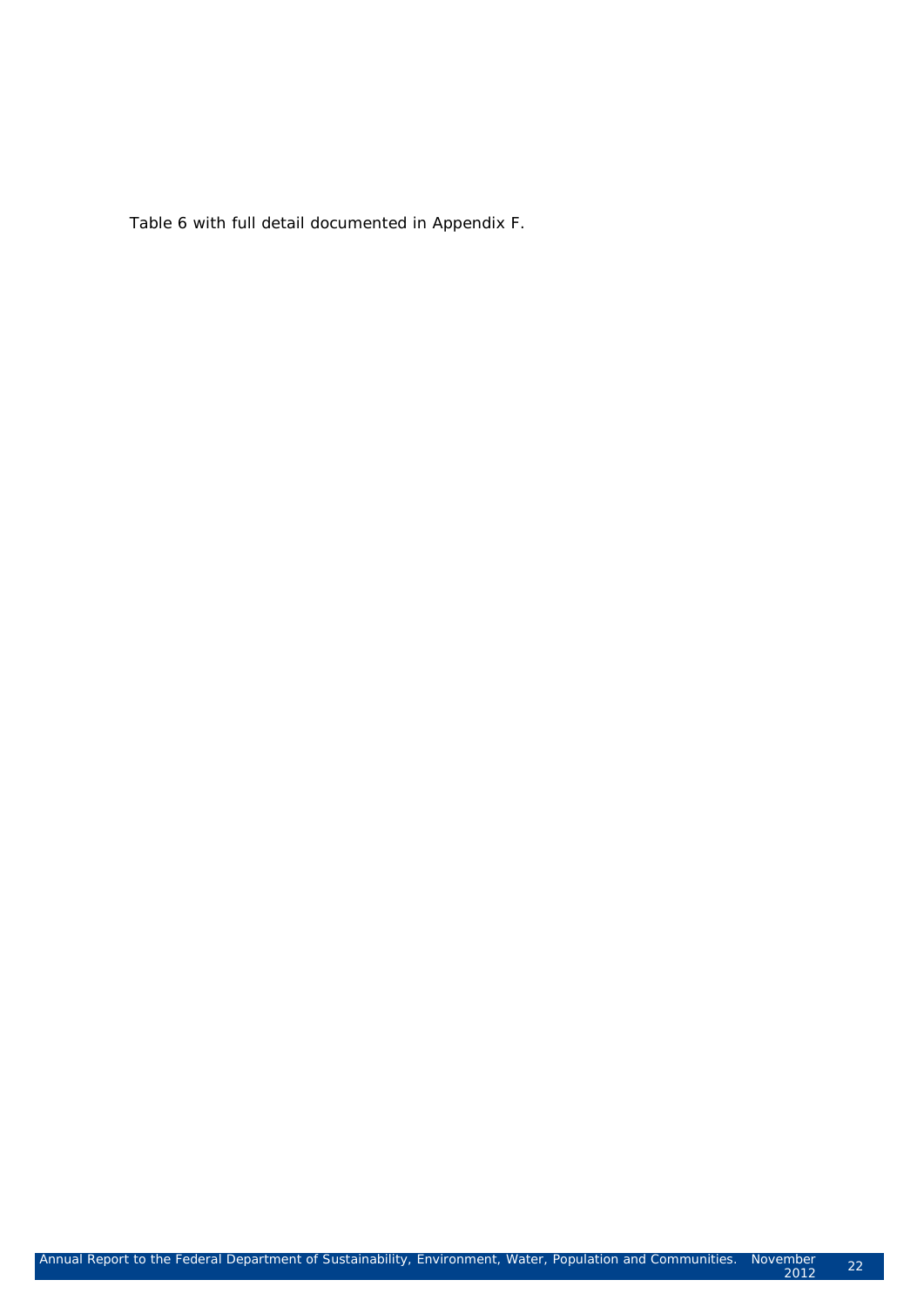<span id="page-29-0"></span>[Table 6](#page-29-0) with full detail documented in Appendix F.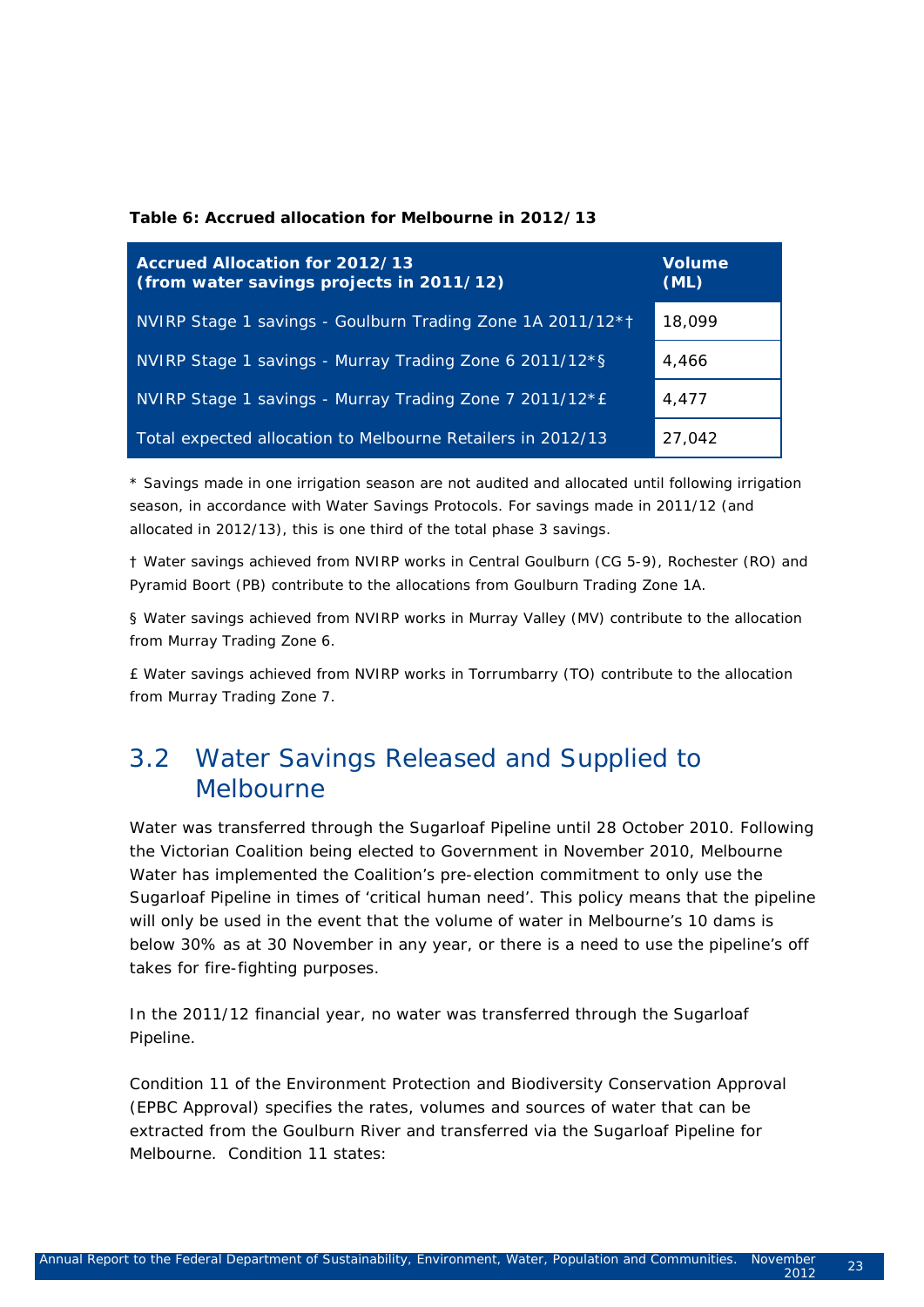#### **Table 6: Accrued allocation for Melbourne in 2012/13**

| Accrued Allocation for 2012/13<br>(from water savings projects in 2011/12) | <b>Volume</b><br>(ML) |
|----------------------------------------------------------------------------|-----------------------|
| NVIRP Stage 1 savings - Goulburn Trading Zone 1A 2011/12*1                 | 18,099                |
| NVIRP Stage 1 savings - Murray Trading Zone 6 2011/12*§                    | 4.466                 |
| NVIRP Stage 1 savings - Murray Trading Zone 7 2011/12*E                    | 4.477                 |
| Total expected allocation to Melbourne Retailers in 2012/13                | 27.042                |

\* Savings made in one irrigation season are not audited and allocated until following irrigation season, in accordance with Water Savings Protocols. For savings made in 2011/12 (and allocated in 2012/13), this is one third of the total phase 3 savings.

† Water savings achieved from NVIRP works in Central Goulburn (CG 5-9), Rochester (RO) and Pyramid Boort (PB) contribute to the allocations from Goulburn Trading Zone 1A.

§ Water savings achieved from NVIRP works in Murray Valley (MV) contribute to the allocation from Murray Trading Zone 6.

£ Water savings achieved from NVIRP works in Torrumbarry (TO) contribute to the allocation from Murray Trading Zone 7.

## 3.2 Water Savings Released and Supplied to Melbourne

Water was transferred through the Sugarloaf Pipeline until 28 October 2010. Following the Victorian Coalition being elected to Government in November 2010, Melbourne Water has implemented the Coalition's pre-election commitment to only use the Sugarloaf Pipeline in times of 'critical human need'. This policy means that the pipeline will only be used in the event that the volume of water in Melbourne's 10 dams is below 30% as at 30 November in any year, or there is a need to use the pipeline's off takes for fire-fighting purposes.

In the 2011/12 financial year, no water was transferred through the Sugarloaf Pipeline.

Condition 11 of the *Environment Protection and Biodiversity Conservation Approval (EPBC Approval)* specifies the rates, volumes and sources of water that can be extracted from the Goulburn River and transferred via the Sugarloaf Pipeline for Melbourne. Condition 11 states: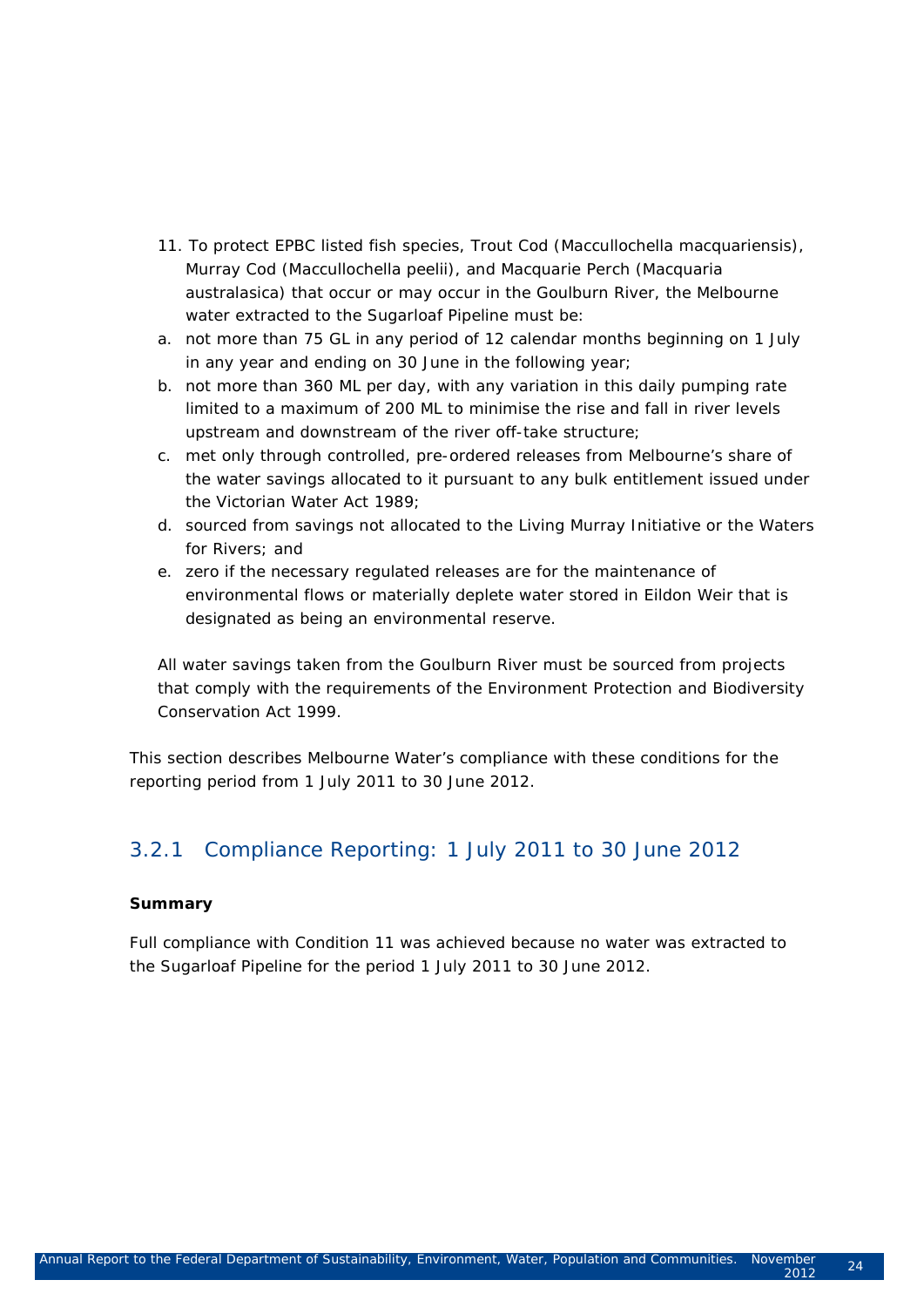- *11. To protect EPBC listed fish species, Trout Cod (Maccullochella macquariensis), Murray Cod (Maccullochella peelii), and Macquarie Perch (Macquaria australasica) that occur or may occur in the Goulburn River, the Melbourne water extracted to the Sugarloaf Pipeline must be:*
- *a. not more than 75 GL in any period of 12 calendar months beginning on 1 July in any year and ending on 30 June in the following year;*
- *b. not more than 360 ML per day, with any variation in this daily pumping rate limited to a maximum of 200 ML to minimise the rise and fall in river levels upstream and downstream of the river off-take structure;*
- *c. met only through controlled, pre-ordered releases from Melbourne's share of the water savings allocated to it pursuant to any bulk entitlement issued under the Victorian Water Act 1989;*
- *d. sourced from savings not allocated to the Living Murray Initiative or the Waters for Rivers; and*
- *e. zero if the necessary regulated releases are for the maintenance of environmental flows or materially deplete water stored in Eildon Weir that is designated as being an environmental reserve.*

*All water savings taken from the Goulburn River must be sourced from projects that comply with the requirements of the Environment Protection and Biodiversity Conservation Act 1999.*

This section describes Melbourne Water's compliance with these conditions for the reporting period from 1 July 2011 to 30 June 2012.

#### 3.2.1 Compliance Reporting: 1 July 2011 to 30 June 2012

#### **Summary**

Full compliance with Condition 11 was achieved because no water was extracted to the Sugarloaf Pipeline for the period 1 July 2011 to 30 June 2012.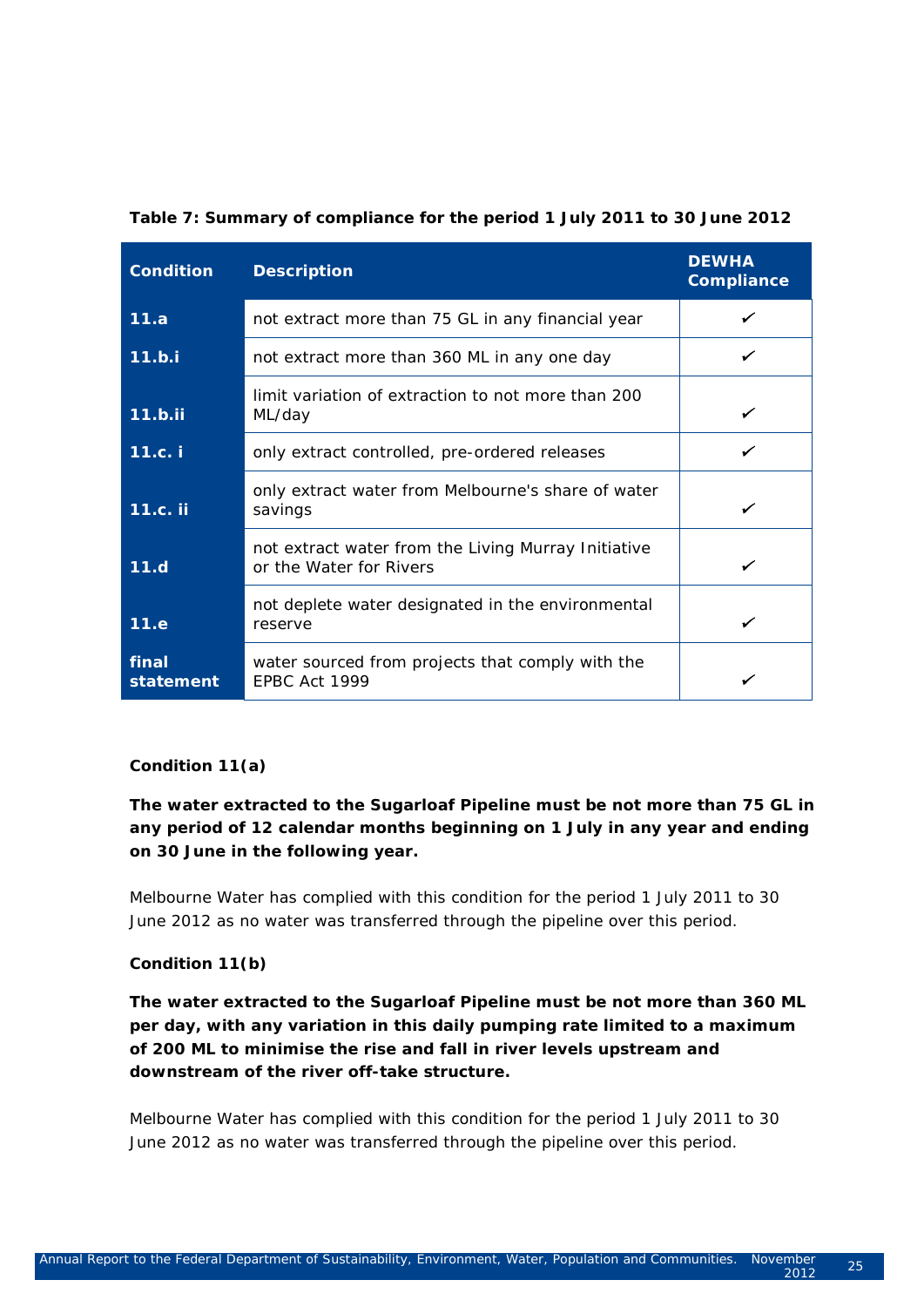| <b>Condition</b>   | <b>Description</b>                                                                    | <b>DEWHA</b><br><b>Compliance</b> |
|--------------------|---------------------------------------------------------------------------------------|-----------------------------------|
| 11.a               | not extract more than 75 GL in any financial year                                     |                                   |
| 11.b.i             | not extract more than 360 ML in any one day                                           |                                   |
| $11.b.$ ii         | limit variation of extraction to not more than 200<br>ML/day                          |                                   |
| 11.c. i            | only extract controlled, pre-ordered releases                                         |                                   |
| 11.c. ii           | only extract water from Melbourne's share of water<br>savings                         |                                   |
| 11.d               | not extract water from the Living Murray Initiative<br>or the <i>Water for Rivers</i> |                                   |
| 11.e               | not deplete water designated in the environmental<br>reserve                          |                                   |
| final<br>statement | water sourced from projects that comply with the<br>EPBC Act 1999                     |                                   |

#### **Condition 11(a)**

*The water extracted to the Sugarloaf Pipeline must be not more than 75 GL in any period of 12 calendar months beginning on 1 July in any year and ending on 30 June in the following year.*

Melbourne Water has complied with this condition for the period 1 July 2011 to 30 June 2012 as no water was transferred through the pipeline over this period.

#### **Condition 11(b)**

*The water extracted to the Sugarloaf Pipeline must be not more than 360 ML per day, with any variation in this daily pumping rate limited to a maximum of 200 ML to minimise the rise and fall in river levels upstream and downstream of the river off-take structure.*

Melbourne Water has complied with this condition for the period 1 July 2011 to 30 June 2012 as no water was transferred through the pipeline over this period.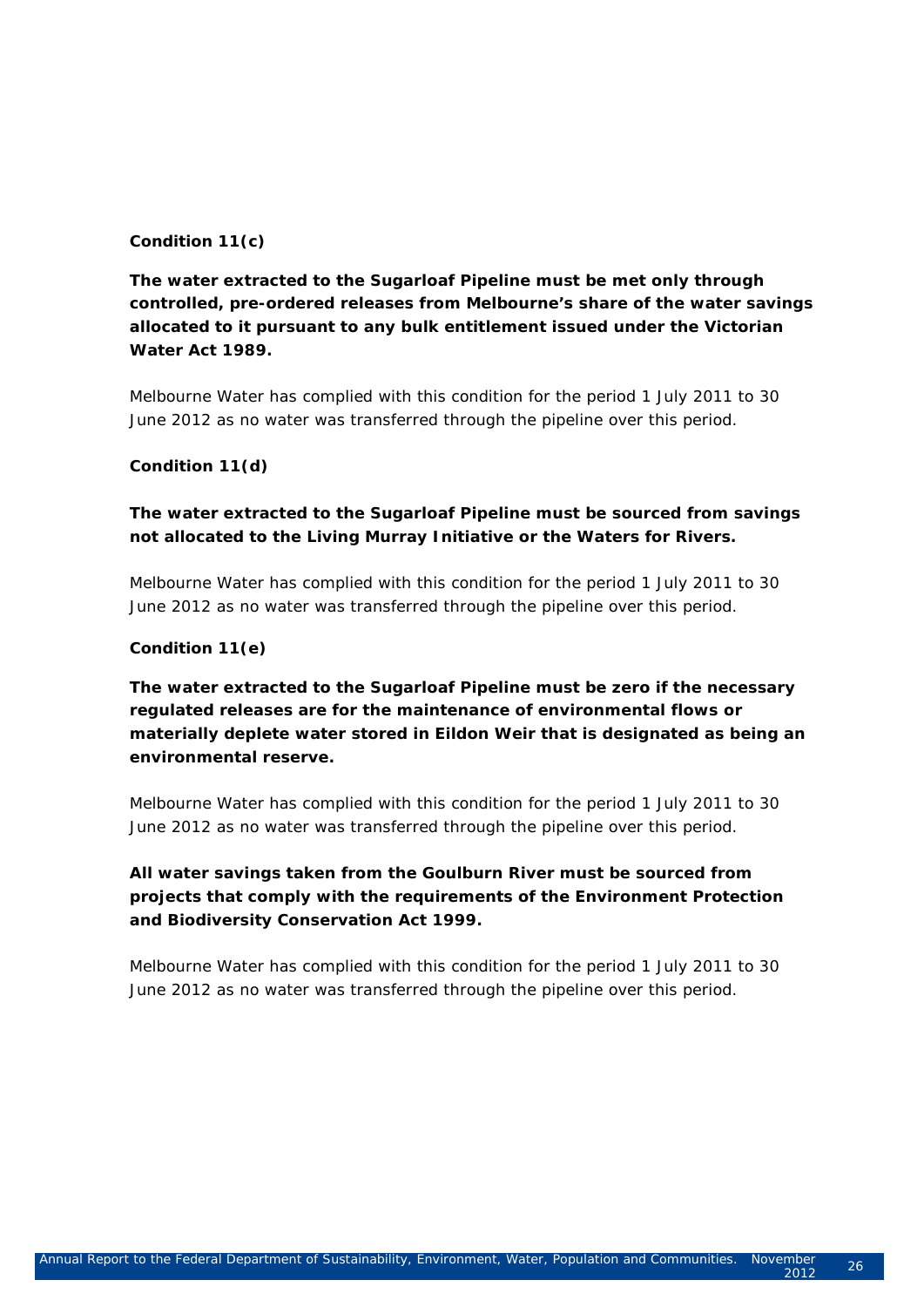#### **Condition 11(c)**

#### *The water extracted to the Sugarloaf Pipeline must be met only through controlled, pre-ordered releases from Melbourne's share of the water savings allocated to it pursuant to any bulk entitlement issued under the Victorian Water Act 1989.*

Melbourne Water has complied with this condition for the period 1 July 2011 to 30 June 2012 as no water was transferred through the pipeline over this period.

#### **Condition 11(d)**

#### *The water extracted to the Sugarloaf Pipeline must be sourced from savings not allocated to the Living Murray Initiative or the Waters for Rivers.*

Melbourne Water has complied with this condition for the period 1 July 2011 to 30 June 2012 as no water was transferred through the pipeline over this period.

#### **Condition 11(e)**

#### *The water extracted to the Sugarloaf Pipeline must be zero if the necessary regulated releases are for the maintenance of environmental flows or materially deplete water stored in Eildon Weir that is designated as being an environmental reserve.*

Melbourne Water has complied with this condition for the period 1 July 2011 to 30 June 2012 as no water was transferred through the pipeline over this period.

#### *All water savings taken from the Goulburn River must be sourced from projects that comply with the requirements of the Environment Protection and Biodiversity Conservation Act 1999.*

Melbourne Water has complied with this condition for the period 1 July 2011 to 30 June 2012 as no water was transferred through the pipeline over this period.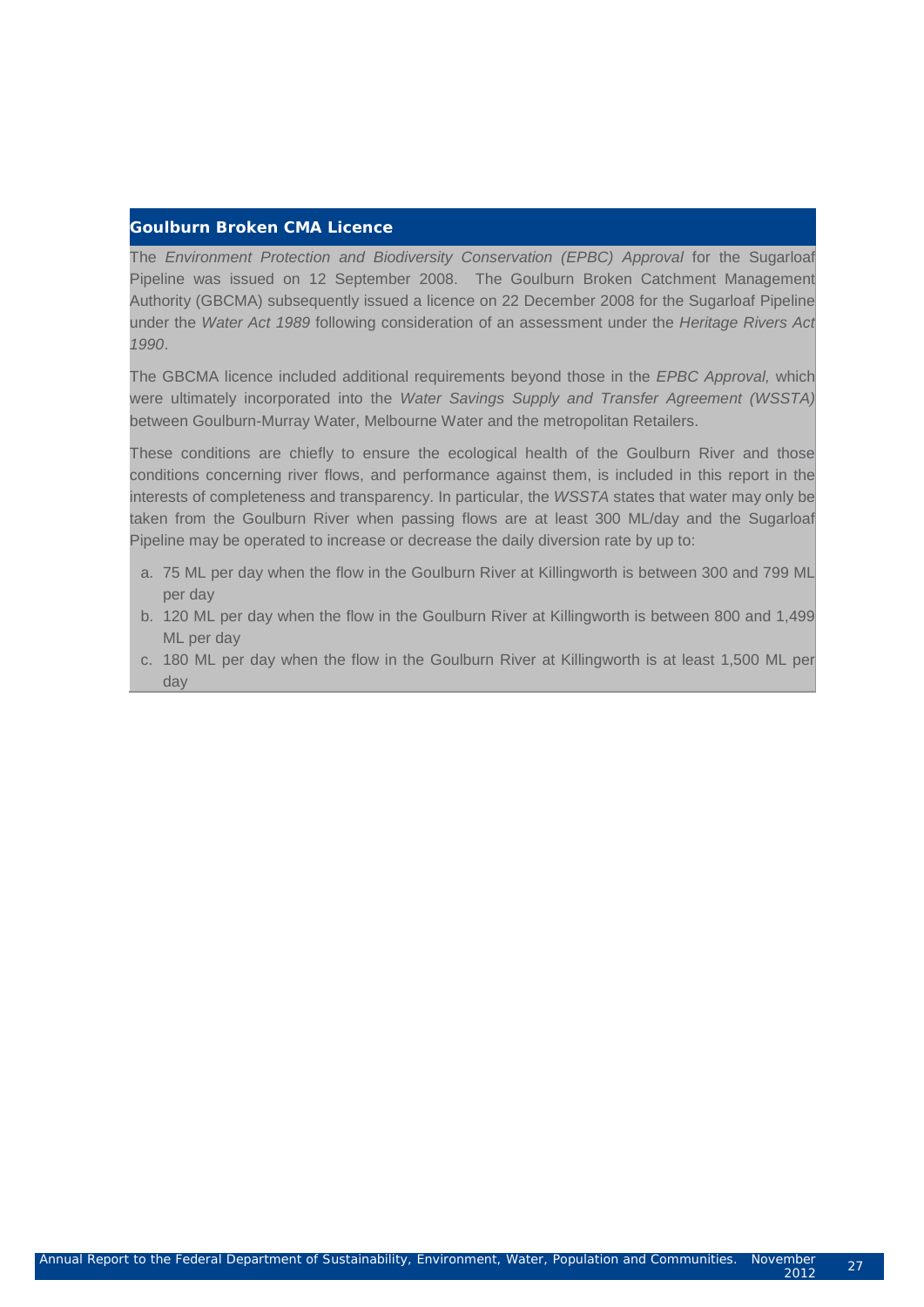#### **Goulburn Broken CMA Licence**

The *Environment Protection and Biodiversity Conservation (EPBC) Approval* for the Sugarloaf Pipeline was issued on 12 September 2008. The Goulburn Broken Catchment Management Authority (GBCMA) subsequently issued a licence on 22 December 2008 for the Sugarloaf Pipeline under the *Water Act 1989* following consideration of an assessment under the *Heritage Rivers Act 1990*.

The GBCMA licence included additional requirements beyond those in the *EPBC Approval,* which were ultimately incorporated into the *Water Savings Supply and Transfer Agreement (WSSTA)* between Goulburn-Murray Water, Melbourne Water and the metropolitan Retailers.

These conditions are chiefly to ensure the ecological health of the Goulburn River and those conditions concerning river flows, and performance against them, is included in this report in the interests of completeness and transparency. In particular, the *WSSTA* states that water may only be taken from the Goulburn River when passing flows are at least 300 ML/day and the Sugarloaf Pipeline may be operated to increase or decrease the daily diversion rate by up to:

- a. 75 ML per day when the flow in the Goulburn River at Killingworth is between 300 and 799 ML per day
- b. 120 ML per day when the flow in the Goulburn River at Killingworth is between 800 and 1,499 ML per day
- c. 180 ML per day when the flow in the Goulburn River at Killingworth is at least 1,500 ML per day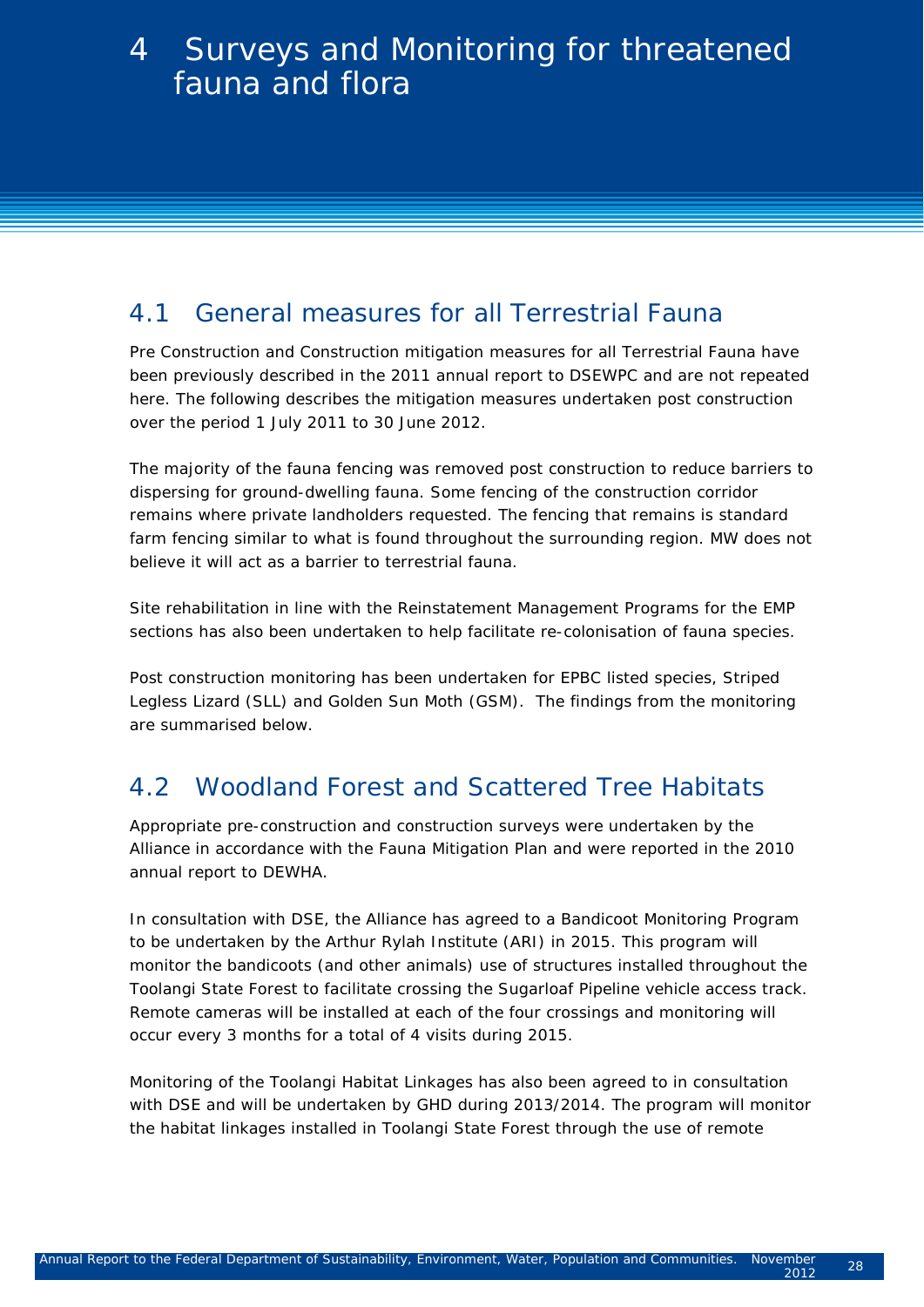## 4.1 General measures for all Terrestrial Fauna

Pre Construction and Construction mitigation measures for all Terrestrial Fauna have been previously described in the 2011 annual report to DSEWPC and are not repeated here. The following describes the mitigation measures undertaken post construction over the period 1 July 2011 to 30 June 2012.

The majority of the fauna fencing was removed post construction to reduce barriers to dispersing for ground-dwelling fauna. Some fencing of the construction corridor remains where private landholders requested. The fencing that remains is standard farm fencing similar to what is found throughout the surrounding region. MW does not believe it will act as a barrier to terrestrial fauna.

Site rehabilitation in line with the Reinstatement Management Programs for the EMP sections has also been undertaken to help facilitate re-colonisation of fauna species.

Post construction monitoring has been undertaken for EPBC listed species, Striped Legless Lizard (SLL) and Golden Sun Moth (GSM). The findings from the monitoring are summarised below.

# 4.2 Woodland Forest and Scattered Tree Habitats

Appropriate pre-construction and construction surveys were undertaken by the Alliance in accordance with the Fauna Mitigation Plan and were reported in the 2010 annual report to DEWHA.

In consultation with DSE, the Alliance has agreed to a Bandicoot Monitoring Program to be undertaken by the Arthur Rylah Institute (ARI) in 2015. This program will monitor the bandicoots (and other animals) use of structures installed throughout the Toolangi State Forest to facilitate crossing the Sugarloaf Pipeline vehicle access track. Remote cameras will be installed at each of the four crossings and monitoring will occur every 3 months for a total of 4 visits during 2015.

Monitoring of the Toolangi Habitat Linkages has also been agreed to in consultation with DSE and will be undertaken by GHD during 2013/2014. The program will monitor the habitat linkages installed in Toolangi State Forest through the use of remote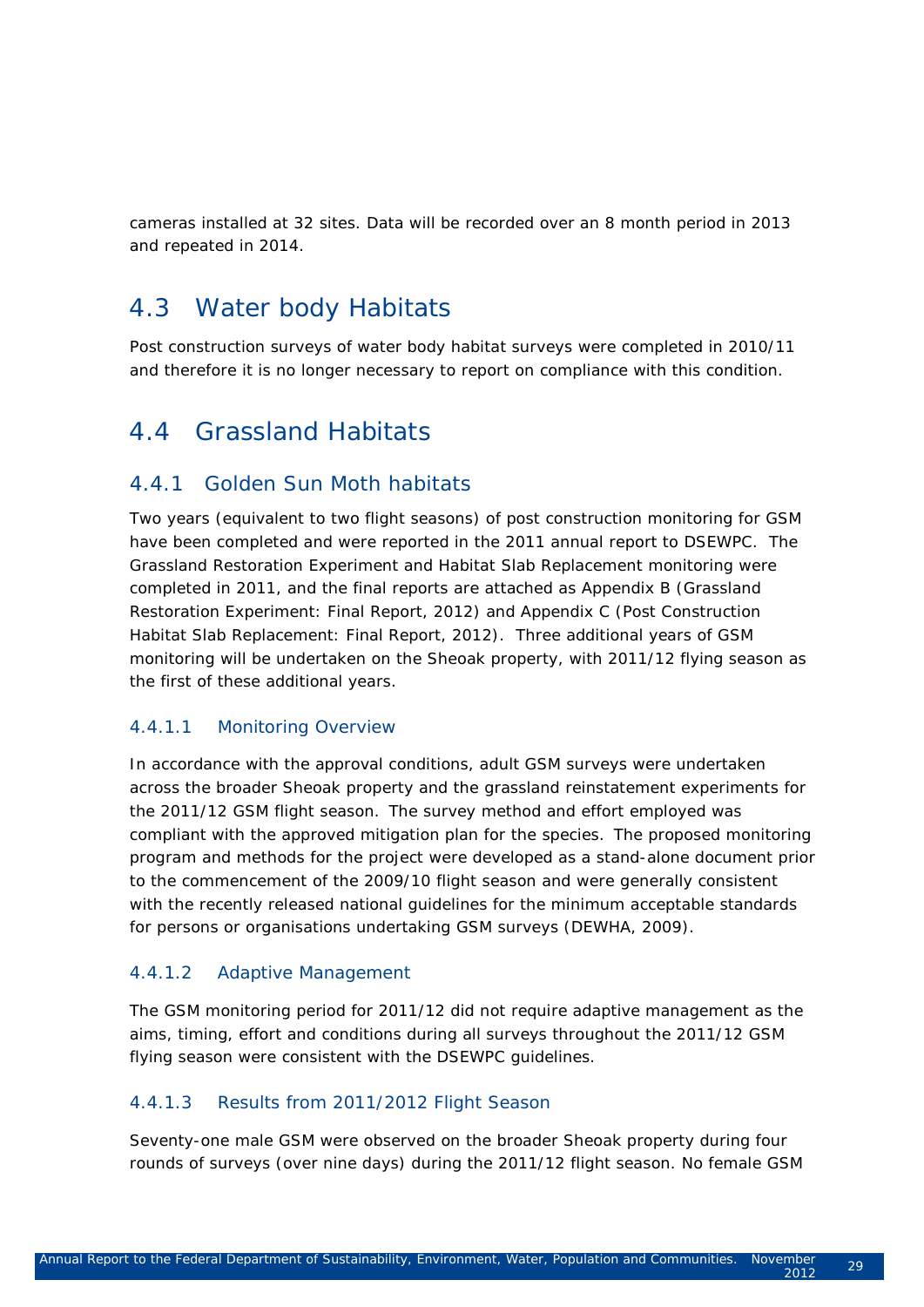cameras installed at 32 sites. Data will be recorded over an 8 month period in 2013 and repeated in 2014.

## 4.3 Water body Habitats

Post construction surveys of water body habitat surveys were completed in 2010/11 and therefore it is no longer necessary to report on compliance with this condition.

### 4.4 Grassland Habitats

#### 4.4.1 Golden Sun Moth habitats

Two years (equivalent to two flight seasons) of post construction monitoring for GSM have been completed and were reported in the 2011 annual report to DSEWPC. The Grassland Restoration Experiment and Habitat Slab Replacement monitoring were completed in 2011, and the final reports are attached as Appendix B (Grassland Restoration Experiment: Final Report, 2012) and Appendix C (Post Construction Habitat Slab Replacement: Final Report, 2012). Three additional years of GSM monitoring will be undertaken on the Sheoak property, with 2011/12 flying season as the first of these additional years.

#### 4.4.1.1 Monitoring Overview

In accordance with the approval conditions, adult GSM surveys were undertaken across the broader Sheoak property and the grassland reinstatement experiments for the 2011/12 GSM flight season. The survey method and effort employed was compliant with the approved mitigation plan for the species. The proposed monitoring program and methods for the project were developed as a stand-alone document prior to the commencement of the 2009/10 flight season and were generally consistent with the recently released national guidelines for the minimum acceptable standards for persons or organisations undertaking GSM surveys (DEWHA, 2009).

#### 4.4.1.2 Adaptive Management

The GSM monitoring period for 2011/12 did not require adaptive management as the aims, timing, effort and conditions during all surveys throughout the 2011/12 GSM flying season were consistent with the DSEWPC guidelines.

#### 4.4.1.3 Results from 2011/2012 Flight Season

Seventy-one male GSM were observed on the broader Sheoak property during four rounds of surveys (over nine days) during the 2011/12 flight season. No female GSM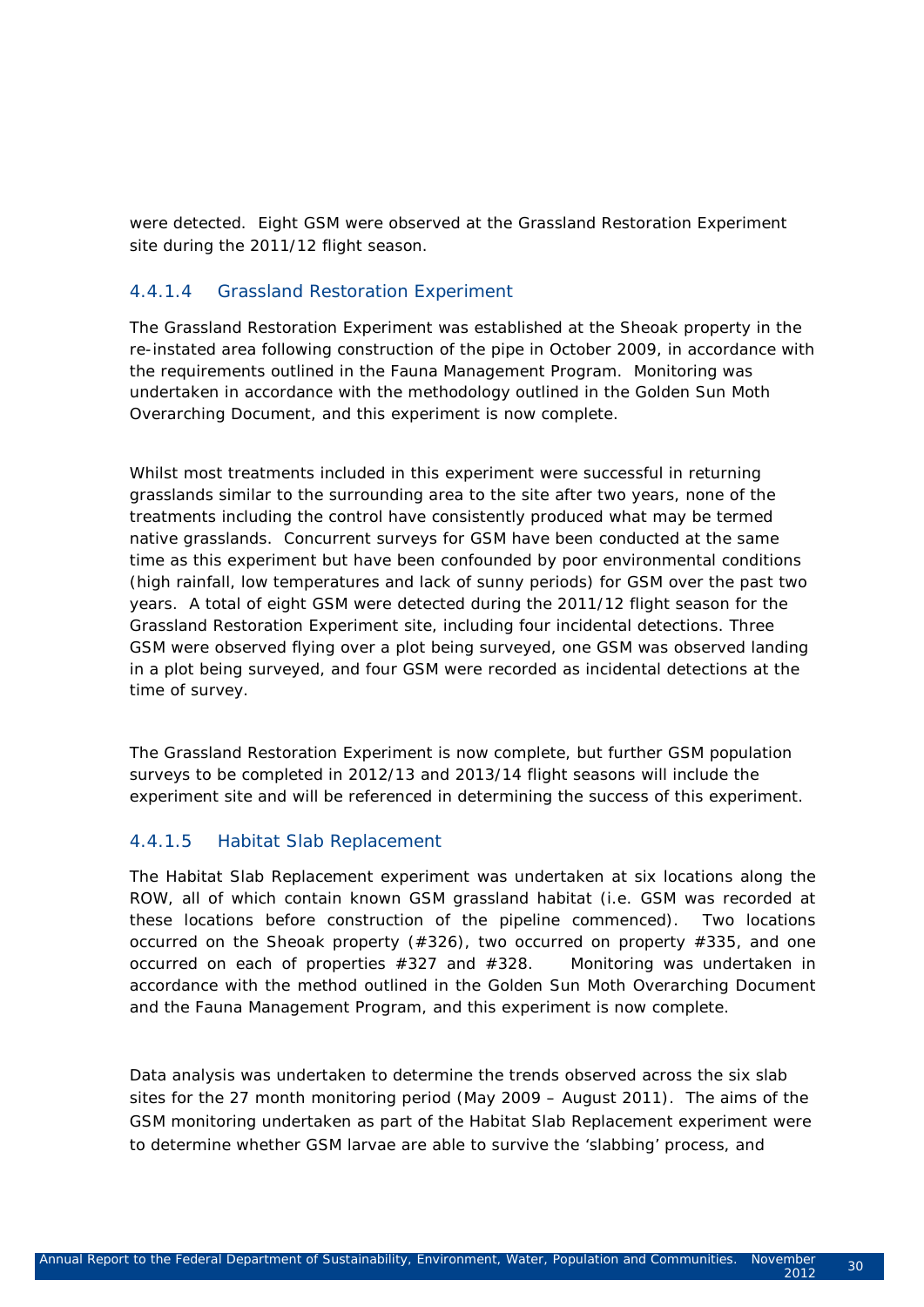were detected. Eight GSM were observed at the Grassland Restoration Experiment site during the 2011/12 flight season.

#### 4.4.1.4 Grassland Restoration Experiment

The Grassland Restoration Experiment was established at the Sheoak property in the re-instated area following construction of the pipe in October 2009, in accordance with the requirements outlined in the Fauna Management Program. Monitoring was undertaken in accordance with the methodology outlined in the Golden Sun Moth Overarching Document, and this experiment is now complete.

Whilst most treatments included in this experiment were successful in returning grasslands similar to the surrounding area to the site after two years, none of the treatments including the control have consistently produced what may be termed native grasslands. Concurrent surveys for GSM have been conducted at the same time as this experiment but have been confounded by poor environmental conditions (high rainfall, low temperatures and lack of sunny periods) for GSM over the past two years. A total of eight GSM were detected during the 2011/12 flight season for the Grassland Restoration Experiment site, including four incidental detections. Three GSM were observed flying over a plot being surveyed, one GSM was observed landing in a plot being surveyed, and four GSM were recorded as incidental detections at the time of survey.

The Grassland Restoration Experiment is now complete, but further GSM population surveys to be completed in 2012/13 and 2013/14 flight seasons will include the experiment site and will be referenced in determining the success of this experiment.

#### 4.4.1.5 Habitat Slab Replacement

The Habitat Slab Replacement experiment was undertaken at six locations along the ROW, all of which contain known GSM grassland habitat (i.e. GSM was recorded at these locations before construction of the pipeline commenced). Two locations occurred on the Sheoak property (#326), two occurred on property #335, and one occurred on each of properties #327 and #328. Monitoring was undertaken in accordance with the method outlined in the Golden Sun Moth Overarching Document and the Fauna Management Program, and this experiment is now complete.

Data analysis was undertaken to determine the trends observed across the six slab sites for the 27 month monitoring period (May 2009 – August 2011). The aims of the GSM monitoring undertaken as part of the Habitat Slab Replacement experiment were to determine whether GSM larvae are able to survive the 'slabbing' process, and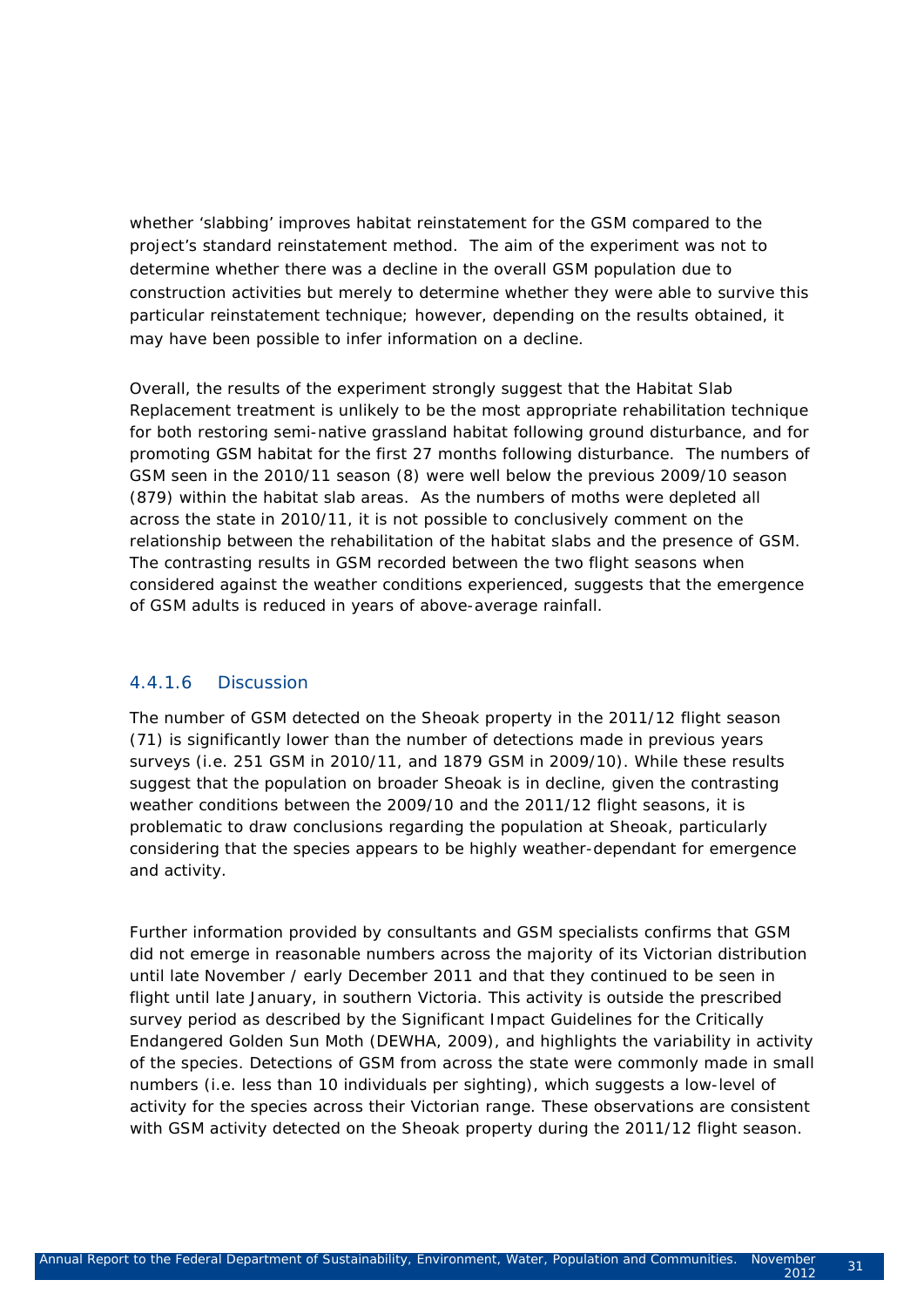whether 'slabbing' improves habitat reinstatement for the GSM compared to the project's standard reinstatement method. The aim of the experiment was not to determine whether there was a decline in the overall GSM population due to construction activities but merely to determine whether they were able to survive this particular reinstatement technique; however, depending on the results obtained, it may have been possible to infer information on a decline.

Overall, the results of the experiment strongly suggest that the Habitat Slab Replacement treatment is unlikely to be the most appropriate rehabilitation technique for both restoring semi-native grassland habitat following ground disturbance, and for promoting GSM habitat for the first 27 months following disturbance. The numbers of GSM seen in the 2010/11 season (8) were well below the previous 2009/10 season (879) within the habitat slab areas. As the numbers of moths were depleted all across the state in 2010/11, it is not possible to conclusively comment on the relationship between the rehabilitation of the habitat slabs and the presence of GSM. The contrasting results in GSM recorded between the two flight seasons when considered against the weather conditions experienced, suggests that the emergence of GSM adults is reduced in years of above-average rainfall.

#### 4.4.1.6 Discussion

The number of GSM detected on the Sheoak property in the 2011/12 flight season (71) is significantly lower than the number of detections made in previous years surveys (i.e. 251 GSM in 2010/11, and 1879 GSM in 2009/10). While these results suggest that the population on broader Sheoak is in decline, given the contrasting weather conditions between the 2009/10 and the 2011/12 flight seasons, it is problematic to draw conclusions regarding the population at Sheoak, particularly considering that the species appears to be highly weather-dependant for emergence and activity.

Further information provided by consultants and GSM specialists confirms that GSM did not emerge in reasonable numbers across the majority of its Victorian distribution until late November / early December 2011 and that they continued to be seen in flight until late January, in southern Victoria. This activity is outside the prescribed survey period as described by the Significant Impact Guidelines for the Critically Endangered Golden Sun Moth (DEWHA, 2009), and highlights the variability in activity of the species. Detections of GSM from across the state were commonly made in small numbers (i.e. less than 10 individuals per sighting), which suggests a low-level of activity for the species across their Victorian range. These observations are consistent with GSM activity detected on the Sheoak property during the 2011/12 flight season.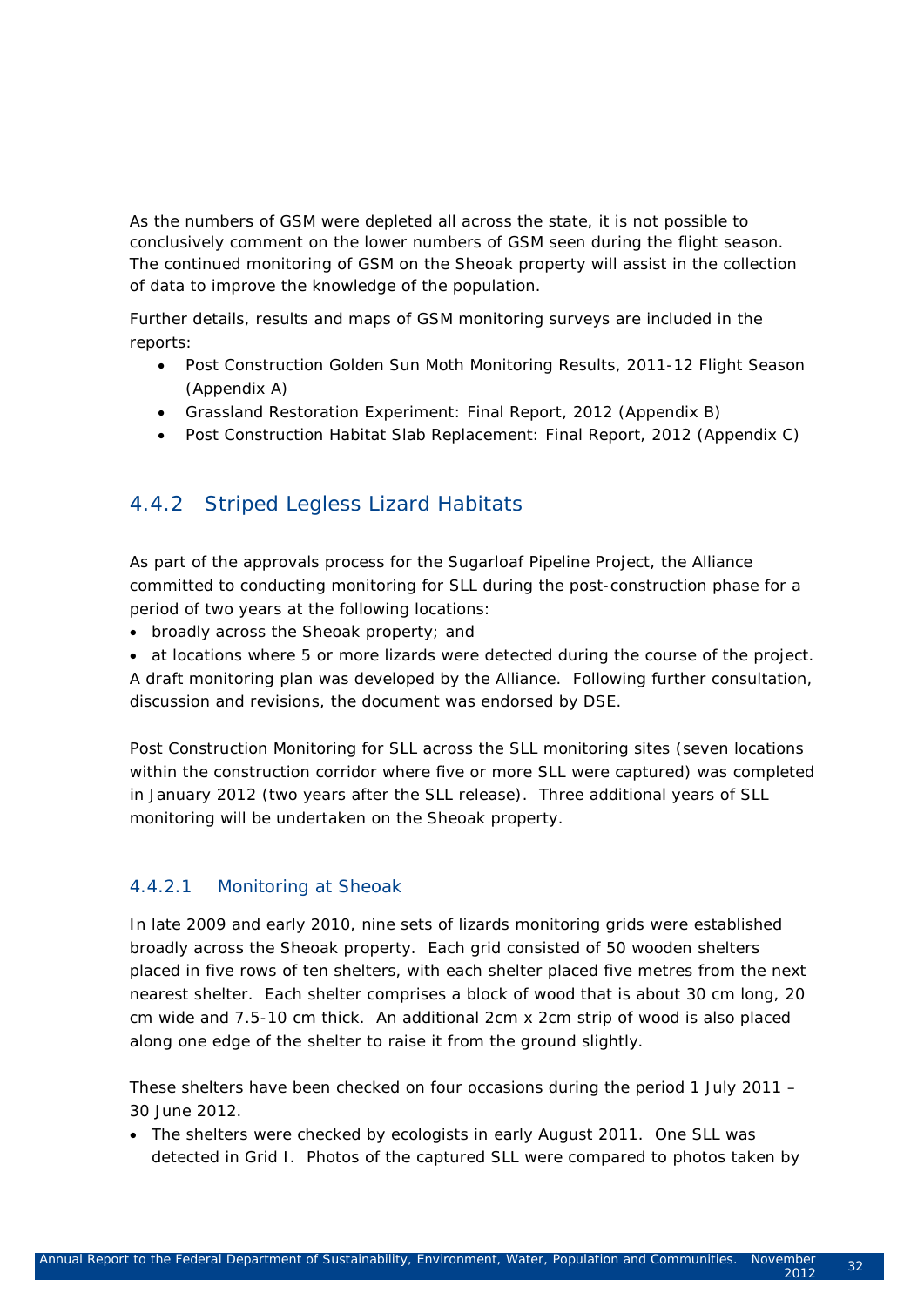As the numbers of GSM were depleted all across the state, it is not possible to conclusively comment on the lower numbers of GSM seen during the flight season. The continued monitoring of GSM on the Sheoak property will assist in the collection of data to improve the knowledge of the population.

Further details, results and maps of GSM monitoring surveys are included in the reports:

- Post Construction Golden Sun Moth Monitoring Results, 2011-12 Flight Season (Appendix A)
- Grassland Restoration Experiment: Final Report, 2012 (Appendix B)
- Post Construction Habitat Slab Replacement: Final Report, 2012 (Appendix C)

### 4.4.2 Striped Legless Lizard Habitats

As part of the approvals process for the Sugarloaf Pipeline Project, the Alliance committed to conducting monitoring for SLL during the post-construction phase for a period of two years at the following locations:

- broadly across the Sheoak property; and
- at locations where 5 or more lizards were detected during the course of the project.

A draft monitoring plan was developed by the Alliance. Following further consultation, discussion and revisions, the document was endorsed by DSE.

Post Construction Monitoring for SLL across the SLL monitoring sites (seven locations within the construction corridor where five or more SLL were captured) was completed in January 2012 (two years after the SLL release). Three additional years of SLL monitoring will be undertaken on the Sheoak property.

#### 4.4.2.1 Monitoring at Sheoak

In late 2009 and early 2010, nine sets of lizards monitoring grids were established broadly across the Sheoak property. Each grid consisted of 50 wooden shelters placed in five rows of ten shelters, with each shelter placed five metres from the next nearest shelter. Each shelter comprises a block of wood that is about 30 cm long, 20 cm wide and 7.5-10 cm thick. An additional 2cm x 2cm strip of wood is also placed along one edge of the shelter to raise it from the ground slightly.

These shelters have been checked on four occasions during the period 1 July 2011 – 30 June 2012.

• The shelters were checked by ecologists in early August 2011. One SLL was detected in Grid I. Photos of the captured SLL were compared to photos taken by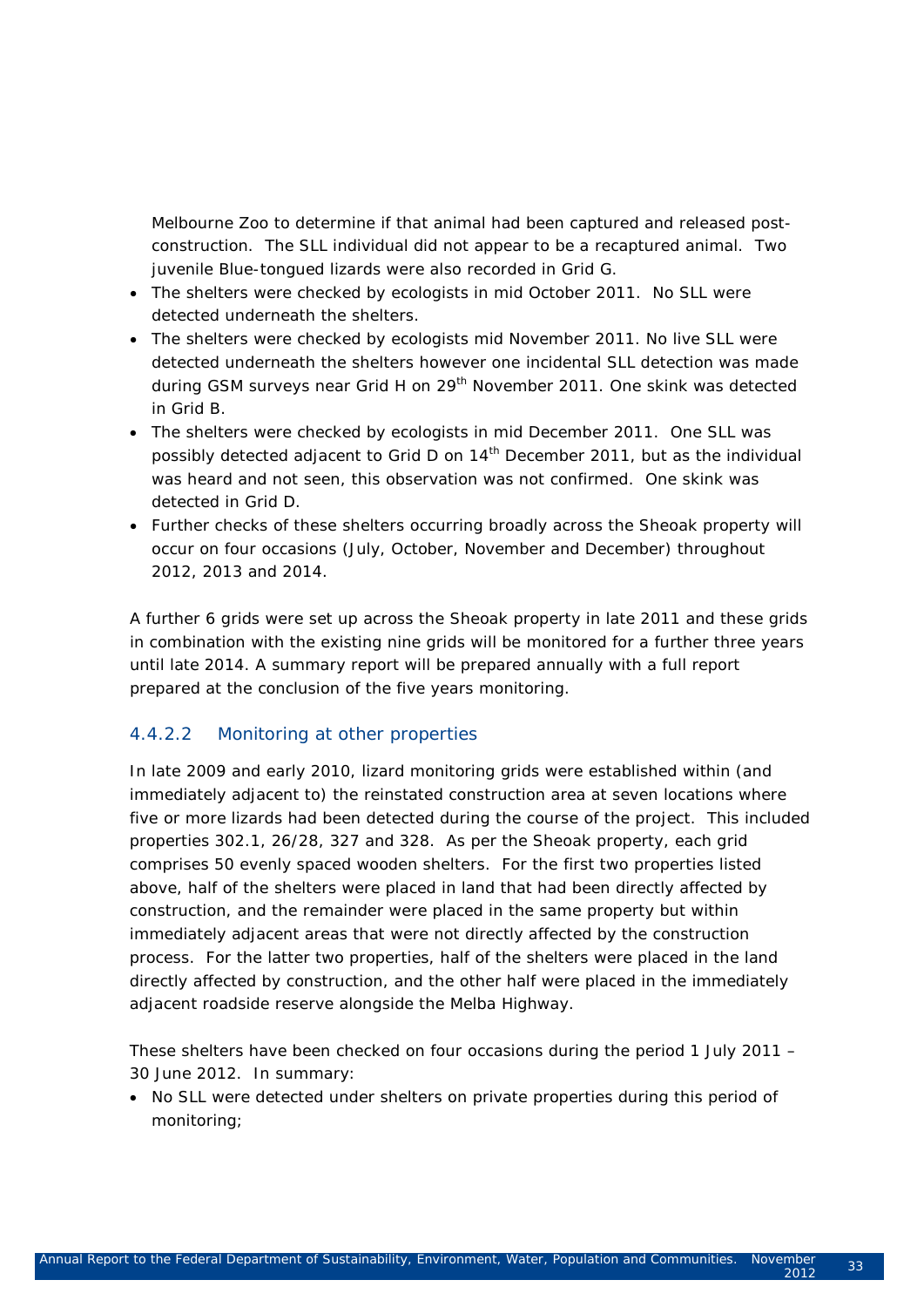Melbourne Zoo to determine if that animal had been captured and released postconstruction. The SLL individual did not appear to be a recaptured animal. Two juvenile Blue-tongued lizards were also recorded in Grid G.

- The shelters were checked by ecologists in mid October 2011. No SLL were detected underneath the shelters.
- The shelters were checked by ecologists mid November 2011. No live SLL were detected underneath the shelters however one incidental SLL detection was made during GSM surveys near Grid H on 29<sup>th</sup> November 2011. One skink was detected in Grid B.
- The shelters were checked by ecologists in mid December 2011. One SLL was possibly detected adjacent to Grid D on 14<sup>th</sup> December 2011, but as the individual was heard and not seen, this observation was not confirmed. One skink was detected in Grid D.
- Further checks of these shelters occurring broadly across the Sheoak property will occur on four occasions (July, October, November and December) throughout 2012, 2013 and 2014.

A further 6 grids were set up across the Sheoak property in late 2011 and these grids in combination with the existing nine grids will be monitored for a further three years until late 2014. A summary report will be prepared annually with a full report prepared at the conclusion of the five years monitoring.

#### 4.4.2.2 Monitoring at other properties

In late 2009 and early 2010, lizard monitoring grids were established within (and immediately adjacent to) the reinstated construction area at seven locations where five or more lizards had been detected during the course of the project. This included properties 302.1, 26/28, 327 and 328. As per the Sheoak property, each grid comprises 50 evenly spaced wooden shelters. For the first two properties listed above, half of the shelters were placed in land that had been directly affected by construction, and the remainder were placed in the same property but within immediately adjacent areas that were not directly affected by the construction process. For the latter two properties, half of the shelters were placed in the land directly affected by construction, and the other half were placed in the immediately adjacent roadside reserve alongside the Melba Highway.

These shelters have been checked on four occasions during the period 1 July 2011 – 30 June 2012. In summary:

• No SLL were detected under shelters on private properties during this period of monitoring;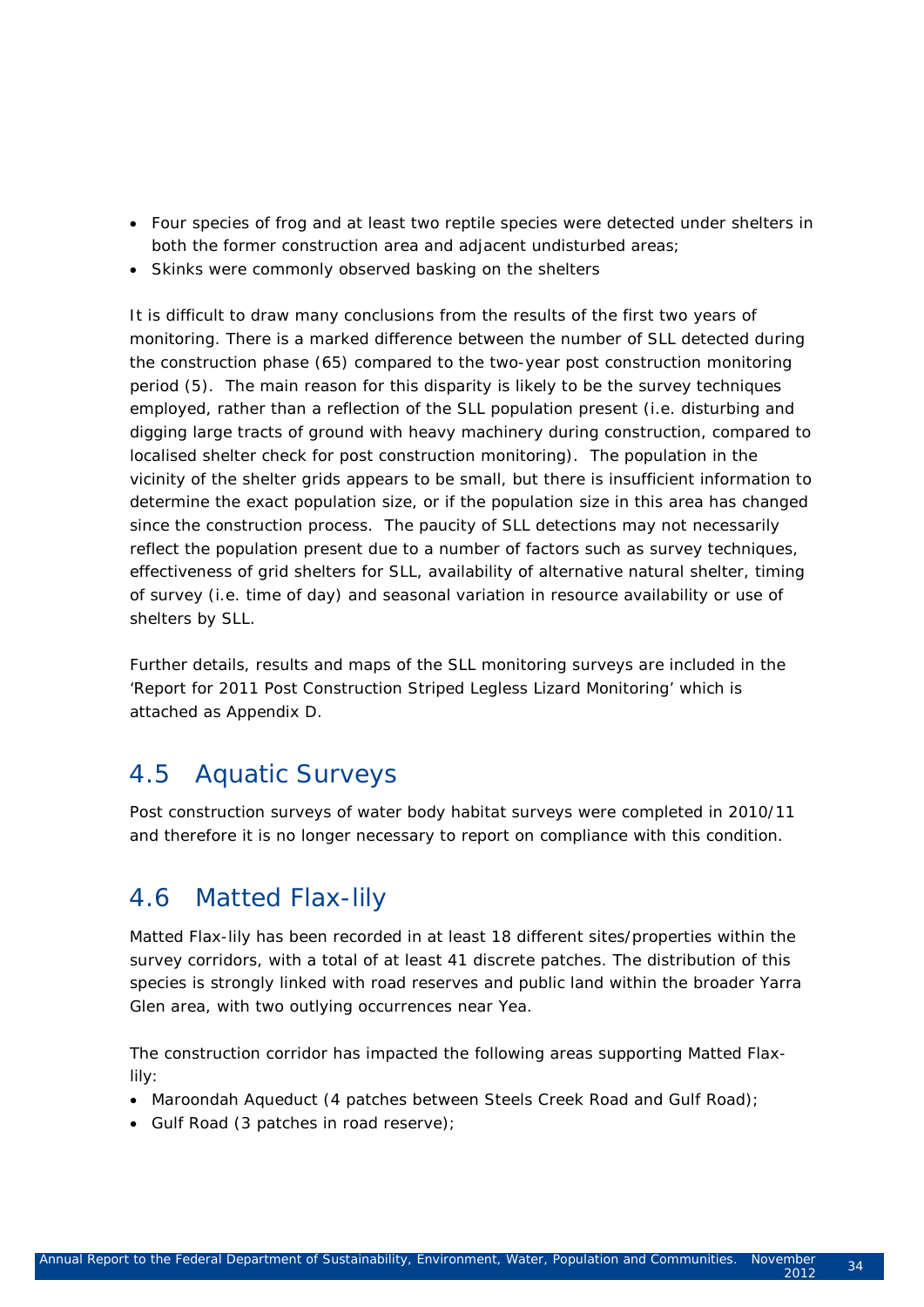- Four species of frog and at least two reptile species were detected under shelters in both the former construction area and adjacent undisturbed areas;
- Skinks were commonly observed basking on the shelters

It is difficult to draw many conclusions from the results of the first two years of monitoring. There is a marked difference between the number of SLL detected during the construction phase (65) compared to the two-year post construction monitoring period (5). The main reason for this disparity is likely to be the survey techniques employed, rather than a reflection of the SLL population present (i.e. disturbing and digging large tracts of ground with heavy machinery during construction, compared to localised shelter check for post construction monitoring). The population in the vicinity of the shelter grids appears to be small, but there is insufficient information to determine the exact population size, or if the population size in this area has changed since the construction process. The paucity of SLL detections may not necessarily reflect the population present due to a number of factors such as survey techniques, effectiveness of grid shelters for SLL, availability of alternative natural shelter, timing of survey (i.e. time of day) and seasonal variation in resource availability or use of shelters by SLL.

Further details, results and maps of the SLL monitoring surveys are included in the 'Report for 2011 Post Construction Striped Legless Lizard Monitoring' which is attached as Appendix D.

## 4.5 Aquatic Surveys

Post construction surveys of water body habitat surveys were completed in 2010/11 and therefore it is no longer necessary to report on compliance with this condition.

## 4.6 Matted Flax-lily

Matted Flax-lily has been recorded in at least 18 different sites/properties within the survey corridors, with a total of at least 41 discrete patches. The distribution of this species is strongly linked with road reserves and public land within the broader Yarra Glen area, with two outlying occurrences near Yea.

The construction corridor has impacted the following areas supporting Matted Flaxlily:

- Maroondah Aqueduct (4 patches between Steels Creek Road and Gulf Road);
- Gulf Road (3 patches in road reserve);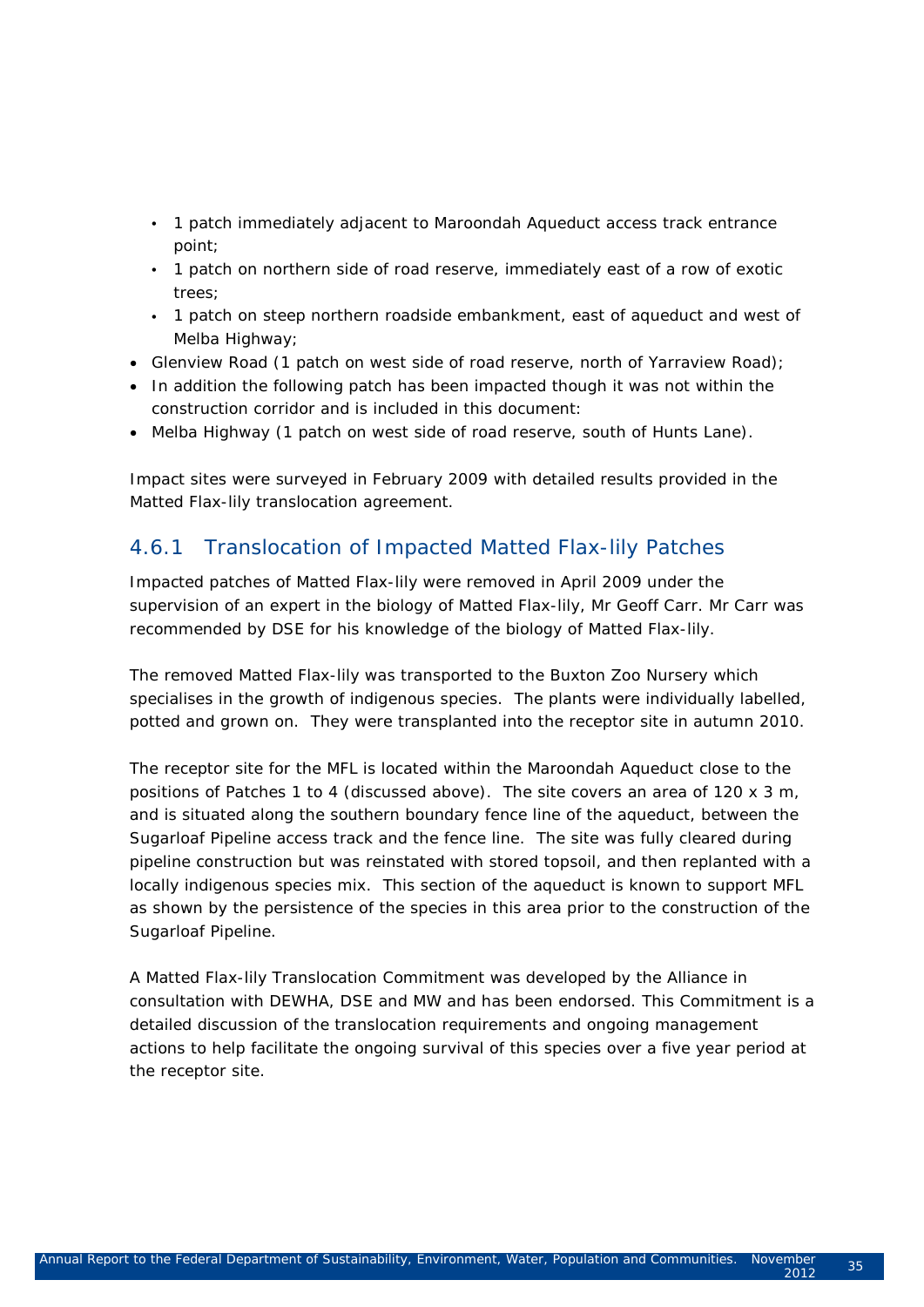- 1 patch immediately adjacent to Maroondah Aqueduct access track entrance point;
- 1 patch on northern side of road reserve, immediately east of a row of exotic trees;
- 1 patch on steep northern roadside embankment, east of aqueduct and west of Melba Highway;
- Glenview Road (1 patch on west side of road reserve, north of Yarraview Road);
- In addition the following patch has been impacted though it was not within the construction corridor and is included in this document:
- Melba Highway (1 patch on west side of road reserve, south of Hunts Lane).

Impact sites were surveyed in February 2009 with detailed results provided in the Matted Flax-lily translocation agreement.

#### 4.6.1 Translocation of Impacted Matted Flax-lily Patches

Impacted patches of Matted Flax-lily were removed in April 2009 under the supervision of an expert in the biology of Matted Flax-lily, Mr Geoff Carr. Mr Carr was recommended by DSE for his knowledge of the biology of Matted Flax-lily.

The removed Matted Flax-lily was transported to the Buxton Zoo Nursery which specialises in the growth of indigenous species. The plants were individually labelled, potted and grown on. They were transplanted into the receptor site in autumn 2010.

The receptor site for the MFL is located within the Maroondah Aqueduct close to the positions of Patches 1 to 4 (discussed above). The site covers an area of 120 x 3 m, and is situated along the southern boundary fence line of the aqueduct, between the Sugarloaf Pipeline access track and the fence line. The site was fully cleared during pipeline construction but was reinstated with stored topsoil, and then replanted with a locally indigenous species mix. This section of the aqueduct is known to support MFL as shown by the persistence of the species in this area prior to the construction of the Sugarloaf Pipeline.

A Matted Flax-lily Translocation Commitment was developed by the Alliance in consultation with DEWHA, DSE and MW and has been endorsed. This Commitment is a detailed discussion of the translocation requirements and ongoing management actions to help facilitate the ongoing survival of this species over a five year period at the receptor site.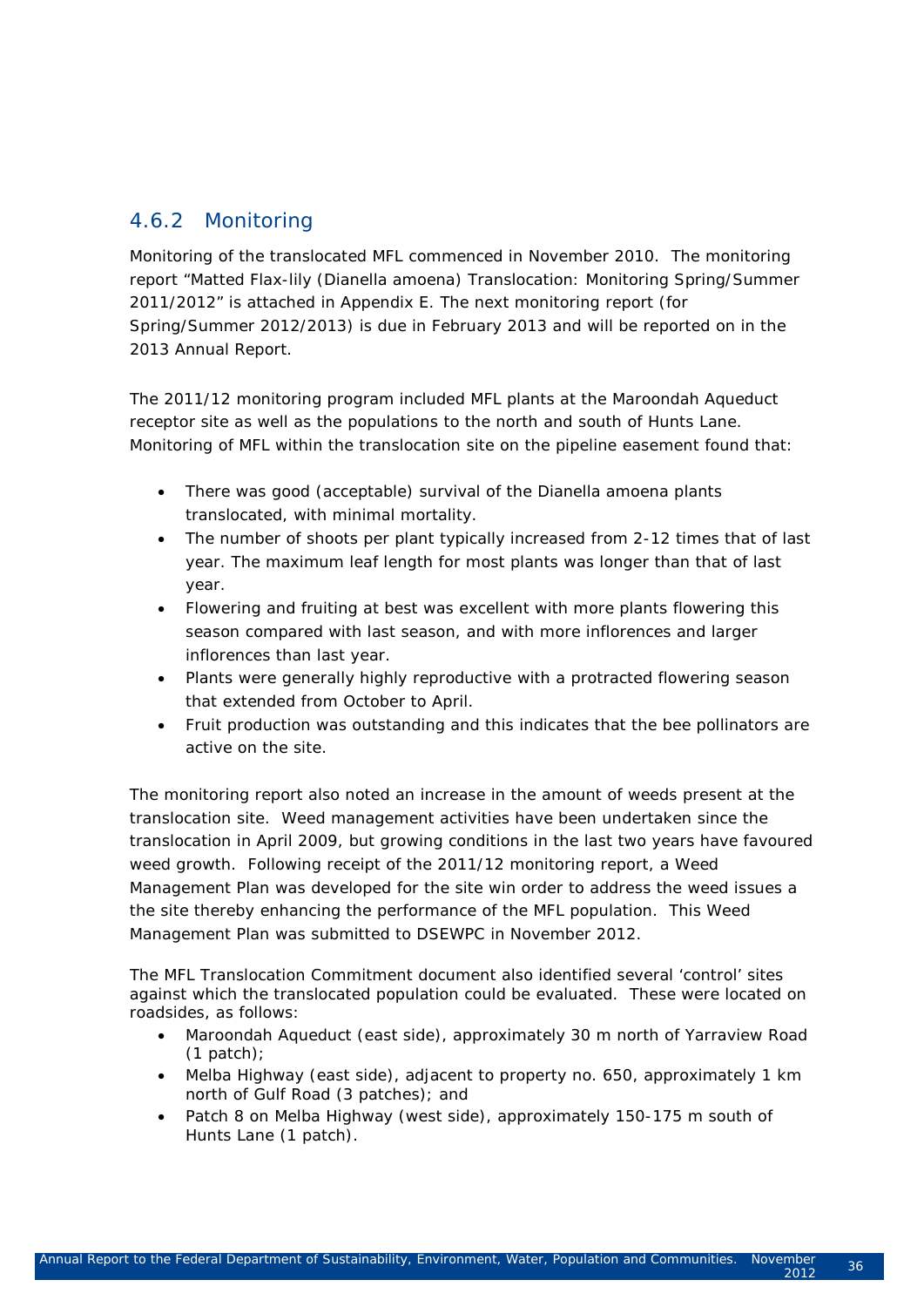### 4.6.2 Monitoring

Monitoring of the translocated MFL commenced in November 2010. The monitoring report "Matted Flax-lily (Dianella amoena) Translocation: Monitoring Spring/Summer 2011/2012" is attached in Appendix E. The next monitoring report (for Spring/Summer 2012/2013) is due in February 2013 and will be reported on in the 2013 Annual Report.

The 2011/12 monitoring program included MFL plants at the Maroondah Aqueduct receptor site as well as the populations to the north and south of Hunts Lane. Monitoring of MFL within the translocation site on the pipeline easement found that:

- There was good (acceptable) survival of the Dianella amoena plants translocated, with minimal mortality.
- The number of shoots per plant typically increased from 2-12 times that of last year. The maximum leaf length for most plants was longer than that of last year.
- Flowering and fruiting at best was excellent with more plants flowering this season compared with last season, and with more inflorences and larger inflorences than last year.
- Plants were generally highly reproductive with a protracted flowering season that extended from October to April.
- Fruit production was outstanding and this indicates that the bee pollinators are active on the site.

The monitoring report also noted an increase in the amount of weeds present at the translocation site. Weed management activities have been undertaken since the translocation in April 2009, but growing conditions in the last two years have favoured weed growth. Following receipt of the 2011/12 monitoring report, a Weed Management Plan was developed for the site win order to address the weed issues a the site thereby enhancing the performance of the MFL population. This Weed Management Plan was submitted to DSEWPC in November 2012.

The MFL Translocation Commitment document also identified several 'control' sites against which the translocated population could be evaluated. These were located on roadsides, as follows:

- Maroondah Aqueduct (east side), approximately 30 m north of Yarraview Road  $(1$  patch);
- Melba Highway (east side), adjacent to property no. 650, approximately 1 km north of Gulf Road (3 patches); and
- Patch 8 on Melba Highway (west side), approximately 150-175 m south of Hunts Lane (1 patch).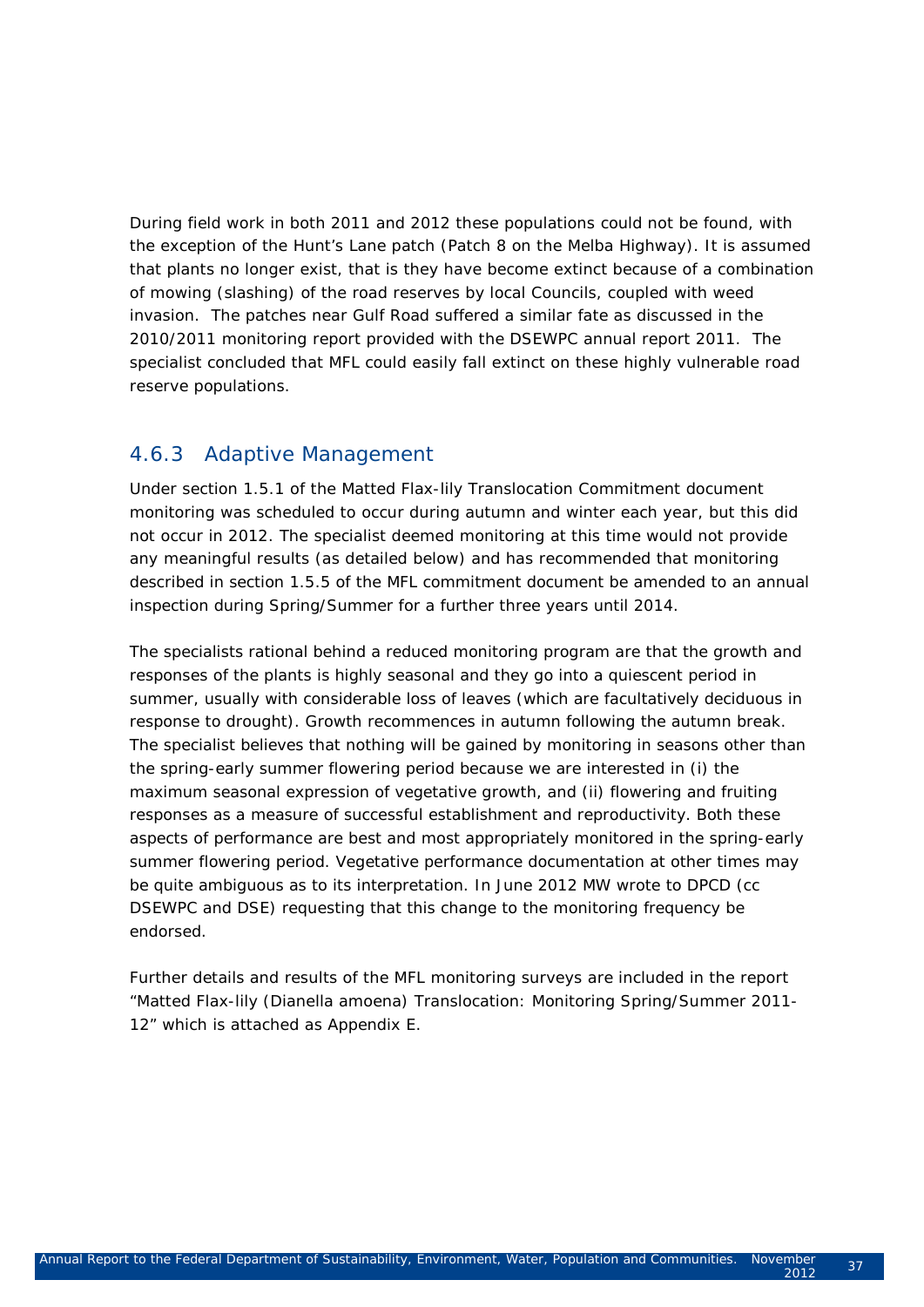During field work in both 2011 and 2012 these populations could not be found, with the exception of the Hunt's Lane patch (Patch 8 on the Melba Highway). It is assumed that plants no longer exist, that is they have become extinct because of a combination of mowing (slashing) of the road reserves by local Councils, coupled with weed invasion. The patches near Gulf Road suffered a similar fate as discussed in the 2010/2011 monitoring report provided with the DSEWPC annual report 2011. The specialist concluded that MFL could easily fall extinct on these highly vulnerable road reserve populations.

#### 4.6.3 Adaptive Management

Under section 1.5.1 of the Matted Flax-lily Translocation Commitment document monitoring was scheduled to occur during autumn and winter each year, but this did not occur in 2012. The specialist deemed monitoring at this time would not provide any meaningful results (as detailed below) and has recommended that monitoring described in section 1.5.5 of the MFL commitment document be amended to an annual inspection during Spring/Summer for a further three years until 2014.

The specialists rational behind a reduced monitoring program are that the growth and responses of the plants is highly seasonal and they go into a quiescent period in summer, usually with considerable loss of leaves (which are facultatively deciduous in response to drought). Growth recommences in autumn following the autumn break. The specialist believes that nothing will be gained by monitoring in seasons other than the spring-early summer flowering period because we are interested in (i) the maximum seasonal expression of vegetative growth, and (ii) flowering and fruiting responses as a measure of successful establishment and reproductivity. Both these aspects of performance are best and most appropriately monitored in the spring-early summer flowering period. Vegetative performance documentation at other times may be quite ambiguous as to its interpretation. In June 2012 MW wrote to DPCD (cc DSEWPC and DSE) requesting that this change to the monitoring frequency be endorsed.

Further details and results of the MFL monitoring surveys are included in the report "Matted Flax-lily (*Dianella amoena)* Translocation: Monitoring Spring/Summer 2011- 12" which is attached as Appendix E.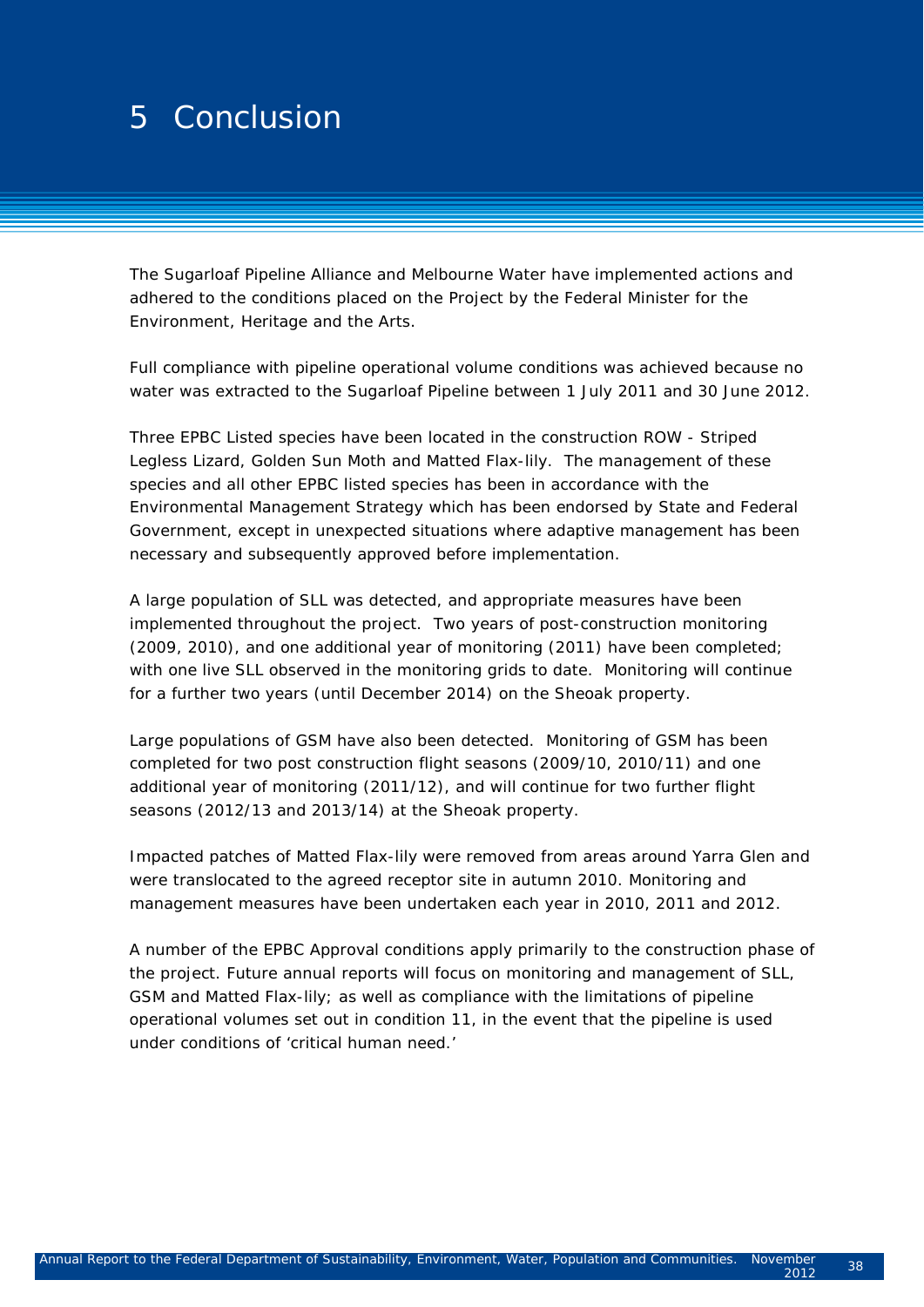## $\Gamma$   $\Omega$  surveys for the threatened fauna fauna fauna fauna fauna fauna fauna fauna fauna fauna fauna fauna fauna fauna fauna fauna fauna fauna fauna fauna fauna fauna fauna fauna fauna fauna fauna fauna fauna fauna faun 2 5 Conclusion

The Sugarloaf Pipeline Alliance and Melbourne Water have implemented actions and adhered to the conditions placed on the Project by the Federal Minister for the Environment, Heritage and the Arts.

Full compliance with pipeline operational volume conditions was achieved because no water was extracted to the Sugarloaf Pipeline between 1 July 2011 and 30 June 2012.

Three EPBC Listed species have been located in the construction ROW - Striped Legless Lizard, Golden Sun Moth and Matted Flax-lily. The management of these species and all other EPBC listed species has been in accordance with the Environmental Management Strategy which has been endorsed by State and Federal Government, except in unexpected situations where adaptive management has been necessary and subsequently approved before implementation.

A large population of SLL was detected, and appropriate measures have been implemented throughout the project. Two years of post-construction monitoring (2009, 2010), and one additional year of monitoring (2011) have been completed; with one live SLL observed in the monitoring grids to date. Monitoring will continue for a further two years (until December 2014) on the Sheoak property.

Large populations of GSM have also been detected. Monitoring of GSM has been completed for two post construction flight seasons (2009/10, 2010/11) and one additional year of monitoring (2011/12), and will continue for two further flight seasons (2012/13 and 2013/14) at the Sheoak property.

Impacted patches of Matted Flax-lily were removed from areas around Yarra Glen and were translocated to the agreed receptor site in autumn 2010. Monitoring and management measures have been undertaken each year in 2010, 2011 and 2012.

A number of the EPBC Approval conditions apply primarily to the construction phase of the project. Future annual reports will focus on monitoring and management of SLL, GSM and Matted Flax-lily; as well as compliance with the limitations of pipeline operational volumes set out in condition 11, in the event that the pipeline is used under conditions of 'critical human need.'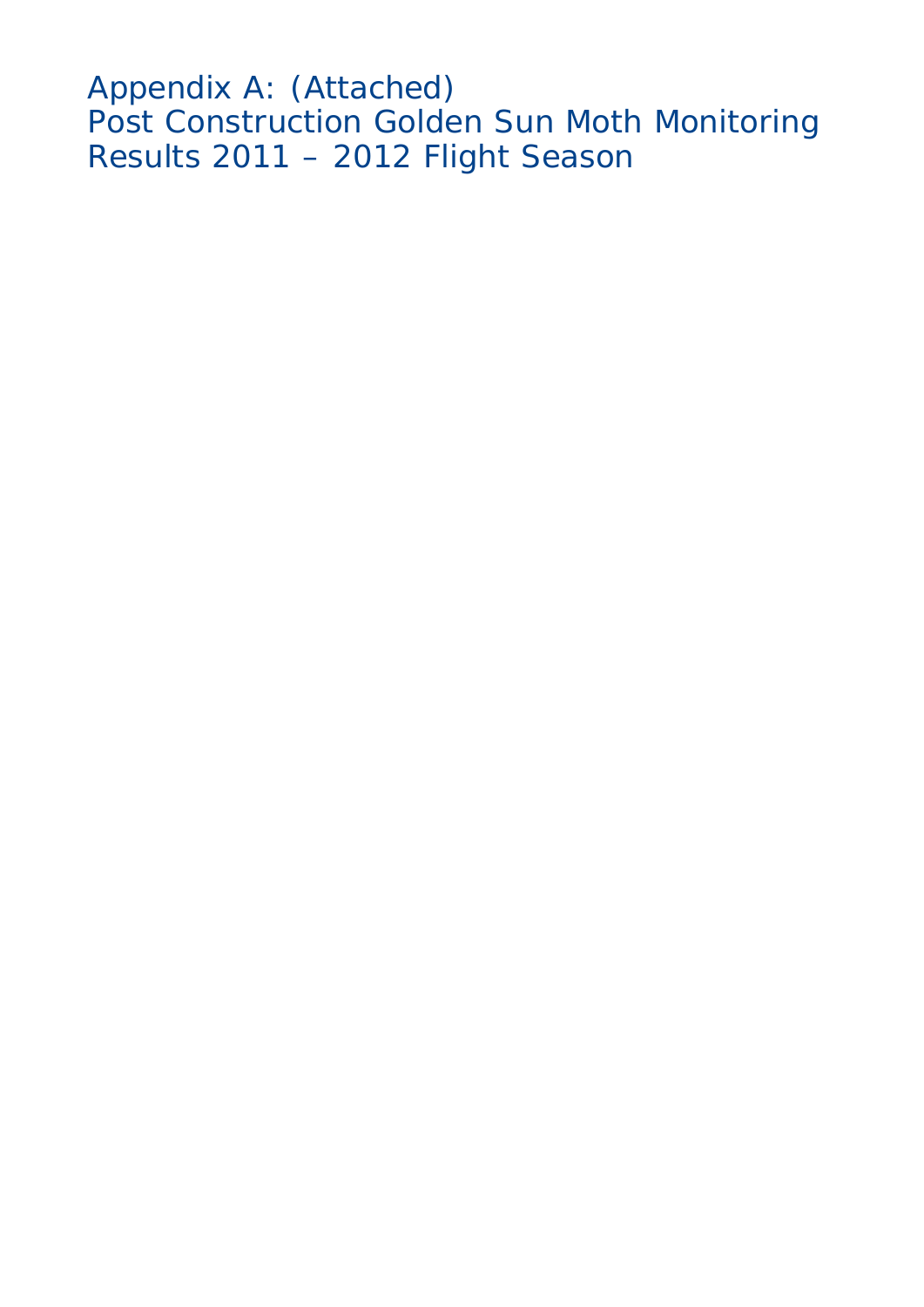Appendix A: (Attached) Post Construction Golden Sun Moth Monitoring Results 2011 – 2012 Flight Season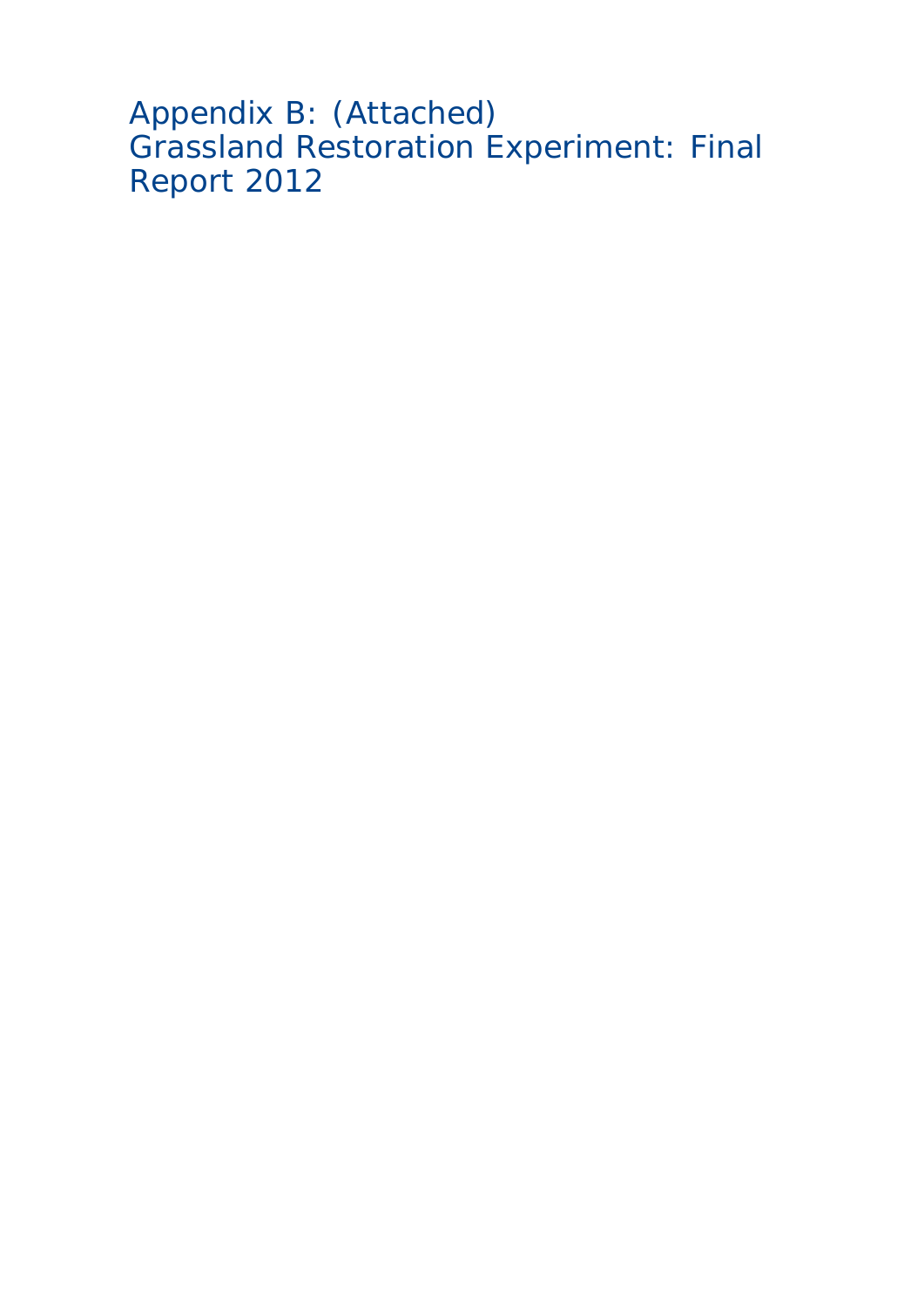```
Appendix B: (Attached)
Grassland Restoration Experiment: Final 
Report 2012
```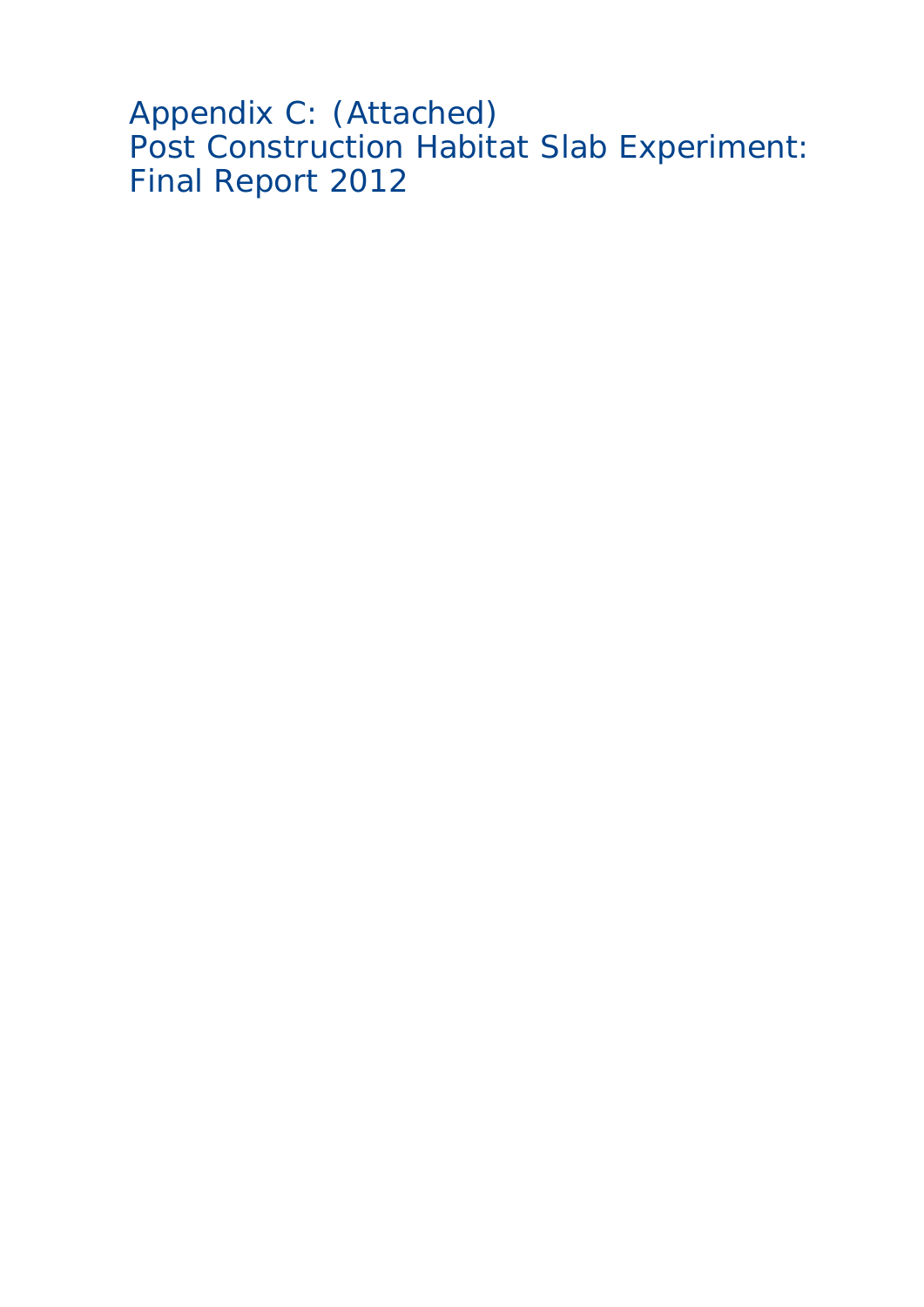Appendix C: (Attached) Post Construction Habitat Slab Experiment: Final Report 2012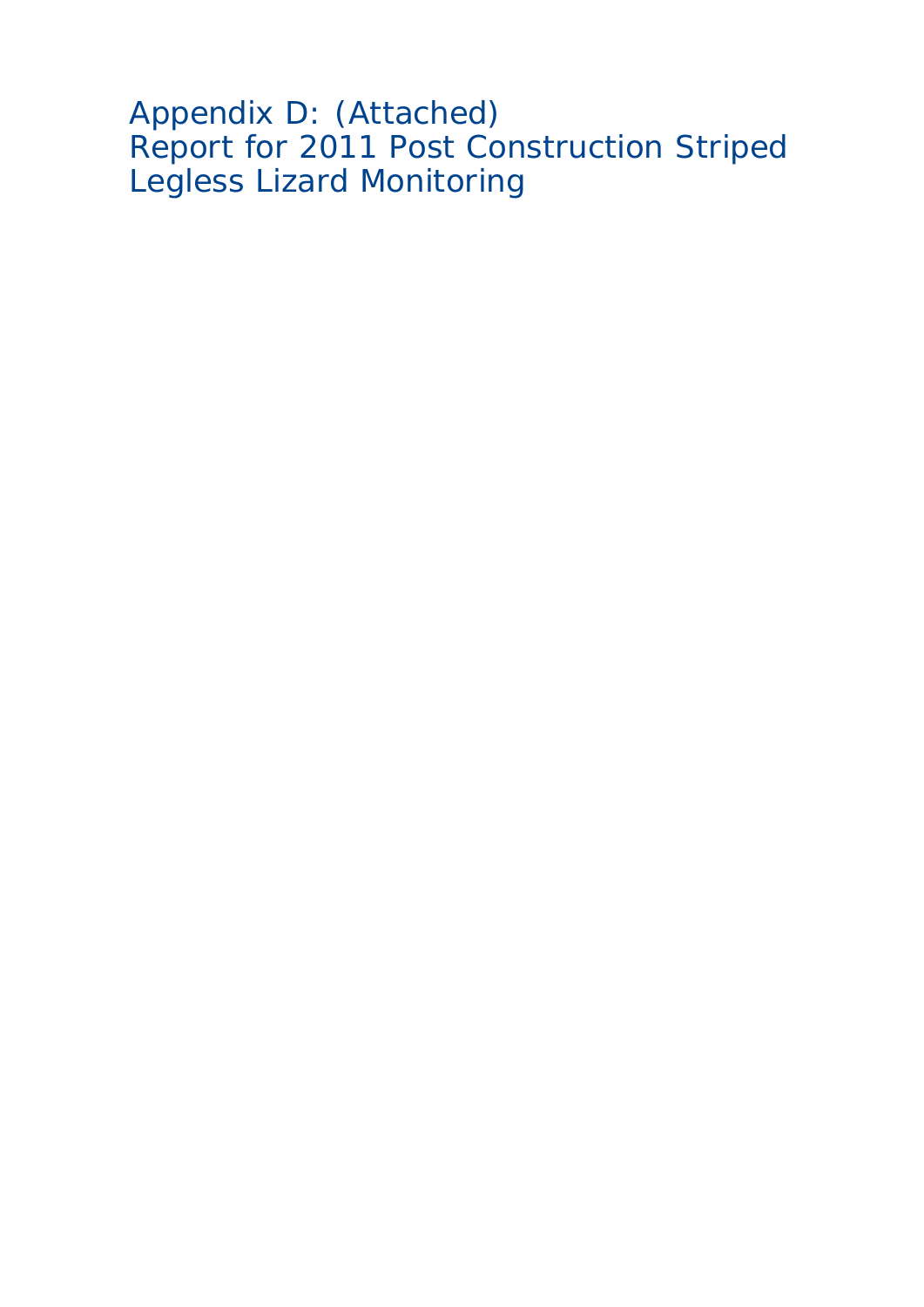Appendix D: (Attached) Report for 2011 Post Construction Striped Legless Lizard Monitoring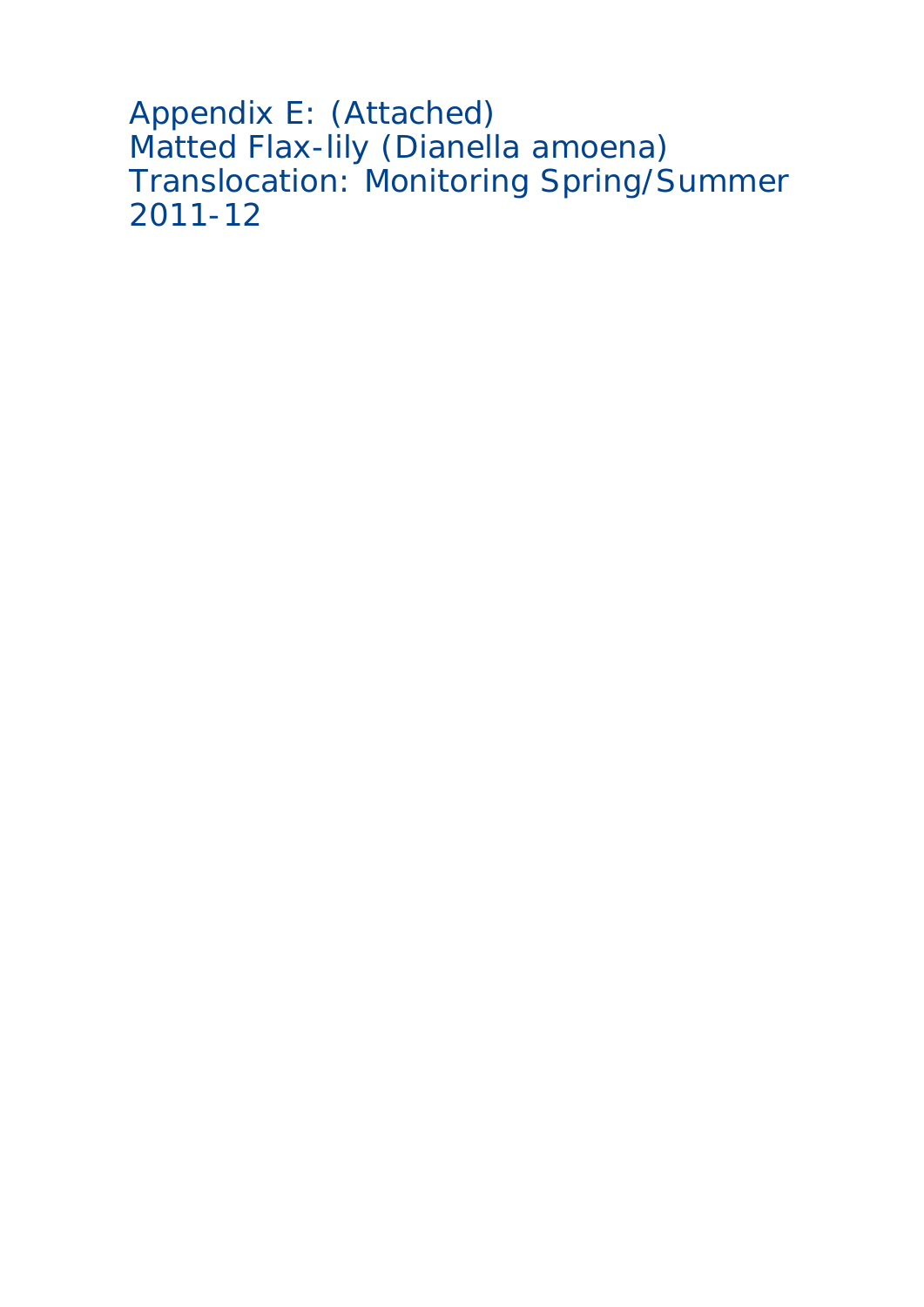```
Appendix E: (Attached)
Matted Flax-lily (Dianella amoena)
Translocation: Monitoring Spring/Summer
2011-12
```